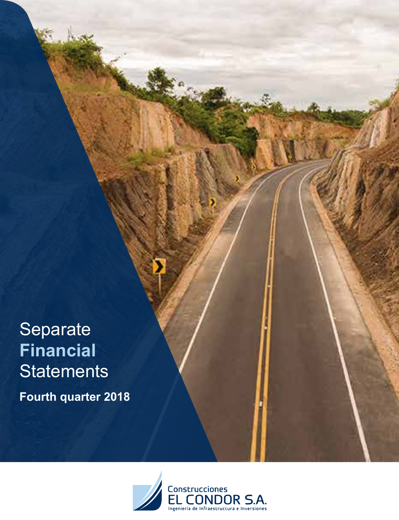Separate **Financial Statements Fourth quarter 2018**

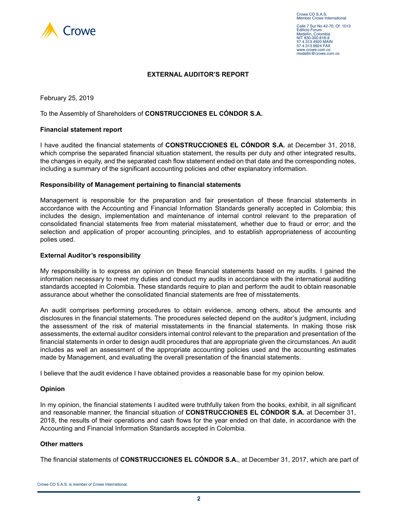

#### **EXTERNAL AUDITOR'S REPORT**

February 25, 2019

To the Assembly of Shareholders of **CONSTRUCCIONES EL CÓNDOR S.A.**

#### **Financial statement report**

I have audited the financial statements of **CONSTRUCCIONES EL CÓNDOR S.A.** at December 31, 2018, which comprise the separated financial situation statement, the results per duty and other integrated results, the changes in equity, and the separated cash flow statement ended on that date and the corresponding notes, including a summary of the significant accounting policies and other explanatory information.

#### **Responsibility of Management pertaining to financial statements**

Management is responsible for the preparation and fair presentation of these financial statements in accordance with the Accounting and Financial Information Standards generally accepted in Colombia; this includes the design, implementation and maintenance of internal control relevant to the preparation of consolidated financial statements free from material misstatement, whether due to fraud or error; and the selection and application of proper accounting principles, and to establish appropriateness of accounting polies used.

#### **External Auditor's responsibility**

My responsibility is to express an opinion on these financial statements based on my audits. I gained the information necessary to meet my duties and conduct my audits in accordance with the international auditing standards accepted in Colombia. These standards require to plan and perform the audit to obtain reasonable assurance about whether the consolidated financial statements are free of misstatements.

An audit comprises performing procedures to obtain evidence, among others, about the amounts and disclosures in the financial statements. The procedures selected depend on the auditor's judgment, including the assessment of the risk of material misstatements in the financial statements. In making those risk assessments, the external auditor considers internal control relevant to the preparation and presentation of the financial statements in order to design audit procedures that are appropriate given the circumstances. An audit includes as well an assessment of the appropriate accounting policies used and the accounting estimates made by Management, and evaluating the overall presentation of the financial statements.

I believe that the audit evidence I have obtained provides a reasonable base for my opinion below.

#### **Opinion**

In my opinion, the financial statements I audited were truthfully taken from the books, exhibit, in all significant and reasonable manner, the financial situation of **CONSTRUCCIONES EL CÓNDOR S.A.** at December 31, 2018, the results of their operations and cash flows for the year ended on that date, in accordance with the Accounting and Financial Information Standards accepted in Colombia.

#### **Other matters**

The financial statements of **CONSTRUCCIONES EL CÓNDOR S.A.**, at December 31, 2017, which are part of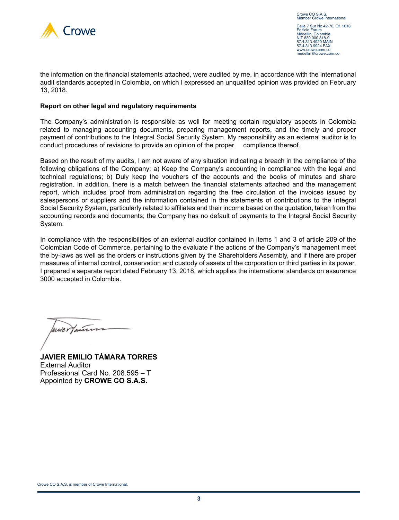

Calle 7 Sur No 42-70, Of. 1013 Edificio Forum Medellín, Colombia NIT 830,000.818-9 57.4.313.4920 MAIN 57.4.313.9924 FAX www.crowe.com.co medellin@crowe.com.co

the information on the financial statements attached, were audited by me, in accordance with the international audit standards accepted in Colombia, on which I expressed an unqualifed opinion was provided on February 13, 2018.

#### **Report on other legal and regulatory requirements**

The Company's administration is responsible as well for meeting certain regulatory aspects in Colombia related to managing accounting documents, preparing management reports, and the timely and proper payment of contributions to the Integral Social Security System. My responsibility as an external auditor is to conduct procedures of revisions to provide an opinion of the proper compliance thereof.

Based on the result of my audits, I am not aware of any situation indicating a breach in the compliance of the following obligations of the Company: a) Keep the Company's accounting in compliance with the legal and technical regulations; b) Duly keep the vouchers of the accounts and the books of minutes and share registration. In addition, there is a match between the financial statements attached and the management report, which includes proof from administration regarding the free circulation of the invoices issued by salespersons or suppliers and the information contained in the statements of contributions to the Integral Social Security System, particularly related to affiliates and their income based on the quotation, taken from the accounting records and documents; the Company has no default of payments to the Integral Social Security System.

In compliance with the responsibilities of an external auditor contained in items 1 and 3 of article 209 of the Colombian Code of Commerce, pertaining to the evaluate if the actions of the Company's management meet the by-laws as well as the orders or instructions given by the Shareholders Assembly, and if there are proper measures of internal control, conservation and custody of assets of the corporation or third parties in its power, I prepared a separate report dated February 13, 2018, which applies the international standards on assurance 3000 accepted in Colombia.

une Hauten

**JAVIER EMILIO TÁMARA TORRES** External Auditor Professional Card No. 208.595 – T Appointed by **CROWE CO S.A.S.**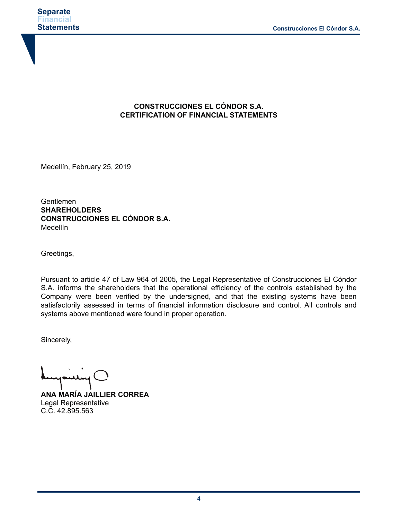### **CONSTRUCCIONES EL CÓNDOR S.A. CERTIFICATION OF FINANCIAL STATEMENTS**

Medellín, February 25, 2019

Gentlemen **SHAREHOLDERS CONSTRUCCIONES EL CÓNDOR S.A.** Medellín

Greetings,

Pursuant to article 47 of Law 964 of 2005, the Legal Representative of Construcciones El Cóndor S.A. informs the shareholders that the operational efficiency of the controls established by the Company were been verified by the undersigned, and that the existing systems have been satisfactorily assessed in terms of financial information disclosure and control. All controls and systems above mentioned were found in proper operation.

Sincerely,

**ANA MARÍA JAILLIER CORREA** Legal Representative C.C. 42.895.563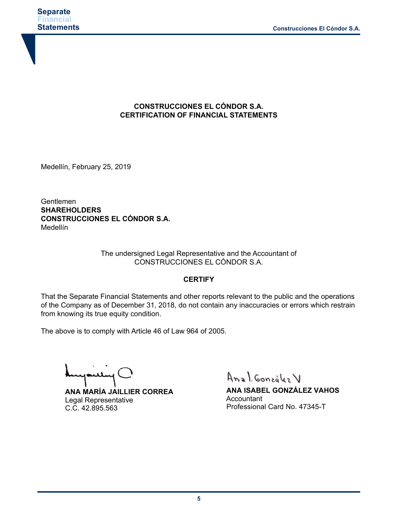

### **CONSTRUCCIONES EL CÓNDOR S.A. CERTIFICATION OF FINANCIAL STATEMENTS**

Medellín, February 25, 2019

Gentlemen **SHAREHOLDERS CONSTRUCCIONES EL CÓNDOR S.A.** Medellín

> The undersigned Legal Representative and the Accountant of CONSTRUCCIONES EL CÓNDOR S.A.

#### **CERTIFY**

That the Separate Financial Statements and other reports relevant to the public and the operations of the Company as of December 31, 2018, do not contain any inaccuracies or errors which restrain from knowing its true equity condition.

The above is to comply with Article 46 of Law 964 of 2005.

بسلسا

**ANA MARÍA JAILLIER CORREA** Legal Representative C.C. 42.895.563

Anal González V

**ANA ISABEL GONZÁLEZ VAHOS Accountant** Professional Card No. 47345-T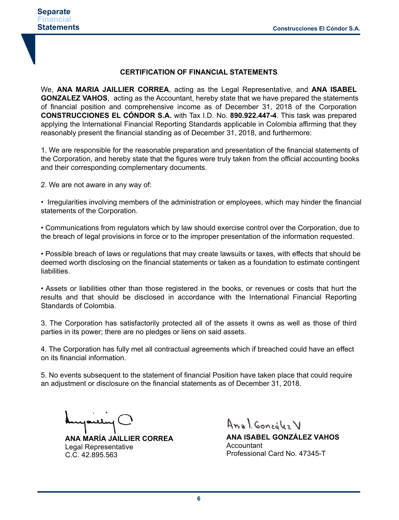#### **CERTIFICATION OF FINANCIAL STATEMENTS**

We, **ANA MARIA JAILLIER CORREA**, acting as the Legal Representative, and **ANA ISABEL GONZALEZ VAHOS**, acting as the Accountant, hereby state that we have prepared the statements of financial position and comprehensive income as of December 31, 2018 of the Corporation **CONSTRUCCIONES EL CÓNDOR S.A.** with Tax I.D. No. **890.922.447-4**. This task was prepared applying the International Financial Reporting Standards applicable in Colombia affirming that they reasonably present the financial standing as of December 31, 2018, and furthermore:

1. We are responsible for the reasonable preparation and presentation of the financial statements of the Corporation, and hereby state that the figures were truly taken from the official accounting books and their corresponding complementary documents.

2. We are not aware in any way of:

• Irregularities involving members of the administration or employees, which may hinder the financial statements of the Corporation.

• Communications from regulators which by law should exercise control over the Corporation, due to the breach of legal provisions in force or to the improper presentation of the information requested.

• Possible breach of laws or regulations that may create lawsuits or taxes, with effects that should be deemed worth disclosing on the financial statements or taken as a foundation to estimate contingent liabilities.

• Assets or liabilities other than those registered in the books, or revenues or costs that hurt the results and that should be disclosed in accordance with the International Financial Reporting Standards of Colombia.

3. The Corporation has satisfactorily protected all of the assets it owns as well as those of third parties in its power; there are no pledges or liens on said assets.

4. The Corporation has fully met all contractual agreements which if breached could have an effect on its financial information.

5. No events subsequent to the statement of financial Position have taken place that could require an adjustment or disclosure on the financial statements as of December 31, 2018.

**ANA MARÍA JAILLIER CORREA** Legal Representative C.C. 42.895.563

Anal González V

**ANA ISABEL GONZÁLEZ VAHOS Accountant** Professional Card No. 47345-T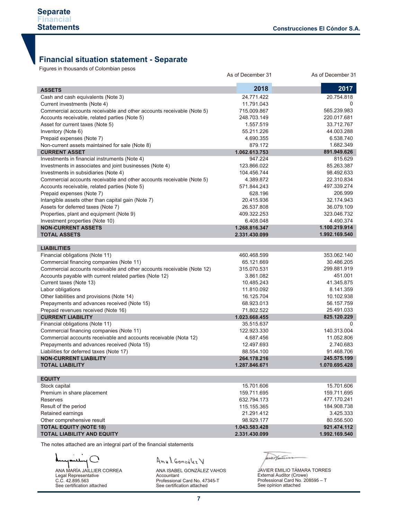## **Financial situation statement - Separate**

Figures in thousands of Colombian pesos

| 2018<br>2017<br><b>ASSETS</b><br>Cash and cash equivalents (Note 3)<br>24.771.422<br>20.754.818<br>Current investments (Note 4)<br>11.791.043<br>0<br>565.239.983<br>Commercial accounts receivable and other accounts receivable (Note 5)<br>715.009.867<br>Accounts receivable, related parties (Note 5)<br>248.703.149<br>220.017.681<br>33.712.767<br>Asset for current taxes (Note 5)<br>1.557.519<br>44.003.288<br>Inventory (Note 6)<br>55.211.226<br>6.538.740<br>Prepaid expenses (Note 7)<br>4.690.355<br>1.682.349<br>Non-current assets maintained for sale (Note 8)<br>879.172<br>891.949.626<br><b>CURRENT ASSET</b><br>1.062.613.753<br>815.629<br>Investments in financial instruments (Note 4)<br>947.224<br>85.263.387<br>123.866.022 |
|---------------------------------------------------------------------------------------------------------------------------------------------------------------------------------------------------------------------------------------------------------------------------------------------------------------------------------------------------------------------------------------------------------------------------------------------------------------------------------------------------------------------------------------------------------------------------------------------------------------------------------------------------------------------------------------------------------------------------------------------------------|
|                                                                                                                                                                                                                                                                                                                                                                                                                                                                                                                                                                                                                                                                                                                                                         |
|                                                                                                                                                                                                                                                                                                                                                                                                                                                                                                                                                                                                                                                                                                                                                         |
|                                                                                                                                                                                                                                                                                                                                                                                                                                                                                                                                                                                                                                                                                                                                                         |
|                                                                                                                                                                                                                                                                                                                                                                                                                                                                                                                                                                                                                                                                                                                                                         |
|                                                                                                                                                                                                                                                                                                                                                                                                                                                                                                                                                                                                                                                                                                                                                         |
|                                                                                                                                                                                                                                                                                                                                                                                                                                                                                                                                                                                                                                                                                                                                                         |
|                                                                                                                                                                                                                                                                                                                                                                                                                                                                                                                                                                                                                                                                                                                                                         |
|                                                                                                                                                                                                                                                                                                                                                                                                                                                                                                                                                                                                                                                                                                                                                         |
|                                                                                                                                                                                                                                                                                                                                                                                                                                                                                                                                                                                                                                                                                                                                                         |
|                                                                                                                                                                                                                                                                                                                                                                                                                                                                                                                                                                                                                                                                                                                                                         |
|                                                                                                                                                                                                                                                                                                                                                                                                                                                                                                                                                                                                                                                                                                                                                         |
| Investments in associates and joint businesses (Note 4)                                                                                                                                                                                                                                                                                                                                                                                                                                                                                                                                                                                                                                                                                                 |
| Investments in subsidiaries (Note 4)<br>104.456.744<br>98.492.633                                                                                                                                                                                                                                                                                                                                                                                                                                                                                                                                                                                                                                                                                       |
| Commercial accounts receivable and other accounts receivable (Note 5)<br>22.310.834<br>4.389.872                                                                                                                                                                                                                                                                                                                                                                                                                                                                                                                                                                                                                                                        |
| 497.339.274<br>Accounts receivable, related parties (Note 5)<br>571.844.243                                                                                                                                                                                                                                                                                                                                                                                                                                                                                                                                                                                                                                                                             |
| 206.999<br>Prepaid expenses (Note 7)<br>628.196                                                                                                                                                                                                                                                                                                                                                                                                                                                                                                                                                                                                                                                                                                         |
| Intangible assets other than capital gain (Note 7)<br>20.415.936<br>32.174.943                                                                                                                                                                                                                                                                                                                                                                                                                                                                                                                                                                                                                                                                          |
| Assets for deferred taxes (Note 7)<br>26.537.808<br>36.079.109                                                                                                                                                                                                                                                                                                                                                                                                                                                                                                                                                                                                                                                                                          |
| Properties, plant and equipment (Note 9)<br>409.322.253<br>323.046.732                                                                                                                                                                                                                                                                                                                                                                                                                                                                                                                                                                                                                                                                                  |
| 4.490.374<br>Investment properties (Note 10)<br>6.408.048                                                                                                                                                                                                                                                                                                                                                                                                                                                                                                                                                                                                                                                                                               |
| <b>NON-CURRENT ASSETS</b><br>1.268.816.347<br>1.100.219.914                                                                                                                                                                                                                                                                                                                                                                                                                                                                                                                                                                                                                                                                                             |
| 1.992.169.540<br><b>TOTAL ASSETS</b><br>2.331.430.099                                                                                                                                                                                                                                                                                                                                                                                                                                                                                                                                                                                                                                                                                                   |
| <b>LIABILITIES</b>                                                                                                                                                                                                                                                                                                                                                                                                                                                                                                                                                                                                                                                                                                                                      |
| Financial obligations (Note 11)<br>353.062.140<br>460.468.599                                                                                                                                                                                                                                                                                                                                                                                                                                                                                                                                                                                                                                                                                           |
| Commercial financing companies (Note 11)<br>30.486.205<br>65.121.669                                                                                                                                                                                                                                                                                                                                                                                                                                                                                                                                                                                                                                                                                    |
| Commercial accounts receivable and other accounts receivable (Note 12)<br>299.881.919<br>315.070.531                                                                                                                                                                                                                                                                                                                                                                                                                                                                                                                                                                                                                                                    |
| 451.001<br>Accounts payable with current related parties (Note 12)<br>3.861.082                                                                                                                                                                                                                                                                                                                                                                                                                                                                                                                                                                                                                                                                         |
| Current taxes (Note 13)<br>41.345.875<br>10.485.243                                                                                                                                                                                                                                                                                                                                                                                                                                                                                                                                                                                                                                                                                                     |
| 8.141.359<br>Labor obligations<br>11.810.092                                                                                                                                                                                                                                                                                                                                                                                                                                                                                                                                                                                                                                                                                                            |
| 10.102.938<br>Other liabilities and provisions (Note 14)<br>16.125.704                                                                                                                                                                                                                                                                                                                                                                                                                                                                                                                                                                                                                                                                                  |
| Prepayments and advances received (Note 15)<br>56.157.759<br>68.923.013                                                                                                                                                                                                                                                                                                                                                                                                                                                                                                                                                                                                                                                                                 |
| Prepaid revenues received (Note 16)<br>71.802.522<br>25.491.033                                                                                                                                                                                                                                                                                                                                                                                                                                                                                                                                                                                                                                                                                         |
| 825.120.229<br><b>CURRENT LIABILITY</b><br>1.023.668.455                                                                                                                                                                                                                                                                                                                                                                                                                                                                                                                                                                                                                                                                                                |
| Financial obligations (Note 11)<br>0<br>35.515.637                                                                                                                                                                                                                                                                                                                                                                                                                                                                                                                                                                                                                                                                                                      |
| 140.313.004<br>Commercial financing companies (Note 11)<br>122.923.330                                                                                                                                                                                                                                                                                                                                                                                                                                                                                                                                                                                                                                                                                  |
| Commercial accounts receivable and accounts receivable (Nota 12)<br>11.052.806<br>4.687.456                                                                                                                                                                                                                                                                                                                                                                                                                                                                                                                                                                                                                                                             |
| Prepayments and advances received (Nota 15)<br>12.497.693<br>2.740.683                                                                                                                                                                                                                                                                                                                                                                                                                                                                                                                                                                                                                                                                                  |
| 91.468.706<br>Liabilities for deferred taxes (Note 17)<br>88.554.100                                                                                                                                                                                                                                                                                                                                                                                                                                                                                                                                                                                                                                                                                    |
| 245.575.199<br><b>NON-CURRENT LIABILITY</b><br>264.178.216                                                                                                                                                                                                                                                                                                                                                                                                                                                                                                                                                                                                                                                                                              |
| 1.070.695.428<br><b>TOTAL LIABILITY</b><br>1.287.846.671                                                                                                                                                                                                                                                                                                                                                                                                                                                                                                                                                                                                                                                                                                |
|                                                                                                                                                                                                                                                                                                                                                                                                                                                                                                                                                                                                                                                                                                                                                         |
| <b>EQUITY</b>                                                                                                                                                                                                                                                                                                                                                                                                                                                                                                                                                                                                                                                                                                                                           |
| 15.701.606<br>Stock capital<br>15.701.606                                                                                                                                                                                                                                                                                                                                                                                                                                                                                                                                                                                                                                                                                                               |
| Premium in share placement<br>159.711.695<br>159.711.695                                                                                                                                                                                                                                                                                                                                                                                                                                                                                                                                                                                                                                                                                                |
| 477.170.241<br><b>Reserves</b><br>632.794.173                                                                                                                                                                                                                                                                                                                                                                                                                                                                                                                                                                                                                                                                                                           |
| 184.908.738<br>Result of the period<br>115.155.365                                                                                                                                                                                                                                                                                                                                                                                                                                                                                                                                                                                                                                                                                                      |
| Retained earnings<br>3.425.333<br>21.291.412                                                                                                                                                                                                                                                                                                                                                                                                                                                                                                                                                                                                                                                                                                            |
| Other comprehensive result<br>80.556.500<br>98.929.177                                                                                                                                                                                                                                                                                                                                                                                                                                                                                                                                                                                                                                                                                                  |
| <b>TOTAL EQUITY (NOTE 18)</b><br>921.474.112<br>1.043.583.428                                                                                                                                                                                                                                                                                                                                                                                                                                                                                                                                                                                                                                                                                           |
| <b>TOTAL LIABILITY AND EQUITY</b><br>1.992.169.540<br>2.331.430.099                                                                                                                                                                                                                                                                                                                                                                                                                                                                                                                                                                                                                                                                                     |

The notes attached are an integral part of the financial statements

ANA MARÍA JAILLIER CORREA Legal Representative C.C. 42.895.563 See certification attached

## Anal González V

ANA ISABEL GONZALEZ VAHOS<br>Accountant<br>Professional Card No. 47345-T See certification attached



JAVIER EMILIO TÁMARA TORRES External Auditor (Crowe) Professional Card No. 208595 – T See opinion attached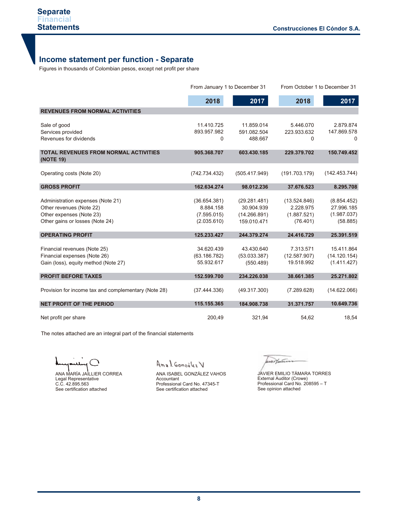## **Income statement per function - Separate**

| <b>Statements</b>                                                                                                            |                                                         |                                                           | <b>Construcciones El Cóndor S.A.</b>                 |                                                      |  |
|------------------------------------------------------------------------------------------------------------------------------|---------------------------------------------------------|-----------------------------------------------------------|------------------------------------------------------|------------------------------------------------------|--|
|                                                                                                                              |                                                         |                                                           |                                                      |                                                      |  |
| <b>Income statement per function - Separate</b>                                                                              |                                                         |                                                           |                                                      |                                                      |  |
| Figures in thousands of Colombian pesos, except net profit per share                                                         |                                                         |                                                           |                                                      |                                                      |  |
|                                                                                                                              |                                                         | From January 1 to December 31                             | From October 1 to December 31                        |                                                      |  |
|                                                                                                                              | 2018                                                    | 2017                                                      | 2018                                                 | 2017                                                 |  |
| <b>REVENUES FROM NORMAL ACTIVITIES</b>                                                                                       |                                                         |                                                           |                                                      |                                                      |  |
| Sale of good<br>Services provided<br>Revenues for dividends                                                                  | 11.410.725<br>893.957.982<br>0                          | 11.859.014<br>591.082.504<br>488.667                      | 5.446.070<br>223.933.632<br>$\Omega$                 | 2.879.874<br>147.869.578<br>$\Omega$                 |  |
| <b>TOTAL REVENUES FROM NORMAL ACTIVITIES</b><br>(NOTE 19)                                                                    | 905.368.707                                             | 603.430.185                                               | 229.379.702                                          | 150.749.452                                          |  |
| Operating costs (Note 20)                                                                                                    | (742.734.432)                                           | (505.417.949)                                             | (191.703.179)                                        | (142.453.744)                                        |  |
| <b>GROSS PROFIT</b>                                                                                                          | 162.634.274                                             | 98.012.236                                                | 37.676.523                                           | 8.295.708                                            |  |
| Administration expenses (Note 21)<br>Other revenues (Note 22)<br>Other expenses (Note 23)<br>Other gains or losses (Note 24) | (36.654.381)<br>8.884.158<br>(7.595.015)<br>(2.035.610) | (29.281.481)<br>30.904.939<br>(14.266.891)<br>159.010.471 | (13.524.846)<br>2.228.975<br>(1.887.521)<br>(76.401) | (8.854.452)<br>27.996.185<br>(1.987.037)<br>(58.885) |  |
| <b>OPERATING PROFIT</b>                                                                                                      | 125.233.427                                             | 244.379.274                                               | 24.416.729                                           | 25.391.519                                           |  |
| Financial revenues (Note 25)<br>Financial expenses (Note 26)<br>Gain (loss), equity method (Note 27)                         | 34.620.439<br>(63.186.782)<br>55.932.617                | 43.430.640<br>(53.033.387)<br>(550.489)                   | 7.313.571<br>(12.587.907)<br>19.518.992              | 15.411.864<br>(14.120.154)<br>(1.411.427)            |  |
| <b>PROFIT BEFORE TAXES</b>                                                                                                   | 152.599.700                                             | 234.226.038                                               | 38.661.385                                           | 25.271.802                                           |  |
| Provision for income tax and complementary (Note 28)                                                                         | (37.444.336)                                            | (49.317.300)                                              | (7.289.628)                                          | (14.622.066)                                         |  |
| <b>NET PROFIT OF THE PERIOD</b>                                                                                              | 115.155.365                                             | 184.908.738                                               | 31.371.757                                           | 10.649.736                                           |  |
| Net profit per share                                                                                                         | 200.49                                                  | 321,94                                                    | 54.62                                                | 18,54                                                |  |

The notes attached are an integral part of the financial statements

ANA MARÍA JAILLIER CORREA Legal Representative C.C. 42.895.563 See certification attached

Anal González V

ANA ISABEL GONZÁLEZ VAHOS Accountant Professional Card No. 47345-T See certification attached

wertann

JAVIER EMILIO TÁMARA TORRES External Auditor (Crowe) Professional Card No. 208595 – T See opinion attached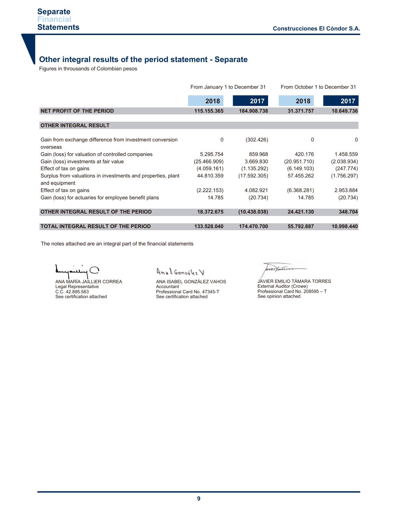## **Other integral results of the period statement - Separate**

Figures in throusands of Colombian pesos

|                                                                               |              | From January 1 to December 31 | From October 1 to December 31 |             |  |
|-------------------------------------------------------------------------------|--------------|-------------------------------|-------------------------------|-------------|--|
|                                                                               | 2018         | 2017                          | 2018                          | 2017        |  |
| <b>NET PROFIT OF THE PERIOD</b>                                               | 115.155.365  | 184.908.738                   | 31.371.757                    | 10.649.736  |  |
| <b>OTHER INTEGRAL RESULT</b>                                                  |              |                               |                               |             |  |
| Gain from exchange difference from investment conversion<br>overseas          | 0            | (302.426)                     | 0                             | 0           |  |
| Gain (loss) for valuation of controlled companies                             | 5.295.754    | 859.968                       | 420.176                       | 1.458.559   |  |
| Gain (loss) investments at fair value                                         | (25.466.909) | 3.669.830                     | (20.951.710)                  | (2.038.934) |  |
| Effect of tax on gains                                                        | (4.059.161)  | (1.135.292)                   | (6.149.103)                   | (247.774)   |  |
| Surplus from valuations in investments and properties, plant<br>and equipment | 44.810.359   | (17.592.305)                  | 57.455.262                    | (1.756.297) |  |
| Effect of tax on gains                                                        | (2.222.153)  | 4.082.921                     | (6.368.281)                   | 2.953.884   |  |
| Gain (loss) for actuaries for employee benefit plans                          | 14.785       | (20.734)                      | 14.785                        | (20.734)    |  |
| OTHER INTEGRAL RESULT OF THE PERIOD                                           | 18.372.675   | (10.438.038)                  | 24.421.130                    | 348.704     |  |
| <b>TOTAL INTEGRAL RESULT OF THE PERIOD</b>                                    | 133.528.040  | 174.470.700                   | 55.792.887                    | 10.998.440  |  |

The notes attached are an integral part of the financial statements

J, لمد

ANA MARÍA JAILLIER CORREA Legal Representative C.C. 42.895.563 See certification attached

Anal González V

ANA ISABEL GONZÁLEZ VAHOS Accountant Professional Card No. 47345-T See certification attached

werthin

JAVIER EMILIO TÁMARA TORRES External Auditor (Crowe) Professional Card No. 208595 – T See opinion attached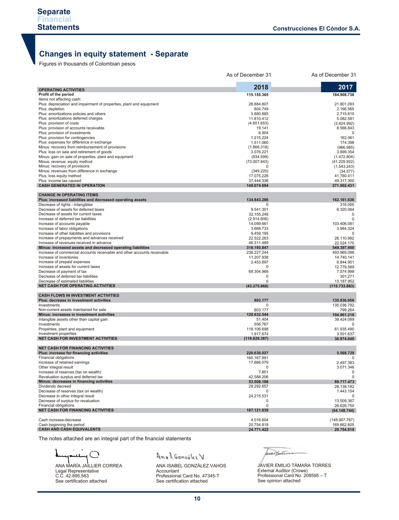## **Changes in equity statement - Separate**

Figures in thousands of Colombian pesos

|                                                                                                                                         | As of December 31         | As of December 31          |
|-----------------------------------------------------------------------------------------------------------------------------------------|---------------------------|----------------------------|
| <b>OPERATING ACTIVITIES</b>                                                                                                             | 2018                      | 2017                       |
| Profit of the period                                                                                                                    | 115.155.365               | 184.908.738                |
| Items not affecting cash:                                                                                                               |                           |                            |
| Plus: depreciation and impairment of properties, plant and equipment                                                                    | 28.884.807                | 21.801.093                 |
| Plus: depletion                                                                                                                         | 804.749                   | 2.166.565                  |
| Plus: amortizations policies and others                                                                                                 | 3.880.885                 | 2.715.610                  |
| Plus: amortizations deferred charges                                                                                                    | 11.810.412                | 5.082.581                  |
| Plus: provision of costs<br>Plus: provision of accounts receivable                                                                      | (4.651.653)<br>19.141     | (3.824.992)                |
| Plus: provision of investments                                                                                                          | 6.904                     | 8.566.843                  |
| Plus: provision for contingencies                                                                                                       | 1.215.224                 | 162.061                    |
| Plus: expenses for difference in exchange                                                                                               | 1.511.060                 | 174.398                    |
| Minus: recovery from reimbursement of provisions                                                                                        | (1.866.318)               | (966.985)                  |
| Plus: loss on sale and retirement of goods                                                                                              | 3.076.221                 | 3.899.354                  |
| Minus: gain on sale of properties, plant and equipment                                                                                  | (934.599)                 | (1.472.804)                |
| Minus: revenue, equity method                                                                                                           | (73.007.843)              | (41.229.922)               |
| Minus: recovery of provisions                                                                                                           |                           | (1.543.243)                |
| Minus: revenues from difference in exchange                                                                                             | (349.220)                 | (34.577)                   |
| Plus: loss equity method                                                                                                                | 17.075.226                | 41.780.411                 |
| Plus: income tax caused<br><b>CASH GENERATED IN OPERATION</b>                                                                           | 37.444.336                | 49.317.300                 |
|                                                                                                                                         | 140.074.694               | 271.502.431                |
| <b>CHANGE IN OPERATING ITEMS</b>                                                                                                        |                           |                            |
| Plus: increased liabilities and decreased operating assets                                                                              | 134.843.286               | 162.161.636                |
| Decrease of rights - intangibles                                                                                                        | 0                         | 316.000                    |
| Decrease of assets for deferred taxes                                                                                                   | 9.541.301                 | 6.320.064                  |
| Decrease of assets for current taxes                                                                                                    | 32.155.248                | $\mathbf 0$                |
| Increase of deferred tax liabilities                                                                                                    | (2.914.606)               | $\Omega$                   |
| Increase of accounts payable                                                                                                            | 14.099.661                | 103.406.081                |
| Increase of labor obligations                                                                                                           | 3.668.733                 | 3.984.324                  |
| Increase of other liabilities and provisions                                                                                            | 9.459.195                 | $\Omega$                   |
| Increase of prepayments and advances received                                                                                           | 22.522.263                | 26.110.992                 |
| Increase of revenues received in advance                                                                                                | 46.311.489<br>318.193.847 | 22.024.175                 |
| Minus: increased assets and decreased operating liabilities<br>Increase of commercial accounts receivable and other accounts receivable | 236.227.244               | 549.397.950<br>493.969.098 |
| Increase of inventories                                                                                                                 | 11.207.938                | 14.740.141                 |
| Increase of prepaid expenses                                                                                                            | 2.453.697                 | 6.844.901                  |
| Increase of assets for current taxes                                                                                                    | $\Omega$                  | 12.779.589                 |
| Decrease of payment of tax                                                                                                              | 68.304.968                | 7.574.998                  |
| Decrease of deferred tax liabilities                                                                                                    | 0                         | 301.271                    |
| Decrease of estimated liabilities                                                                                                       | 0                         | 13.187.952                 |
| <b>NET CASH FOR OPERATING ACTIVITIES</b>                                                                                                | (43.275.868)              | (115.733.883)              |
| <b>CASH FLOWS IN INVESTMENT ACTIVITIES</b>                                                                                              |                           |                            |
| Plus: decrease in investment activities                                                                                                 | 803.177                   | 135.836.056                |
| Investments                                                                                                                             | O                         | 135.036.792                |
| Non-current assets maintained for sale                                                                                                  | 803.177                   | 799.264                    |
| Minus: increases in investment activities                                                                                               | 120.632.544               | 104.861.216                |
| Intangible assets other than capital gain                                                                                               | 51.404                    | 39.424.089                 |
| Investments                                                                                                                             | 556.767                   | 0                          |
| Properties, plant and equipment                                                                                                         | 118.106.698               | 61.935.490                 |
| Investment properties                                                                                                                   | 1.917.674                 | 3.501.637                  |
| <b>NET CASH FOR INVESTMENT ACTIVITIES</b>                                                                                               | (119.829.367)             | 30.974.840                 |
| <b>NET CASH FOR FINANCING ACTIVITIES</b>                                                                                                |                           |                            |
| Plus: increase for financing activities                                                                                                 | 220.630.027               | 5.568.729                  |
| <b>Financial obligations</b>                                                                                                            | 160.167.891               | 0                          |
| Increase of retained earnings                                                                                                           | 17.866.079                | 2.497.383                  |
| Other integral result                                                                                                                   | U                         | 3.071.346                  |
| Increase of reserves (tax on wealth)                                                                                                    | 7.851                     | 0                          |
| Revaluation surplus and deferred tax                                                                                                    | 42.588.206                | 0                          |
| Minus: decreases in financing activities                                                                                                | 53.508.188                | 69.717.473                 |
| Dividends decreed                                                                                                                       | 29.292.657                | 28.138.182                 |
| Decrease of reserves (tax on wealth)                                                                                                    | 0                         | 1.443.154                  |
| Decrease in other integral result                                                                                                       | 24.215.531                |                            |
| Decrease of surplus for revaluation<br>Financial obligations                                                                            | 0<br>0                    | 13.509.387<br>26.626.750   |
| <b>NET CASH FOR FINANCING ACTIVITIES</b>                                                                                                | 167.121.839               | (64.148.744)               |
|                                                                                                                                         |                           |                            |
| Cash increase-decrease                                                                                                                  | 4.016.604                 | (148.907.787)              |
| Cash beginning the period                                                                                                               | 20.754.818                | 169.662.605                |
| <b>CASH AND CASH EQUIVALENTS</b>                                                                                                        | 24.771.422                | 20.754.818                 |

The notes attached are an integral part of the financial statements

J,

ANA MARÍA JAILLIER CORREA Legal Representative C.C. 42.895.563 See certification attached

## Anal González V

ANA ISABEL GONZÁLEZ VAHOS Accountant Professional Card No. 47345-T See certification attached

burtan

JAVIER EMILIO TÁMARA TORRES External Auditor (Crowe) Professional Card No. 208595 – T See opinion attached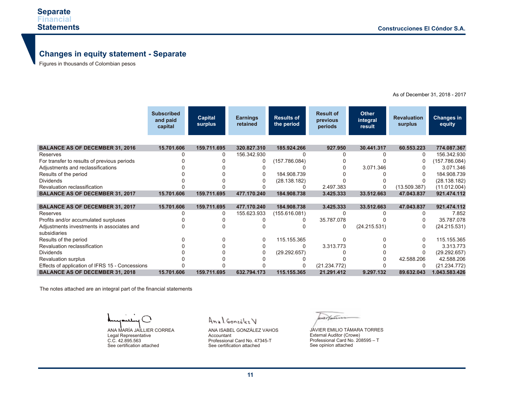# **Changes in equity statement - Separate**

Figures in thousands of Colombian pesos

|                                                 | <b>Subscribed</b><br>and paid<br>capital | Capital<br>surplus | <b>Earnings</b><br>retained | <b>Results of</b><br>the period | <b>Result of</b><br>previous<br>periods | <b>Other</b><br>integral<br>result | <b>Revaluation</b><br>surplus | Changes in<br>equity |
|-------------------------------------------------|------------------------------------------|--------------------|-----------------------------|---------------------------------|-----------------------------------------|------------------------------------|-------------------------------|----------------------|
| <b>BALANCE AS OF DECEMBER 31, 2016</b>          | 15.701.606                               | 159.711.695        | 320.827.310                 | 185.924.266                     | 927.950                                 | 30.441.317                         | 60.553.223                    | 774.087.367          |
| Reserves                                        |                                          | 0                  | 156.342.930                 |                                 |                                         |                                    | 0                             | 156.342.930          |
| For transfer to results of previous periods     |                                          |                    | 0                           | (157.786.084)                   |                                         |                                    | 0                             | (157.786.084)        |
| Adjustments and reclassifications               |                                          |                    |                             |                                 |                                         | 3.071.346                          |                               | 3.071.346            |
| Results of the period                           |                                          |                    | 0                           | 184.908.739                     |                                         |                                    |                               | 184.908.739          |
| <b>Dividends</b>                                |                                          |                    | 0                           | (28.138.182)                    |                                         |                                    |                               | (28.138.182)         |
| Revaluation reclassification                    |                                          |                    |                             |                                 | 2.497.383                               | 0                                  | (13.509.387)                  | (11.012.004)         |
| <b>BALANCE AS OF DECEMBER 31, 2017</b>          | 15.701.606                               | 159.711.695        | 477.170.240                 | 184.908.738                     | 3.425.333                               | 33.512.663                         | 47.043.837                    | 921.474.112          |
|                                                 |                                          |                    |                             |                                 |                                         |                                    |                               |                      |
| <b>BALANCE AS OF DECEMBER 31, 2017</b>          | 15.701.606                               | 159.711.695        | 477.170.240                 | 184.908.738                     | 3.425.333                               | 33.512.663                         | 47.043.837                    | 921.474.112          |
| Reserves                                        |                                          | 0                  | 155.623.933                 | (155.616.081)                   |                                         |                                    | O                             | 7.852                |
| Profits and/or accumulated surpluses            |                                          |                    |                             |                                 | 35.787.078                              |                                    |                               | 35.787.078           |
| Adjustments investments in associates and       |                                          |                    |                             |                                 | 0                                       | (24.215.531)                       | 0                             | (24.215.531)         |
| subsidiaries                                    |                                          |                    |                             |                                 |                                         |                                    |                               |                      |
| Results of the period                           |                                          |                    | 0                           | 115.155.365                     |                                         |                                    |                               | 115.155.365          |
| Revaluation reclassification                    |                                          |                    |                             | 0                               | 3.313.773                               |                                    |                               | 3.313.773            |
| <b>Dividends</b>                                |                                          |                    |                             | (29.292.657)                    |                                         |                                    |                               | (29.292.657)         |
| <b>Revaluation surplus</b>                      |                                          |                    |                             |                                 |                                         |                                    | 42.588.206                    | 42.588.206           |
| Effects of application of IFRS 15 - Concessions |                                          |                    |                             |                                 | (21.234.772)                            |                                    | 0                             | (21.234.772)         |
| <b>BALANCE AS OF DECEMBER 31, 2018</b>          | 15.701.606                               | 159.711.695        | 632.794.173                 | 115.155.365                     | 21.291.412                              | 9.297.132                          | 89.632.043                    | 1.043.583.426        |

As of December 31, 2018 - 2017

The notes attached are an integral part of the financial statements

 $\rightarrow$ ANA MARÍA JAILLIER CORREA Legal Representative C.C. 42.895.563 See certification attached

Anal González V

ANA ISABEL GONZÁLEZ VAHOS Accountant Professional Card No. 47345-T See certification attached

wer faire

JAVIER EMILIO TÁMARA TORRES External Auditor (Crowe) Professional Card No. 208595 – T See opinion attached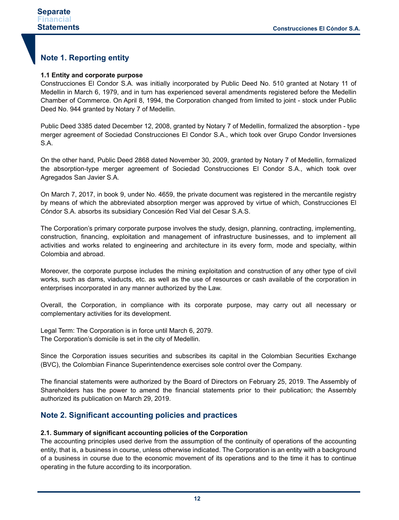## **Note 1. Reporting entity**

#### **1.1 Entity and corporate purpose**

Construcciones El Condor S.A. was initially incorporated by Public Deed No. 510 granted at Notary 11 of Medellin in March 6, 1979, and in turn has experienced several amendments registered before the Medellin Chamber of Commerce. On April 8, 1994, the Corporation changed from limited to joint - stock under Public Deed No. 944 granted by Notary 7 of Medellin.

Public Deed 3385 dated December 12, 2008, granted by Notary 7 of Medellin, formalized the absorption - type merger agreement of Sociedad Construcciones El Condor S.A., which took over Grupo Condor Inversiones S.A.

On the other hand, Public Deed 2868 dated November 30, 2009, granted by Notary 7 of Medellin, formalized the absorption-type merger agreement of Sociedad Construcciones El Condor S.A., which took over Agregados San Javier S.A.

On March 7, 2017, in book 9, under No. 4659, the private document was registered in the mercantile registry by means of which the abbreviated absorption merger was approved by virtue of which, Construcciones El Cóndor S.A. absorbs its subsidiary Concesión Red Vial del Cesar S.A.S.

The Corporation's primary corporate purpose involves the study, design, planning, contracting, implementing, construction, financing, exploitation and management of infrastructure businesses, and to implement all activities and works related to engineering and architecture in its every form, mode and specialty, within Colombia and abroad.

Moreover, the corporate purpose includes the mining exploitation and construction of any other type of civil works, such as dams, viaducts, etc. as well as the use of resources or cash available of the corporation in enterprises incorporated in any manner authorized by the Law.

Overall, the Corporation, in compliance with its corporate purpose, may carry out all necessary or complementary activities for its development.

Legal Term: The Corporation is in force until March 6, 2079. The Corporation's domicile is set in the city of Medellin.

Since the Corporation issues securities and subscribes its capital in the Colombian Securities Exchange (BVC), the Colombian Finance Superintendence exercises sole control over the Company.

The financial statements were authorized by the Board of Directors on February 25, 2019. The Assembly of Shareholders has the power to amend the financial statements prior to their publication; the Assembly authorized its publication on March 29, 2019.

### **Note 2. Significant accounting policies and practices**

#### **2.1. Summary of significant accounting policies of the Corporation**

The accounting principles used derive from the assumption of the continuity of operations of the accounting entity, that is, a business in course, unless otherwise indicated. The Corporation is an entity with a background of a business in course due to the economic movement of its operations and to the time it has to continue operating in the future according to its incorporation.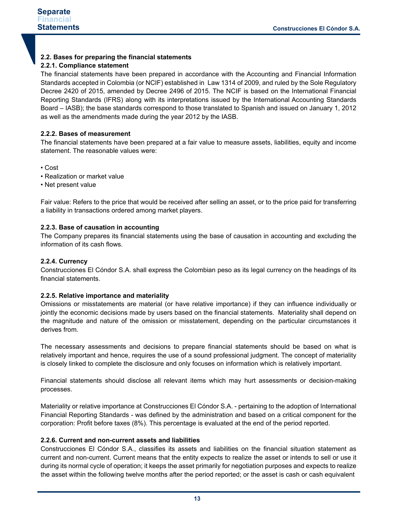## **2.2. Bases for preparing the financial statements**

#### **2.2.1. Compliance statement**

The financial statements have been prepared in accordance with the Accounting and Financial Information Standards accepted in Colombia (or NCIF) established in Law 1314 of 2009, and ruled by the Sole Regulatory Decree 2420 of 2015, amended by Decree 2496 of 2015. The NCIF is based on the International Financial Reporting Standards (IFRS) along with its interpretations issued by the International Accounting Standards Board – IASB); the base standards correspond to those translated to Spanish and issued on January 1, 2012 as well as the amendments made during the year 2012 by the IASB.

#### **2.2.2. Bases of measurement**

The financial statements have been prepared at a fair value to measure assets, liabilities, equity and income statement. The reasonable values were:

- Cost
- Realization or market value
- Net present value

Fair value: Refers to the price that would be received after selling an asset, or to the price paid for transferring a liability in transactions ordered among market players.

#### **2.2.3. Base of causation in accounting**

The Company prepares its financial statements using the base of causation in accounting and excluding the information of its cash flows.

#### **2.2.4. Currency**

Construcciones El Cóndor S.A. shall express the Colombian peso as its legal currency on the headings of its financial statements.

#### **2.2.5. Relative importance and materiality**

Omissions or misstatements are material (or have relative importance) if they can influence individually or jointly the economic decisions made by users based on the financial statements. Materiality shall depend on the magnitude and nature of the omission or misstatement, depending on the particular circumstances it derives from.

The necessary assessments and decisions to prepare financial statements should be based on what is relatively important and hence, requires the use of a sound professional judgment. The concept of materiality is closely linked to complete the disclosure and only focuses on information which is relatively important.

Financial statements should disclose all relevant items which may hurt assessments or decision-making processes.

Materiality or relative importance at Construcciones El Cóndor S.A. - pertaining to the adoption of International Financial Reporting Standards - was defined by the administration and based on a critical component for the corporation: Profit before taxes (8%). This percentage is evaluated at the end of the period reported.

#### **2.2.6. Current and non-current assets and liabilities**

Construcciones El Cóndor S.A., classifies its assets and liabilities on the financial situation statement as current and non-current. Current means that the entity expects to realize the asset or intends to sell or use it during its normal cycle of operation; it keeps the asset primarily for negotiation purposes and expects to realize the asset within the following twelve months after the period reported; or the asset is cash or cash equivalent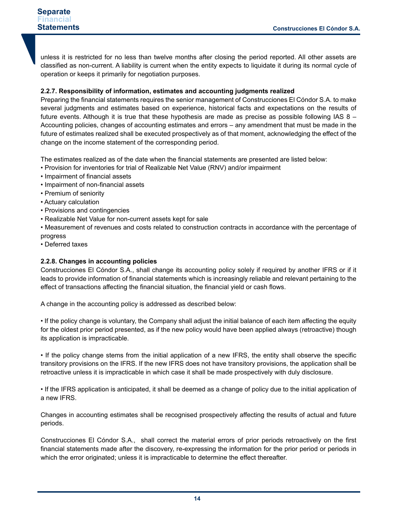unless it is restricted for no less than twelve months after closing the period reported. All other assets are classified as non-current. A liability is current when the entity expects to liquidate it during its normal cycle of operation or keeps it primarily for negotiation purposes.

#### **2.2.7. Responsibility of information, estimates and accounting judgments realized**

Preparing the financial statements requires the senior management of Construcciones El Cóndor S.A. to make several judgments and estimates based on experience, historical facts and expectations on the results of future events. Although it is true that these hypothesis are made as precise as possible following IAS 8 – Accounting policies, changes of accounting estimates and errors – any amendment that must be made in the future of estimates realized shall be executed prospectively as of that moment, acknowledging the effect of the change on the income statement of the corresponding period.

The estimates realized as of the date when the financial statements are presented are listed below:

- Provision for inventories for trial of Realizable Net Value (RNV) and/or impairment
- Impairment of financial assets
- Impairment of non-financial assets
- Premium of seniority
- Actuary calculation
- Provisions and contingencies
- Realizable Net Value for non-current assets kept for sale
- Measurement of revenues and costs related to construction contracts in accordance with the percentage of progress
- Deferred taxes

#### **2.2.8. Changes in accounting policies**

Construcciones El Cóndor S.A., shall change its accounting policy solely if required by another IFRS or if it leads to provide information of financial statements which is increasingly reliable and relevant pertaining to the effect of transactions affecting the financial situation, the financial yield or cash flows.

A change in the accounting policy is addressed as described below:

• If the policy change is voluntary, the Company shall adjust the initial balance of each item affecting the equity for the oldest prior period presented, as if the new policy would have been applied always (retroactive) though its application is impracticable.

• If the policy change stems from the initial application of a new IFRS, the entity shall observe the specific transitory provisions on the IFRS. If the new IFRS does not have transitory provisions, the application shall be retroactive unless it is impracticable in which case it shall be made prospectively with duly disclosure.

• If the IFRS application is anticipated, it shall be deemed as a change of policy due to the initial application of a new IFRS.

Changes in accounting estimates shall be recognised prospectively affecting the results of actual and future periods.

Construcciones El Cóndor S.A., shall correct the material errors of prior periods retroactively on the first financial statements made after the discovery, re-expressing the information for the prior period or periods in which the error originated; unless it is impracticable to determine the effect thereafter.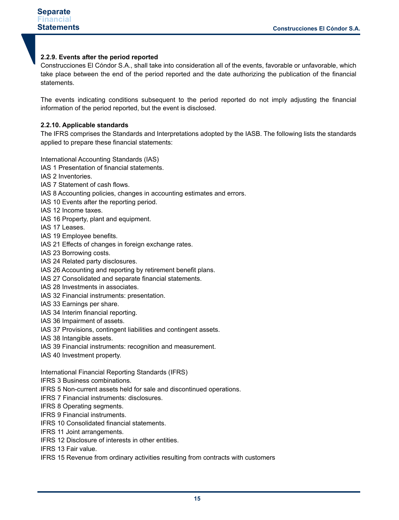#### **2.2.9. Events after the period reported**

Construcciones El Cóndor S.A., shall take into consideration all of the events, favorable or unfavorable, which take place between the end of the period reported and the date authorizing the publication of the financial statements.

The events indicating conditions subsequent to the period reported do not imply adjusting the financial information of the period reported, but the event is disclosed.

#### **2.2.10. Applicable standards**

The IFRS comprises the Standards and Interpretations adopted by the IASB. The following lists the standards applied to prepare these financial statements:

International Accounting Standards (IAS)

- IAS 1 Presentation of financial statements.
- IAS 2 Inventories.
- IAS 7 Statement of cash flows.
- IAS 8 Accounting policies, changes in accounting estimates and errors.
- IAS 10 Events after the reporting period.
- IAS 12 Income taxes.
- IAS 16 Property, plant and equipment.
- IAS 17 Leases.
- IAS 19 Employee benefits.
- IAS 21 Effects of changes in foreign exchange rates.
- IAS 23 Borrowing costs.
- IAS 24 Related party disclosures.
- IAS 26 Accounting and reporting by retirement benefit plans.
- IAS 27 Consolidated and separate financial statements.
- IAS 28 Investments in associates.
- IAS 32 Financial instruments: presentation.
- IAS 33 Earnings per share.
- IAS 34 Interim financial reporting.
- IAS 36 Impairment of assets.
- IAS 37 Provisions, contingent liabilities and contingent assets.
- IAS 38 Intangible assets.
- IAS 39 Financial instruments: recognition and measurement.
- IAS 40 Investment property.

International Financial Reporting Standards (IFRS)

- IFRS 3 Business combinations.
- IFRS 5 Non-current assets held for sale and discontinued operations.
- IFRS 7 Financial instruments: disclosures.
- IFRS 8 Operating segments.
- IFRS 9 Financial instruments.
- IFRS 10 Consolidated financial statements.
- IFRS 11 Joint arrangements.
- IFRS 12 Disclosure of interests in other entities.
- IFRS 13 Fair value.
- IFRS 15 Revenue from ordinary activities resulting from contracts with customers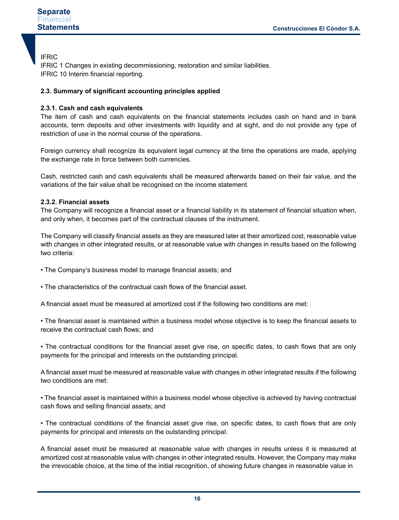#### IFRIC

IFRIC 1 Changes in existing decommissioning, restoration and similar liabilities. IFRIC 10 Interim financial reporting.

#### **2.3. Summary of significant accounting principles applied**

#### **2.3.1. Cash and cash equivalents**

The item of cash and cash equivalents on the financial statements includes cash on hand and in bank accounts, term deposits and other investments with liquidity and at sight, and do not provide any type of restriction of use in the normal course of the operations.

Foreign currency shall recognize its equivalent legal currency at the time the operations are made, applying the exchange rate in force between both currencies.

Cash, restricted cash and cash equivalents shall be measured afterwards based on their fair value, and the variations of the fair value shall be recognised on the income statement.

#### **2.3.2. Financial assets**

The Company will recognize a financial asset or a financial liability in its statement of financial situation when, and only when, it becomes part of the contractual clauses of the instrument.

The Company will classify financial assets as they are measured later at their amortized cost, reasonable value with changes in other integrated results, or at reasonable value with changes in results based on the following two criteria:

• The Company's business model to manage financial assets; and

• The characteristics of the contractual cash flows of the financial asset.

A financial asset must be measured at amortized cost if the following two conditions are met:

• The financial asset is maintained within a business model whose objective is to keep the financial assets to receive the contractual cash flows; and

• The contractual conditions for the financial asset give rise, on specific dates, to cash flows that are only payments for the principal and interests on the outstanding principal.

A financial asset must be measured at reasonable value with changes in other integrated results if the following two conditions are met:

• The financial asset is maintained within a business model whose objective is achieved by having contractual cash flows and selling financial assets; and

• The contractual conditions of the financial asset give rise, on specific dates, to cash flows that are only payments for principal and interests on the outstanding principal.

A financial asset must be measured at reasonable value with changes in results unless it is measured at amortized cost at reasonable value with changes in other integrated results. However, the Company may make the irrevocable choice, at the time of the initial recognition, of showing future changes in reasonable value in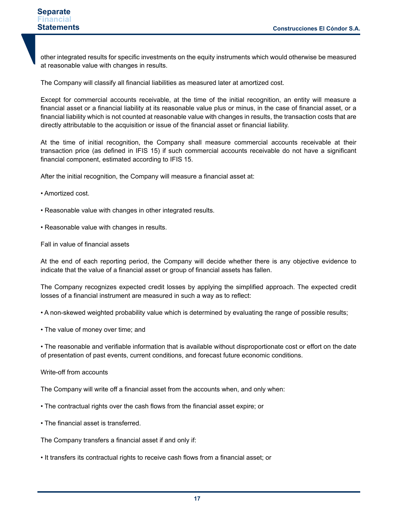other integrated results for specific investments on the equity instruments which would otherwise be measured at reasonable value with changes in results.

The Company will classify all financial liabilities as measured later at amortized cost.

Except for commercial accounts receivable, at the time of the initial recognition, an entity will measure a financial asset or a financial liability at its reasonable value plus or minus, in the case of financial asset, or a financial liability which is not counted at reasonable value with changes in results, the transaction costs that are directly attributable to the acquisition or issue of the financial asset or financial liability.

At the time of initial recognition, the Company shall measure commercial accounts receivable at their transaction price (as defined in IFIS 15) if such commercial accounts receivable do not have a significant financial component, estimated according to IFIS 15.

After the initial recognition, the Company will measure a financial asset at:

- Amortized cost.
- Reasonable value with changes in other integrated results.
- Reasonable value with changes in results.

Fall in value of financial assets

At the end of each reporting period, the Company will decide whether there is any objective evidence to indicate that the value of a financial asset or group of financial assets has fallen.

The Company recognizes expected credit losses by applying the simplified approach. The expected credit losses of a financial instrument are measured in such a way as to reflect:

• A non-skewed weighted probability value which is determined by evaluating the range of possible results;

• The value of money over time; and

• The reasonable and verifiable information that is available without disproportionate cost or effort on the date of presentation of past events, current conditions, and forecast future economic conditions.

Write-off from accounts

The Company will write off a financial asset from the accounts when, and only when:

- The contractual rights over the cash flows from the financial asset expire; or
- The financial asset is transferred.

The Company transfers a financial asset if and only if:

• It transfers its contractual rights to receive cash flows from a financial asset; or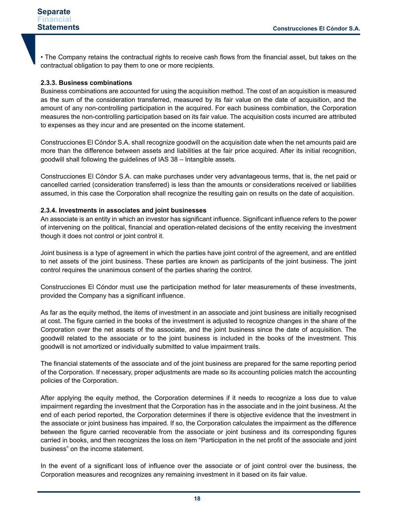• The Company retains the contractual rights to receive cash flows from the financial asset, but takes on the contractual obligation to pay them to one or more recipients.

#### **2.3.3. Business combinations**

Business combinations are accounted for using the acquisition method. The cost of an acquisition is measured as the sum of the consideration transferred, measured by its fair value on the date of acquisition, and the amount of any non-controlling participation in the acquired. For each business combination, the Corporation measures the non-controlling participation based on its fair value. The acquisition costs incurred are attributed to expenses as they incur and are presented on the income statement.

Construcciones El Cóndor S.A. shall recognize goodwill on the acquisition date when the net amounts paid are more than the difference between assets and liabilities at the fair price acquired. After its initial recognition, goodwill shall following the guidelines of IAS 38 – Intangible assets.

Construcciones El Cóndor S.A. can make purchases under very advantageous terms, that is, the net paid or cancelled carried (consideration transferred) is less than the amounts or considerations received or liabilities assumed, in this case the Corporation shall recognize the resulting gain on results on the date of acquisition.

#### **2.3.4. Investments in associates and joint businesses**

An associate is an entity in which an investor has significant influence. Significant influence refers to the power of intervening on the political, financial and operation-related decisions of the entity receiving the investment though it does not control or joint control it.

Joint business is a type of agreement in which the parties have joint control of the agreement, and are entitled to net assets of the joint business. These parties are known as participants of the joint business. The joint control requires the unanimous consent of the parties sharing the control.

Construcciones El Cóndor must use the participation method for later measurements of these investments, provided the Company has a significant influence.

As far as the equity method, the items of investment in an associate and joint business are initially recognised at cost. The figure carried in the books of the investment is adjusted to recognize changes in the share of the Corporation over the net assets of the associate, and the joint business since the date of acquisition. The goodwill related to the associate or to the joint business is included in the books of the investment. This goodwill is not amortized or individually submitted to value impairment trails.

The financial statements of the associate and of the joint business are prepared for the same reporting period of the Corporation. If necessary, proper adjustments are made so its accounting policies match the accounting policies of the Corporation.

After applying the equity method, the Corporation determines if it needs to recognize a loss due to value impairment regarding the investment that the Corporation has in the associate and in the joint business. At the end of each period reported, the Corporation determines if there is objective evidence that the investment in the associate or joint business has impaired. If so, the Corporation calculates the impairment as the difference between the figure carried recoverable from the associate or joint business and its corresponding figures carried in books, and then recognizes the loss on item "Participation in the net profit of the associate and joint business" on the income statement.

In the event of a significant loss of influence over the associate or of joint control over the business, the Corporation measures and recognizes any remaining investment in it based on its fair value.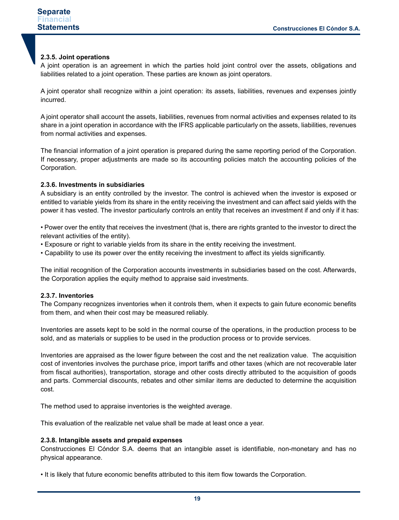#### **2.3.5. Joint operations**

A joint operation is an agreement in which the parties hold joint control over the assets, obligations and liabilities related to a joint operation. These parties are known as joint operators.

A joint operator shall recognize within a joint operation: its assets, liabilities, revenues and expenses jointly incurred.

A joint operator shall account the assets, liabilities, revenues from normal activities and expenses related to its share in a joint operation in accordance with the IFRS applicable particularly on the assets, liabilities, revenues from normal activities and expenses.

The financial information of a joint operation is prepared during the same reporting period of the Corporation. If necessary, proper adjustments are made so its accounting policies match the accounting policies of the Corporation.

#### **2.3.6. Investments in subsidiaries**

A subsidiary is an entity controlled by the investor. The control is achieved when the investor is exposed or entitled to variable yields from its share in the entity receiving the investment and can affect said yields with the power it has vested. The investor particularly controls an entity that receives an investment if and only if it has:

• Power over the entity that receives the investment (that is, there are rights granted to the investor to direct the relevant activities of the entity).

• Exposure or right to variable yields from its share in the entity receiving the investment.

• Capability to use its power over the entity receiving the investment to affect its yields significantly.

The initial recognition of the Corporation accounts investments in subsidiaries based on the cost. Afterwards, the Corporation applies the equity method to appraise said investments.

#### **2.3.7. Inventories**

The Company recognizes inventories when it controls them, when it expects to gain future economic benefits from them, and when their cost may be measured reliably.

Inventories are assets kept to be sold in the normal course of the operations, in the production process to be sold, and as materials or supplies to be used in the production process or to provide services.

Inventories are appraised as the lower figure between the cost and the net realization value. The acquisition cost of inventories involves the purchase price, import tariffs and other taxes (which are not recoverable later from fiscal authorities), transportation, storage and other costs directly attributed to the acquisition of goods and parts. Commercial discounts, rebates and other similar items are deducted to determine the acquisition cost.

The method used to appraise inventories is the weighted average.

This evaluation of the realizable net value shall be made at least once a year.

#### **2.3.8. Intangible assets and prepaid expenses**

Construcciones El Cóndor S.A. deems that an intangible asset is identifiable, non-monetary and has no physical appearance.

• It is likely that future economic benefits attributed to this item flow towards the Corporation.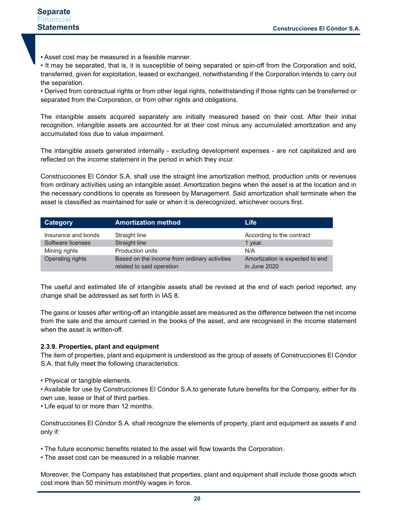• Asset cost may be measured in a feasible manner.

• It may be separated, that is, it is susceptible of being separated or spin-off from the Corporation and sold, transferred, given for exploitation, leased or exchanged, notwithstanding if the Corporation intends to carry out the separation.

• Derived from contractual rights or from other legal rights, notwithstanding if those rights can be transferred or separated from the Corporation, or from other rights and obligations.

The intangible assets acquired separately are initially measured based on their cost. After their initial recognition, intangible assets are accounted for at their cost minus any accumulated amortization and any accumulated loss due to value impairment.

The intangible assets generated internally - excluding development expenses - are not capitalized and are reflected on the income statement in the period in which they incur.

Construcciones El Cóndor S.A. shall use the straight line amortization method, production units or revenues from ordinary activities using an intangible asset. Amortization begins when the asset is at the location and in the necessary conditions to operate as foreseen by Management. Said amortization shall terminate when the asset is classified as maintained for sale or when it is derecognized, whichever occurs first.

| Category            | <b>Amortization method</b>                                                | Life                                            |
|---------------------|---------------------------------------------------------------------------|-------------------------------------------------|
| Insurance and bonds | Straight line                                                             | According to the contract                       |
| Software licenses   | Straight line                                                             | 1 year.                                         |
| Mining rights       | <b>Production units</b>                                                   | N/A                                             |
| Operating rights    | Based on the income from ordinary activities<br>related to said operation | Amortization is expected to end<br>in June 2020 |

The useful and estimated life of intangible assets shall be revised at the end of each period reported; any change shall be addressed as set forth in IAS 8.

The gains or losses after writing-off an intangible asset are measured as the difference between the net income from the sale and the amount carried in the books of the asset, and are recognised in the income statement when the asset is written-off.

#### **2.3.9. Properties, plant and equipment**

The item of properties, plant and equipment is understood as the group of assets of Construcciones El Cóndor S.A. that fully meet the following characteristics:

• Physical or tangible elements.

• Available for use by Construcciones El Cóndor S.A.to generate future benefits for the Company, either for its own use, lease or that of third parties.

• Life equal to or more than 12 months.

Construcciones El Cóndor S.A. shall recognize the elements of property, plant and equipment as assets if and only if:

• The future economic benefits related to the asset will flow towards the Corporation.

• The asset cost can be measured in a reliable manner.

Moreover, the Company has established that properties, plant and equipment shall include those goods which cost more than 50 minimum monthly wages in force.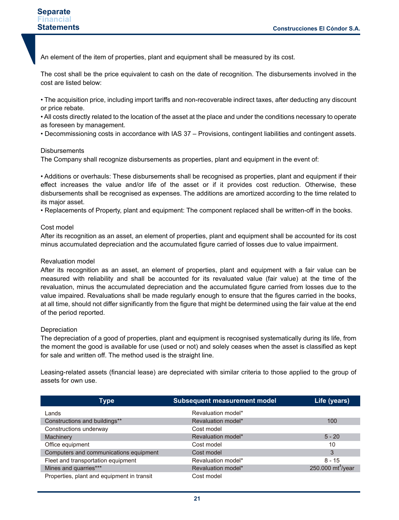An element of the item of properties, plant and equipment shall be measured by its cost.

The cost shall be the price equivalent to cash on the date of recognition. The disbursements involved in the cost are listed below:

• The acquisition price, including import tariffs and non-recoverable indirect taxes, after deducting any discount or price rebate.

• All costs directly related to the location of the asset at the place and under the conditions necessary to operate as foreseen by management.

• Decommissioning costs in accordance with IAS 37 – Provisions, contingent liabilities and contingent assets.

#### **Disbursements**

The Company shall recognize disbursements as properties, plant and equipment in the event of:

• Additions or overhauls: These disbursements shall be recognised as properties, plant and equipment if their effect increases the value and/or life of the asset or if it provides cost reduction. Otherwise, these disbursements shall be recognised as expenses. The additions are amortized according to the time related to its major asset.

• Replacements of Property, plant and equipment: The component replaced shall be written-off in the books.

#### Cost model

After its recognition as an asset, an element of properties, plant and equipment shall be accounted for its cost minus accumulated depreciation and the accumulated figure carried of losses due to value impairment.

#### Revaluation model

After its recognition as an asset, an element of properties, plant and equipment with a fair value can be measured with reliability and shall be accounted for its revaluated value (fair value) at the time of the revaluation, minus the accumulated depreciation and the accumulated figure carried from losses due to the value impaired. Revaluations shall be made regularly enough to ensure that the figures carried in the books, at all time, should not differ significantly from the figure that might be determined using the fair value at the end of the period reported.

#### **Depreciation**

The depreciation of a good of properties, plant and equipment is recognised systematically during its life, from the moment the good is available for use (used or not) and solely ceases when the asset is classified as kept for sale and written off. The method used is the straight line.

Leasing-related assets (financial lease) are depreciated with similar criteria to those applied to the group of assets for own use.

| Type                                       | <b>Subsequent measurement model</b> | Life (years)         |
|--------------------------------------------|-------------------------------------|----------------------|
| Lands                                      | Revaluation model*                  |                      |
| Constructions and buildings**              | Revaluation model*                  | 100                  |
| Constructions underway                     | Cost model                          |                      |
| Machinery                                  | Revaluation model*                  | $5 - 20$             |
| Office equipment                           | Cost model                          | 10                   |
| Computers and communications equipment     | Cost model                          | 3                    |
| Fleet and transportation equipment         | Revaluation model*                  | $8 - 15$             |
| Mines and quarries***                      | Revaluation model*                  | 250.000 $mt^3$ /year |
| Properties, plant and equipment in transit | Cost model                          |                      |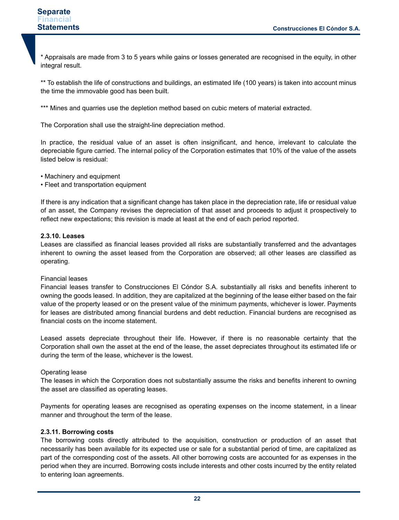\* Appraisals are made from 3 to 5 years while gains or losses generated are recognised in the equity, in other integral result.

\*\* To establish the life of constructions and buildings, an estimated life (100 years) is taken into account minus the time the immovable good has been built.

\*\*\* Mines and quarries use the depletion method based on cubic meters of material extracted.

The Corporation shall use the straight-line depreciation method.

In practice, the residual value of an asset is often insignificant, and hence, irrelevant to calculate the depreciable figure carried. The internal policy of the Corporation estimates that 10% of the value of the assets listed below is residual:

• Machinery and equipment

• Fleet and transportation equipment

If there is any indication that a significant change has taken place in the depreciation rate, life or residual value of an asset, the Company revises the depreciation of that asset and proceeds to adjust it prospectively to reflect new expectations; this revision is made at least at the end of each period reported.

#### **2.3.10. Leases**

Leases are classified as financial leases provided all risks are substantially transferred and the advantages inherent to owning the asset leased from the Corporation are observed; all other leases are classified as operating.

#### Financial leases

Financial leases transfer to Construcciones El Cóndor S.A. substantially all risks and benefits inherent to owning the goods leased. In addition, they are capitalized at the beginning of the lease either based on the fair value of the property leased or on the present value of the minimum payments, whichever is lower. Payments for leases are distributed among financial burdens and debt reduction. Financial burdens are recognised as financial costs on the income statement.

Leased assets depreciate throughout their life. However, if there is no reasonable certainty that the Corporation shall own the asset at the end of the lease, the asset depreciates throughout its estimated life or during the term of the lease, whichever is the lowest.

#### Operating lease

The leases in which the Corporation does not substantially assume the risks and benefits inherent to owning the asset are classified as operating leases.

Payments for operating leases are recognised as operating expenses on the income statement, in a linear manner and throughout the term of the lease.

#### **2.3.11. Borrowing costs**

The borrowing costs directly attributed to the acquisition, construction or production of an asset that necessarily has been available for its expected use or sale for a substantial period of time, are capitalized as part of the corresponding cost of the assets. All other borrowing costs are accounted for as expenses in the period when they are incurred. Borrowing costs include interests and other costs incurred by the entity related to entering loan agreements.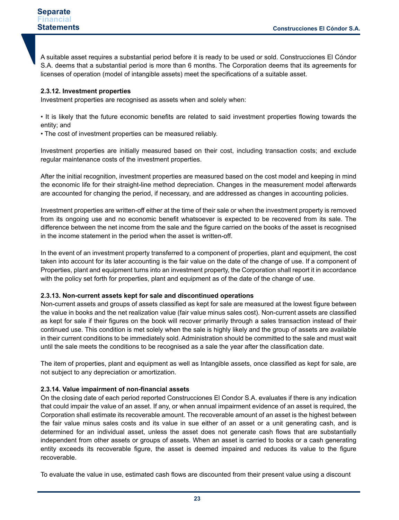A suitable asset requires a substantial period before it is ready to be used or sold. Construcciones El Cóndor S.A. deems that a substantial period is more than 6 months. The Corporation deems that its agreements for licenses of operation (model of intangible assets) meet the specifications of a suitable asset.

#### **2.3.12. Investment properties**

Investment properties are recognised as assets when and solely when:

• It is likely that the future economic benefits are related to said investment properties flowing towards the entity; and

• The cost of investment properties can be measured reliably.

Investment properties are initially measured based on their cost, including transaction costs; and exclude regular maintenance costs of the investment properties.

After the initial recognition, investment properties are measured based on the cost model and keeping in mind the economic life for their straight-line method depreciation. Changes in the measurement model afterwards are accounted for changing the period, if necessary, and are addressed as changes in accounting policies.

Investment properties are written-off either at the time of their sale or when the investment property is removed from its ongoing use and no economic benefit whatsoever is expected to be recovered from its sale. The difference between the net income from the sale and the figure carried on the books of the asset is recognised in the income statement in the period when the asset is written-off.

In the event of an investment property transferred to a component of properties, plant and equipment, the cost taken into account for its later accounting is the fair value on the date of the change of use. If a component of Properties, plant and equipment turns into an investment property, the Corporation shall report it in accordance with the policy set forth for properties, plant and equipment as of the date of the change of use.

#### **2.3.13. Non-current assets kept for sale and discontinued operations**

Non-current assets and groups of assets classified as kept for sale are measured at the lowest figure between the value in books and the net realization value (fair value minus sales cost). Non-current assets are classified as kept for sale if their figures on the book will recover primarily through a sales transaction instead of their continued use. This condition is met solely when the sale is highly likely and the group of assets are available in their current conditions to be immediately sold. Administration should be committed to the sale and must wait until the sale meets the conditions to be recognised as a sale the year after the classification date.

The item of properties, plant and equipment as well as Intangible assets, once classified as kept for sale, are not subject to any depreciation or amortization.

#### **2.3.14. Value impairment of non-financial assets**

On the closing date of each period reported Construcciones El Condor S.A. evaluates if there is any indication that could impair the value of an asset. If any, or when annual impairment evidence of an asset is required, the Corporation shall estimate its recoverable amount. The recoverable amount of an asset is the highest between the fair value minus sales costs and its value in sue either of an asset or a unit generating cash, and is determined for an individual asset, unless the asset does not generate cash flows that are substantially independent from other assets or groups of assets. When an asset is carried to books or a cash generating entity exceeds its recoverable figure, the asset is deemed impaired and reduces its value to the figure recoverable.

To evaluate the value in use, estimated cash flows are discounted from their present value using a discount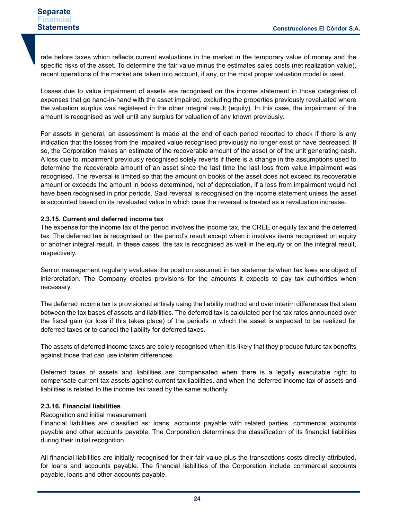rate before taxes which reflects current evaluations in the market in the temporary value of money and the specific risks of the asset. To determine the fair value minus the estimates sales costs (net realization value), recent operations of the market are taken into account, if any, or the most proper valuation model is used.

Losses due to value impairment of assets are recognised on the income statement in those categories of expenses that go hand-in-hand with the asset impaired, excluding the properties previously revaluated where the valuation surplus was registered in the other integral result (equity). In this case, the impairment of the amount is recognised as well until any surplus for valuation of any known previously.

For assets in general, an assessment is made at the end of each period reported to check if there is any indication that the losses from the impaired value recognised previously no longer exist or have decreased. If so, the Corporation makes an estimate of the recoverable amount of the asset or of the unit generating cash. A loss due to impairment previously recognised solely reverts if there is a change in the assumptions used to determine the recoverable amount of an asset since the last time the last loss from value impairment was recognised. The reversal is limited so that the amount on books of the asset does not exceed its recoverable amount or exceeds the amount in books determined, net of depreciation, if a loss from impairment would not have been recognised in prior periods. Said reversal is recognised on the income statement unless the asset is accounted based on its revaluated value in which case the reversal is treated as a revaluation increase.

#### **2.3.15. Current and deferred income tax**

The expense for the income tax of the period involves the income tax, the CREE or equity tax and the deferred tax. The deferred tax is recognised on the period's result except when it involves items recognised on equity or another integral result. In these cases, the tax is recognised as well in the equity or on the integral result, respectively.

Senior management regularly evaluates the position assumed in tax statements when tax laws are object of interpretation. The Company creates provisions for the amounts it expects to pay tax authorities when necessary.

The deferred income tax is provisioned entirely using the liability method and over interim differences that stem between the tax bases of assets and liabilities. The deferred tax is calculated per the tax rates announced over the fiscal gain (or loss if this takes place) of the periods in which the asset is expected to be realized for deferred taxes or to cancel the liability for deferred taxes.

The assets of deferred income taxes are solely recognised when it is likely that they produce future tax benefits against those that can use interim differences.

Deferred taxes of assets and liabilities are compensated when there is a legally executable right to compensate current tax assets against current tax liabilities, and when the deferred income tax of assets and liabilities is related to the income tax taxed by the same authority.

#### **2.3.16. Financial liabilities**

#### Recognition and initial measurement

Financial liabilities are classified as: loans, accounts payable with related parties, commercial accounts payable and other accounts payable. The Corporation determines the classification of its financial liabilities during their initial recognition.

All financial liabilities are initially recognised for their fair value plus the transactions costs directly attributed, for loans and accounts payable. The financial liabilities of the Corporation include commercial accounts payable, loans and other accounts payable.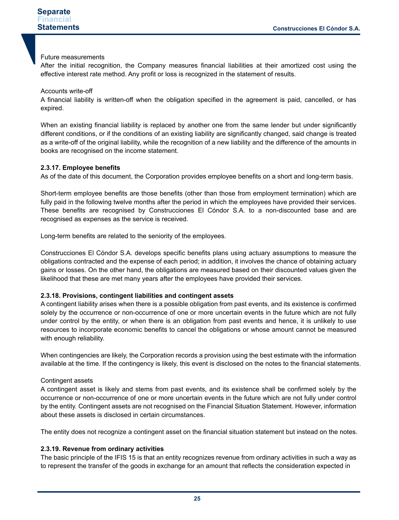#### Future measurements

After the initial recognition, the Company measures financial liabilities at their amortized cost using the effective interest rate method. Any profit or loss is recognized in the statement of results.

#### Accounts write-off

A financial liability is written-off when the obligation specified in the agreement is paid, cancelled, or has expired.

When an existing financial liability is replaced by another one from the same lender but under significantly different conditions, or if the conditions of an existing liability are significantly changed, said change is treated as a write-off of the original liability, while the recognition of a new liability and the difference of the amounts in books are recognised on the income statement.

#### **2.3.17. Employee benefits**

As of the date of this document, the Corporation provides employee benefits on a short and long-term basis.

Short-term employee benefits are those benefits (other than those from employment termination) which are fully paid in the following twelve months after the period in which the employees have provided their services. These benefits are recognised by Construcciones El Cóndor S.A. to a non-discounted base and are recognised as expenses as the service is received.

Long-term benefits are related to the seniority of the employees.

Construcciones El Cóndor S.A. develops specific benefits plans using actuary assumptions to measure the obligations contracted and the expense of each period; in addition, it involves the chance of obtaining actuary gains or losses. On the other hand, the obligations are measured based on their discounted values given the likelihood that these are met many years after the employees have provided their services.

#### **2.3.18. Provisions, contingent liabilities and contingent assets**

A contingent liability arises when there is a possible obligation from past events, and its existence is confirmed solely by the occurrence or non-occurrence of one or more uncertain events in the future which are not fully under control by the entity, or when there is an obligation from past events and hence, it is unlikely to use resources to incorporate economic benefits to cancel the obligations or whose amount cannot be measured with enough reliability.

When contingencies are likely, the Corporation records a provision using the best estimate with the information available at the time. If the contingency is likely, this event is disclosed on the notes to the financial statements.

#### Contingent assets

A contingent asset is likely and stems from past events, and its existence shall be confirmed solely by the occurrence or non-occurrence of one or more uncertain events in the future which are not fully under control by the entity. Contingent assets are not recognised on the Financial Situation Statement. However, information about these assets is disclosed in certain circumstances.

The entity does not recognize a contingent asset on the financial situation statement but instead on the notes.

#### **2.3.19. Revenue from ordinary activities**

The basic principle of the IFIS 15 is that an entity recognizes revenue from ordinary activities in such a way as to represent the transfer of the goods in exchange for an amount that reflects the consideration expected in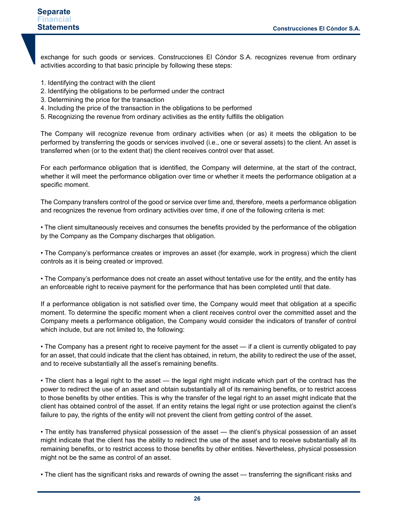#### **Separate Financial Statements**

exchange for such goods or services. Construcciones El Cóndor S.A. recognizes revenue from ordinary activities according to that basic principle by following these steps:

- 1. Identifying the contract with the client
- 2. Identifying the obligations to be performed under the contract
- 3. Determining the price for the transaction
- 4. Including the price of the transaction in the obligations to be performed
- 5. Recognizing the revenue from ordinary activities as the entity fulfills the obligation

The Company will recognize revenue from ordinary activities when (or as) it meets the obligation to be performed by transferring the goods or services involved (i.e., one or several assets) to the client. An asset is transferred when (or to the extent that) the client receives control over that asset.

For each performance obligation that is identified, the Company will determine, at the start of the contract, whether it will meet the performance obligation over time or whether it meets the performance obligation at a specific moment.

The Company transfers control of the good or service over time and, therefore, meets a performance obligation and recognizes the revenue from ordinary activities over time, if one of the following criteria is met:

• The client simultaneously receives and consumes the benefits provided by the performance of the obligation by the Company as the Company discharges that obligation.

• The Company's performance creates or improves an asset (for example, work in progress) which the client controls as it is being created or improved.

• The Company's performance does not create an asset without tentative use for the entity, and the entity has an enforceable right to receive payment for the performance that has been completed until that date.

If a performance obligation is not satisfied over time, the Company would meet that obligation at a specific moment. To determine the specific moment when a client receives control over the committed asset and the Company meets a performance obligation, the Company would consider the indicators of transfer of control which include, but are not limited to, the following:

• The Company has a present right to receive payment for the asset — if a client is currently obligated to pay for an asset, that could indicate that the client has obtained, in return, the ability to redirect the use of the asset, and to receive substantially all the asset's remaining benefits.

• The client has a legal right to the asset — the legal right might indicate which part of the contract has the power to redirect the use of an asset and obtain substantially all of its remaining benefits, or to restrict access to those benefits by other entities. This is why the transfer of the legal right to an asset might indicate that the client has obtained control of the asset. If an entity retains the legal right or use protection against the client's failure to pay, the rights of the entity will not prevent the client from getting control of the asset.

• The entity has transferred physical possession of the asset — the client's physical possession of an asset might indicate that the client has the ability to redirect the use of the asset and to receive substantially all its remaining benefits, or to restrict access to those benefits by other entities. Nevertheless, physical possession might not be the same as control of an asset.

• The client has the significant risks and rewards of owning the asset — transferring the significant risks and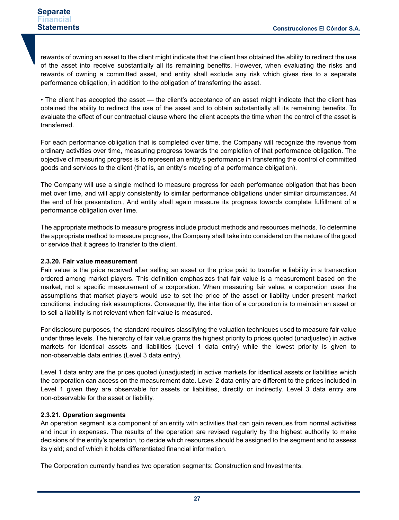rewards of owning an asset to the client might indicate that the client has obtained the ability to redirect the use of the asset into receive substantially all its remaining benefits. However, when evaluating the risks and rewards of owning a committed asset, and entity shall exclude any risk which gives rise to a separate performance obligation, in addition to the obligation of transferring the asset.

• The client has accepted the asset — the client's acceptance of an asset might indicate that the client has obtained the ability to redirect the use of the asset and to obtain substantially all its remaining benefits. To evaluate the effect of our contractual clause where the client accepts the time when the control of the asset is transferred.

For each performance obligation that is completed over time, the Company will recognize the revenue from ordinary activities over time, measuring progress towards the completion of that performance obligation. The objective of measuring progress is to represent an entity's performance in transferring the control of committed goods and services to the client (that is, an entity's meeting of a performance obligation).

The Company will use a single method to measure progress for each performance obligation that has been met over time, and will apply consistently to similar performance obligations under similar circumstances. At the end of his presentation., And entity shall again measure its progress towards complete fulfillment of a performance obligation over time.

The appropriate methods to measure progress include product methods and resources methods. To determine the appropriate method to measure progress, the Company shall take into consideration the nature of the good or service that it agrees to transfer to the client.

#### **2.3.20. Fair value measurement**

Fair value is the price received after selling an asset or the price paid to transfer a liability in a transaction ordered among market players. This definition emphasizes that fair value is a measurement based on the market, not a specific measurement of a corporation. When measuring fair value, a corporation uses the assumptions that market players would use to set the price of the asset or liability under present market conditions, including risk assumptions. Consequently, the intention of a corporation is to maintain an asset or to sell a liability is not relevant when fair value is measured.

For disclosure purposes, the standard requires classifying the valuation techniques used to measure fair value under three levels. The hierarchy of fair value grants the highest priority to prices quoted (unadjusted) in active markets for identical assets and liabilities (Level 1 data entry) while the lowest priority is given to non-observable data entries (Level 3 data entry).

Level 1 data entry are the prices quoted (unadjusted) in active markets for identical assets or liabilities which the corporation can access on the measurement date. Level 2 data entry are different to the prices included in Level 1 given they are observable for assets or liabilities, directly or indirectly. Level 3 data entry are non-observable for the asset or liability.

#### **2.3.21. Operation segments**

An operation segment is a component of an entity with activities that can gain revenues from normal activities and incur in expenses. The results of the operation are revised regularly by the highest authority to make decisions of the entity's operation, to decide which resources should be assigned to the segment and to assess its yield; and of which it holds differentiated financial information.

The Corporation currently handles two operation segments: Construction and Investments.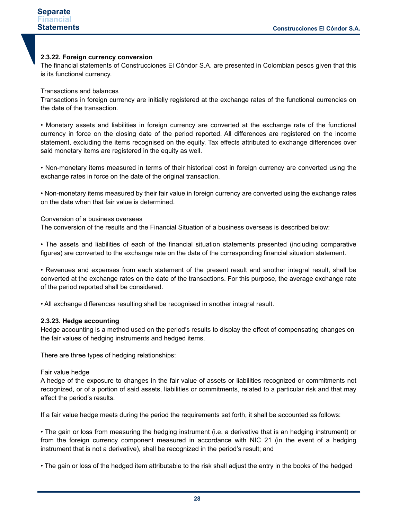#### **2.3.22. Foreign currency conversion**

The financial statements of Construcciones El Cóndor S.A. are presented in Colombian pesos given that this is its functional currency.

Transactions and balances

Transactions in foreign currency are initially registered at the exchange rates of the functional currencies on the date of the transaction.

• Monetary assets and liabilities in foreign currency are converted at the exchange rate of the functional currency in force on the closing date of the period reported. All differences are registered on the income statement, excluding the items recognised on the equity. Tax effects attributed to exchange differences over said monetary items are registered in the equity as well.

• Non-monetary items measured in terms of their historical cost in foreign currency are converted using the exchange rates in force on the date of the original transaction.

• Non-monetary items measured by their fair value in foreign currency are converted using the exchange rates on the date when that fair value is determined.

#### Conversion of a business overseas

The conversion of the results and the Financial Situation of a business overseas is described below:

• The assets and liabilities of each of the financial situation statements presented (including comparative figures) are converted to the exchange rate on the date of the corresponding financial situation statement.

• Revenues and expenses from each statement of the present result and another integral result, shall be converted at the exchange rates on the date of the transactions. For this purpose, the average exchange rate of the period reported shall be considered.

• All exchange differences resulting shall be recognised in another integral result.

#### **2.3.23. Hedge accounting**

Hedge accounting is a method used on the period's results to display the effect of compensating changes on the fair values of hedging instruments and hedged items.

There are three types of hedging relationships:

#### Fair value hedge

A hedge of the exposure to changes in the fair value of assets or liabilities recognized or commitments not recognized, or of a portion of said assets, liabilities or commitments, related to a particular risk and that may affect the period's results.

If a fair value hedge meets during the period the requirements set forth, it shall be accounted as follows:

• The gain or loss from measuring the hedging instrument (i.e. a derivative that is an hedging instrument) or from the foreign currency component measured in accordance with NIC 21 (in the event of a hedging instrument that is not a derivative), shall be recognized in the period's result; and

• The gain or loss of the hedged item attributable to the risk shall adjust the entry in the books of the hedged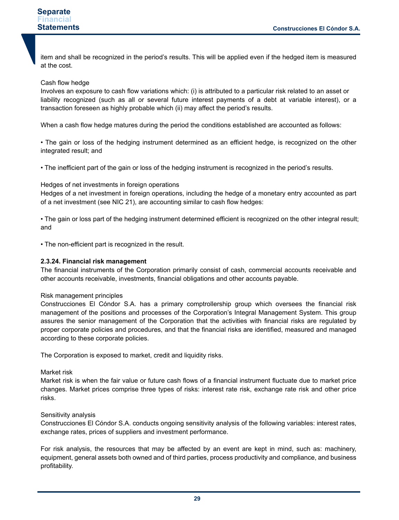item and shall be recognized in the period's results. This will be applied even if the hedged item is measured at the cost.

#### Cash flow hedge

Involves an exposure to cash flow variations which: (i) is attributed to a particular risk related to an asset or liability recognized (such as all or several future interest payments of a debt at variable interest), or a transaction foreseen as highly probable which (ii) may affect the period's results.

When a cash flow hedge matures during the period the conditions established are accounted as follows:

• The gain or loss of the hedging instrument determined as an efficient hedge, is recognized on the other integrated result; and

• The inefficient part of the gain or loss of the hedging instrument is recognized in the period's results.

#### Hedges of net investments in foreign operations

Hedges of a net investment in foreign operations, including the hedge of a monetary entry accounted as part of a net investment (see NIC 21), are accounting similar to cash flow hedges:

• The gain or loss part of the hedging instrument determined efficient is recognized on the other integral result; and

• The non-efficient part is recognized in the result.

#### **2.3.24. Financial risk management**

The financial instruments of the Corporation primarily consist of cash, commercial accounts receivable and other accounts receivable, investments, financial obligations and other accounts payable.

#### Risk management principles

Construcciones El Cóndor S.A. has a primary comptrollership group which oversees the financial risk management of the positions and processes of the Corporation's Integral Management System. This group assures the senior management of the Corporation that the activities with financial risks are regulated by proper corporate policies and procedures, and that the financial risks are identified, measured and managed according to these corporate policies.

The Corporation is exposed to market, credit and liquidity risks.

#### Market risk

Market risk is when the fair value or future cash flows of a financial instrument fluctuate due to market price changes. Market prices comprise three types of risks: interest rate risk, exchange rate risk and other price risks.

#### Sensitivity analysis

Construcciones El Cóndor S.A. conducts ongoing sensitivity analysis of the following variables: interest rates, exchange rates, prices of suppliers and investment performance.

For risk analysis, the resources that may be affected by an event are kept in mind, such as: machinery, equipment, general assets both owned and of third parties, process productivity and compliance, and business profitability.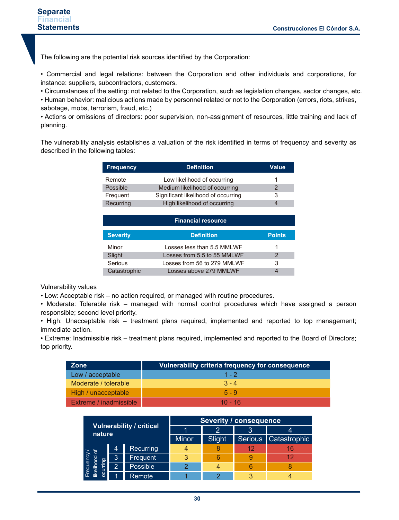The following are the potential risk sources identified by the Corporation:

• Commercial and legal relations: between the Corporation and other individuals and corporations, for instance: suppliers, subcontractors, customers.

• Circumstances of the setting: not related to the Corporation, such as legislation changes, sector changes, etc.

• Human behavior: malicious actions made by personnel related or not to the Corporation (errors, riots, strikes, sabotage, mobs, terrorism, fraud, etc.)

• Actions or omissions of directors: poor supervision, non-assignment of resources, little training and lack of planning.

The vulnerability analysis establishes a valuation of the risk identified in terms of frequency and severity as described in the following tables:

| <b>Frequency</b> | <b>Definition</b>                   | <b>Value</b> |
|------------------|-------------------------------------|--------------|
| Remote           | Low likelihood of occurring         |              |
| Possible         | Medium likelihood of occurring      | 2            |
| Frequent         | Significant likelihood of occurring | 3            |
| Recurring        | High likelihood of occurring        |              |

| <b>Financial resource</b> |                             |               |  |  |  |  |  |
|---------------------------|-----------------------------|---------------|--|--|--|--|--|
| <b>Severity</b>           | <b>Definition</b>           | <b>Points</b> |  |  |  |  |  |
| Minor                     | Losses less than 5.5 MMLWF  |               |  |  |  |  |  |
| Slight                    | Losses from 5.5 to 55 MMLWF |               |  |  |  |  |  |
| Serious                   | Losses from 56 to 279 MMLWF | 3             |  |  |  |  |  |
| Catastrophic              | Losses above 279 MMLWF      |               |  |  |  |  |  |

Vulnerability values

• Low: Acceptable risk – no action required, or managed with routine procedures.

• Moderate: Tolerable risk – managed with normal control procedures which have assigned a person responsible; second level priority.

• High: Unacceptable risk – treatment plans required, implemented and reported to top management; immediate action.

• Extreme: Inadmissible risk – treatment plans required, implemented and reported to the Board of Directors; top priority.

| <b>Zone</b>                   | Vulnerability criteria frequency for consequence |
|-------------------------------|--------------------------------------------------|
| Low / acceptable              | $1 - 2$                                          |
| Moderate / tolerable          | $3 - 4$                                          |
| High / unacceptable           | $5 - 9$                                          |
| <b>Extreme / inadmissible</b> | $10 - 16$                                        |

| <b>Vulnerability / critical</b><br>nature  |     | <b>Severity / consequence</b> |        |   |                        |  |  |
|--------------------------------------------|-----|-------------------------------|--------|---|------------------------|--|--|
|                                            |     |                               |        | 3 |                        |  |  |
|                                            |     | <b>Minor</b>                  | Slight |   | Serious   Catastrophic |  |  |
|                                            | 4   | Recurring                     |        |   | 12                     |  |  |
|                                            | ΙЗ. | Frequent                      | 3      | 6 |                        |  |  |
| Frequency /<br>The Contract of<br>pourring | 2   | Possible                      | 2      |   |                        |  |  |
|                                            |     | Remote                        |        |   |                        |  |  |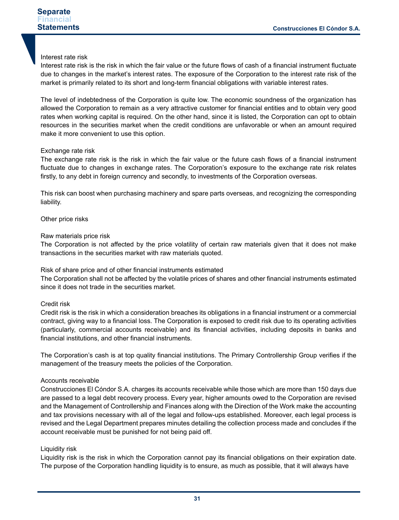#### Interest rate risk

Interest rate risk is the risk in which the fair value or the future flows of cash of a financial instrument fluctuate due to changes in the market's interest rates. The exposure of the Corporation to the interest rate risk of the market is primarily related to its short and long-term financial obligations with variable interest rates.

The level of indebtedness of the Corporation is quite low. The economic soundness of the organization has allowed the Corporation to remain as a very attractive customer for financial entities and to obtain very good rates when working capital is required. On the other hand, since it is listed, the Corporation can opt to obtain resources in the securities market when the credit conditions are unfavorable or when an amount required make it more convenient to use this option.

#### Exchange rate risk

The exchange rate risk is the risk in which the fair value or the future cash flows of a financial instrument fluctuate due to changes in exchange rates. The Corporation's exposure to the exchange rate risk relates firstly, to any debt in foreign currency and secondly, to investments of the Corporation overseas.

This risk can boost when purchasing machinery and spare parts overseas, and recognizing the corresponding liability.

Other price risks

#### Raw materials price risk

The Corporation is not affected by the price volatility of certain raw materials given that it does not make transactions in the securities market with raw materials quoted.

#### Risk of share price and of other financial instruments estimated

The Corporation shall not be affected by the volatile prices of shares and other financial instruments estimated since it does not trade in the securities market.

#### Credit risk

Credit risk is the risk in which a consideration breaches its obligations in a financial instrument or a commercial contract, giving way to a financial loss. The Corporation is exposed to credit risk due to its operating activities (particularly, commercial accounts receivable) and its financial activities, including deposits in banks and financial institutions, and other financial instruments.

The Corporation's cash is at top quality financial institutions. The Primary Controllership Group verifies if the management of the treasury meets the policies of the Corporation.

#### Accounts receivable

Construcciones El Cóndor S.A. charges its accounts receivable while those which are more than 150 days due are passed to a legal debt recovery process. Every year, higher amounts owed to the Corporation are revised and the Management of Controllership and Finances along with the Direction of the Work make the accounting and tax provisions necessary with all of the legal and follow-ups established. Moreover, each legal process is revised and the Legal Department prepares minutes detailing the collection process made and concludes if the account receivable must be punished for not being paid off.

#### Liquidity risk

Liquidity risk is the risk in which the Corporation cannot pay its financial obligations on their expiration date. The purpose of the Corporation handling liquidity is to ensure, as much as possible, that it will always have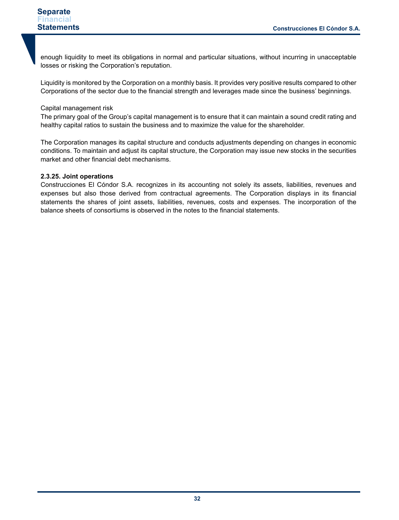enough liquidity to meet its obligations in normal and particular situations, without incurring in unacceptable losses or risking the Corporation's reputation.

Liquidity is monitored by the Corporation on a monthly basis. It provides very positive results compared to other Corporations of the sector due to the financial strength and leverages made since the business' beginnings.

#### Capital management risk

The primary goal of the Group's capital management is to ensure that it can maintain a sound credit rating and healthy capital ratios to sustain the business and to maximize the value for the shareholder.

The Corporation manages its capital structure and conducts adjustments depending on changes in economic conditions. To maintain and adjust its capital structure, the Corporation may issue new stocks in the securities market and other financial debt mechanisms.

#### **2.3.25. Joint operations**

Construcciones El Cóndor S.A. recognizes in its accounting not solely its assets, liabilities, revenues and expenses but also those derived from contractual agreements. The Corporation displays in its financial statements the shares of joint assets, liabilities, revenues, costs and expenses. The incorporation of the balance sheets of consortiums is observed in the notes to the financial statements.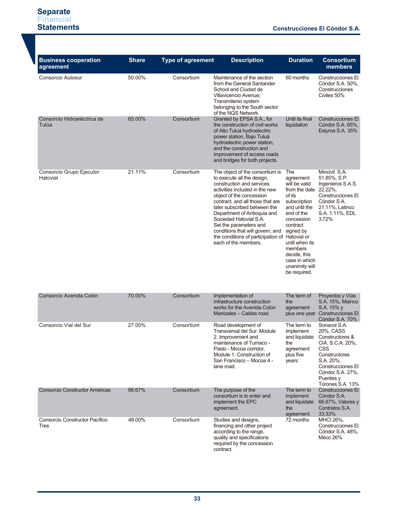| <b>Business cooperation</b><br>agreement | <b>Share</b> | <b>Type of agreement</b> | <b>Description</b>                                                                                                                                                                                                                                                                                                                                                                                                            | <b>Duration</b>                                                                                                                                                                                                                                    | <b>Consortium</b><br>members                                                                                                                                                    |
|------------------------------------------|--------------|--------------------------|-------------------------------------------------------------------------------------------------------------------------------------------------------------------------------------------------------------------------------------------------------------------------------------------------------------------------------------------------------------------------------------------------------------------------------|----------------------------------------------------------------------------------------------------------------------------------------------------------------------------------------------------------------------------------------------------|---------------------------------------------------------------------------------------------------------------------------------------------------------------------------------|
| Consorcio Autosur                        | 50.00%       | Consortium               | Maintenance of the section<br>from the General Santander<br>School and Ciudad de<br>Villavicencio Avenue;<br>Transmilenio system<br>belonging to the South sector<br>of the NQS Network.                                                                                                                                                                                                                                      | 60 months                                                                                                                                                                                                                                          | Construcciones El<br>Cóndor S.A. 50%,<br>Construcciones<br>Civiles 50%                                                                                                          |
| Consorcio Hidroeléctrica de<br>Tulúa     | 65.00%       | Consortium               | Granted by EPSA S.A., for<br>the construction of civil works<br>of Alto Tuluá hydroelectric<br>power station, Bajo Tuluá<br>hydroelectric power station,<br>and the construction and<br>improvement of access roads<br>and bridges for both projects.                                                                                                                                                                         | Until its final<br>liquidation                                                                                                                                                                                                                     | Construcciones El<br>Cóndor S.A. 65%,<br>Estyma S.A. 35%                                                                                                                        |
| Consorcio Grupo Ejecutor<br>Hatovial     | 21.11%       | Consortium               | The object of the consortium is<br>to execute all the design,<br>construction and services<br>activities included in the new<br>object of the concession<br>contract, and all those that are<br>later subscribed between the<br>Department of Antioquia and<br>Sociedad Hatovial S.A.<br>Set the parameters and<br>conditions that will govern, and<br>the conditions of participation of Hatovial or<br>each of the members. | The<br>agreement<br>will be valid<br>from the date<br>of its<br>subscription<br>and until the<br>end of the<br>concession<br>contract<br>signed by<br>until when its<br>members<br>decide, this<br>case in which<br>unanimity will<br>be required. | Mincivil S.A.<br>51.85%, S.P.<br>Ingenieros S.A.S.<br>22.22%,<br>Construcciones El<br>Cóndor S.A.<br>21.11%, Latinco<br>S.A. 1.11%, EDL<br>3.72%                                |
| Consorcio Avenida Colón                  | 70.00%       | Consortium               | Implementation of<br>infrastructure construction<br>works for the Avenida Colon<br>Manizales - Caldas road.                                                                                                                                                                                                                                                                                                                   | The term of<br>the<br>agreement                                                                                                                                                                                                                    | Proyectos y Vías<br>S.A. 15%, Mainco<br>S.A. 15% y<br>plus one year Construcciones El<br>Cóndor S.A. 70%                                                                        |
| Consorcio Vial del Sur                   | 27.00%       | Consortium               | Road development of<br>Transversal del Sur. Module<br>2. Improvement and<br>maintenance of Tumaco -<br>Pasto - Mocoa corridor.<br>Module 1. Construction of<br>San Francisco – Mocoa 4 -<br>lane road.                                                                                                                                                                                                                        | The term to<br>implement<br>and liquidate<br>the<br>agreement<br>plus five<br>years                                                                                                                                                                | Sonacol S.A.<br>20%, CASS<br>Constructores &<br>CIA. S.C.A. 20%,<br>CSS<br>Constructores<br>S.A. 20%,<br>Construcciones El<br>Cóndor S.A. 27%,<br>Puentes y<br>Torones S.A. 13% |
| Consorcio Constructor Américas           | 66.67%       | Consortium               | The purpose of the<br>consortium is to enter and<br>implement the EPC<br>agreement.                                                                                                                                                                                                                                                                                                                                           | The term to<br><i>implement</i><br>and liquidate<br>the<br>agreement                                                                                                                                                                               | <b>Construcciones El</b><br>Cóndor S.A.<br>66.67%, Valores y<br>Contratos S.A.<br>33.33%                                                                                        |
| Consorcio Constructor Pacífico<br>Tres   | 48.00%       | Consortium               | Studies and designs,<br>financing and other project<br>according to the range,<br>quality and specifications<br>required by the concession<br>contract.                                                                                                                                                                                                                                                                       | 72 months                                                                                                                                                                                                                                          | MHCI 26%,<br>Construcciones El<br>Cóndor S.A. 48%,<br>Meco 26%                                                                                                                  |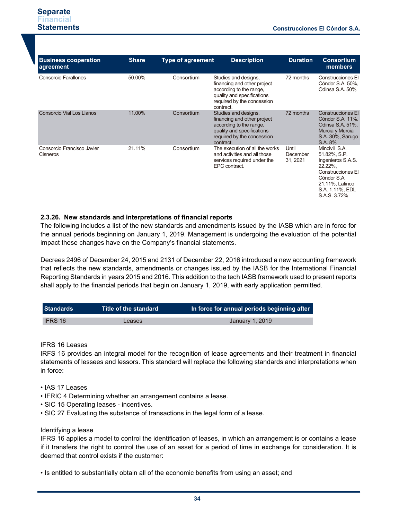| <b>Business cooperation</b><br>agreement | <b>Share</b> | <b>Type of agreement</b> | <b>Description</b>                                                                                                                                      | <b>Duration</b>               | <b>Consortium</b><br>members                                                                                                                            |
|------------------------------------------|--------------|--------------------------|---------------------------------------------------------------------------------------------------------------------------------------------------------|-------------------------------|---------------------------------------------------------------------------------------------------------------------------------------------------------|
| Consorcio Farallones                     | 50.00%       | Consortium               | Studies and designs,<br>financing and other project<br>according to the range,<br>quality and specifications<br>required by the concession<br>contract. | 72 months                     | Construcciones El<br>Cóndor S.A. 50%,<br>Odinsa S.A. 50%                                                                                                |
| <b>Consorcio Vial Los Llanos</b>         | 11.00%       | Consortium               | Studies and designs,<br>financing and other project<br>according to the range,<br>quality and specifications<br>required by the concession<br>contract. | 72 months                     | <b>Construcciones El</b><br>Cóndor S.A. 11%,<br>Odinsa S.A. 51%,<br>Murcia y Murcia<br>S.A. 30%, Sarugo<br>S.A. 8%                                      |
| Consorcio Francisco Javier<br>Cisneros   | 21.11%       | Consortium               | The execution of all the works<br>and activities and all those<br>services required under the<br>EPC contract.                                          | Until<br>December<br>31, 2021 | Mincivil S.A.<br>51.82%, S.P.<br>Ingenieros S.A.S.<br>22.22%,<br>Construcciones El<br>Cóndor S.A.<br>21.11%, Latinco<br>S.A. 1.11%, EDL<br>S.A.S. 3.72% |

#### **2.3.26. New standards and interpretations of financial reports**

The following includes a list of the new standards and amendments issued by the IASB which are in force for the annual periods beginning on January 1, 2019. Management is undergoing the evaluation of the potential impact these changes have on the Company's financial statements.

Decrees 2496 of December 24, 2015 and 2131 of December 22, 2016 introduced a new accounting framework that reflects the new standards, amendments or changes issued by the IASB for the International Financial Reporting Standards in years 2015 and 2016. This addition to the tech IASB framework used to present reports shall apply to the financial periods that begin on January 1, 2019, with early application permitted.

| <b>Standards</b> | Title of the standard $\,$ | In force for annual periods beginning after |
|------------------|----------------------------|---------------------------------------------|
|                  |                            |                                             |
| <b>IFRS 16</b>   | Leases                     | January 1, 2019                             |

#### IFRS 16 Leases

IRFS 16 provides an integral model for the recognition of lease agreements and their treatment in financial statements of lessees and lessors. This standard will replace the following standards and interpretations when in force:

- IAS 17 Leases
- IFRIC 4 Determining whether an arrangement contains a lease.
- SIC 15 Operating leases incentives.
- SIC 27 Evaluating the substance of transactions in the legal form of a lease.

#### Identifying a lease

IFRS 16 applies a model to control the identification of leases, in which an arrangement is or contains a lease if it transfers the right to control the use of an asset for a period of time in exchange for consideration. It is deemed that control exists if the customer:

• Is entitled to substantially obtain all of the economic benefits from using an asset; and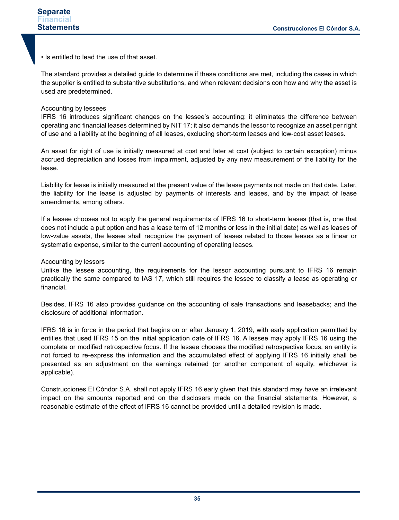• Is entitled to lead the use of that asset.

The standard provides a detailed guide to determine if these conditions are met, including the cases in which the supplier is entitled to substantive substitutions, and when relevant decisions con how and why the asset is used are predetermined.

#### Accounting by lessees

IFRS 16 introduces significant changes on the lessee's accounting: it eliminates the difference between operating and financial leases determined by NIT 17; it also demands the lessor to recognize an asset per right of use and a liability at the beginning of all leases, excluding short-term leases and low-cost asset leases.

An asset for right of use is initially measured at cost and later at cost (subject to certain exception) minus accrued depreciation and losses from impairment, adjusted by any new measurement of the liability for the lease.

Liability for lease is initially measured at the present value of the lease payments not made on that date. Later, the liability for the lease is adjusted by payments of interests and leases, and by the impact of lease amendments, among others.

If a lessee chooses not to apply the general requirements of IFRS 16 to short-term leases (that is, one that does not include a put option and has a lease term of 12 months or less in the initial date) as well as leases of low-value assets, the lessee shall recognize the payment of leases related to those leases as a linear or systematic expense, similar to the current accounting of operating leases.

#### Accounting by lessors

Unlike the lessee accounting, the requirements for the lessor accounting pursuant to IFRS 16 remain practically the same compared to IAS 17, which still requires the lessee to classify a lease as operating or financial.

Besides, IFRS 16 also provides guidance on the accounting of sale transactions and leasebacks; and the disclosure of additional information.

IFRS 16 is in force in the period that begins on or after January 1, 2019, with early application permitted by entities that used IFRS 15 on the initial application date of IFRS 16. A lessee may apply IFRS 16 using the complete or modified retrospective focus. If the lessee chooses the modified retrospective focus, an entity is not forced to re-express the information and the accumulated effect of applying IFRS 16 initially shall be presented as an adjustment on the earnings retained (or another component of equity, whichever is applicable).

Construcciones El Cóndor S.A. shall not apply IFRS 16 early given that this standard may have an irrelevant impact on the amounts reported and on the disclosers made on the financial statements. However, a reasonable estimate of the effect of IFRS 16 cannot be provided until a detailed revision is made.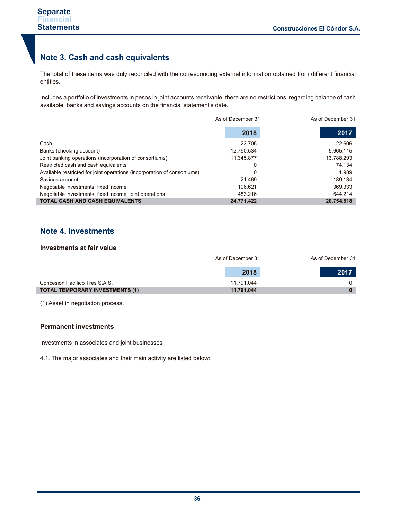## **Note 3. Cash and cash equivalents**

The total of these items was duly reconciled with the corresponding external information obtained from different financial entities.

Includes a portfolio of investments in pesos in joint accounts receivable; there are no restrictions regarding balance of cash available, banks and savings accounts on the financial statement's date.

|                                                                          | As of December 31 | As of December 31 |
|--------------------------------------------------------------------------|-------------------|-------------------|
|                                                                          | 2018              | 2017              |
| Cash                                                                     | 23.705            | 22.606            |
| Banks (checking account)                                                 | 12.790.534        | 5.665.115         |
| Joint banking operations (incorporation of consortiums)                  | 11.345.877        | 13.788.293        |
| Restricted cash and cash equivalents                                     | 0                 | 74.134            |
| Available restricted for joint operations (incorporation of consortiums) | 0                 | 1.989             |
| Savings account                                                          | 21.469            | 189.134           |
| Negotiable investments, fixed income                                     | 106.621           | 369.333           |
| Negotiable investments, fixed income, joint operations                   | 483.216           | 644.214           |
| <b>TOTAL CASH AND CASH EQUIVALENTS</b>                                   | 24.771.422        | 20.754.818        |

## **Note 4. Investments**

#### **Investments at fair value**

|                                        | As of December 31 | As of December 31 |
|----------------------------------------|-------------------|-------------------|
|                                        | 2018              | 2017              |
| Concesión Pacífico Tres S.A.S.         | 11.791.044        | 0                 |
| <b>TOTAL TEMPORARY INVESTMENTS (1)</b> | 11.791.044        |                   |

(1) Asset in negotiation process.

#### **Permanent investments**

Investments in associates and joint businesses

4.1. The major associates and their main activity are listed below: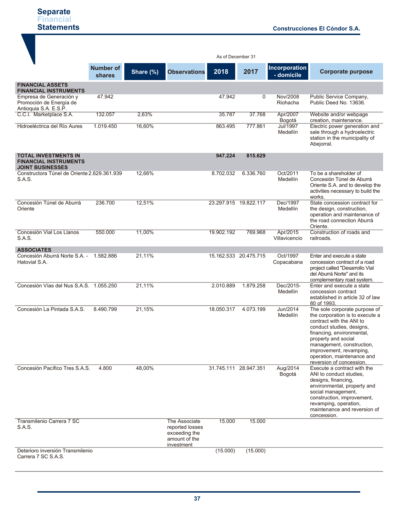|                                                                                        |                                   |           |                                                                                  | As of December 31     |                       |                             |                                                                                                                                                                                                                                                                                                 |
|----------------------------------------------------------------------------------------|-----------------------------------|-----------|----------------------------------------------------------------------------------|-----------------------|-----------------------|-----------------------------|-------------------------------------------------------------------------------------------------------------------------------------------------------------------------------------------------------------------------------------------------------------------------------------------------|
|                                                                                        | <b>Number of</b><br><b>shares</b> | Share (%) | <b>Observations</b>                                                              | 2018                  | 2017                  | Incorporation<br>- domicile | <b>Corporate purpose</b>                                                                                                                                                                                                                                                                        |
| <b>FINANCIAL ASSETS</b><br><b>FINANCIAL INSTRUMENTS</b>                                |                                   |           |                                                                                  |                       |                       |                             |                                                                                                                                                                                                                                                                                                 |
| Empresa de Generación y<br>Promoción de Energía de<br>Antioquia S.A. E.S.P.            | 47.942                            |           |                                                                                  | 47.942                | 0                     | Nov/2008<br>Riohacha        | Public Service Company,<br>Public Deed No. 13636.                                                                                                                                                                                                                                               |
| C.C.I. Marketplace S.A.                                                                | 132.057                           | 2,63%     |                                                                                  | 35.787                | 37.768                | Apr/2007<br>Bogotá          | Website and/or webpage<br>creation, maintenance.                                                                                                                                                                                                                                                |
| Hidroeléctrica del Río Aures                                                           | 1.019.450                         | 16,60%    |                                                                                  | 863.495               | 777.861               | <b>Jul/1997</b><br>Medellín | Electric power generation and<br>sale through a hydroelectric<br>station in the municipality of<br>Abejorral.                                                                                                                                                                                   |
| <b>TOTAL INVESTMENTS IN</b><br><b>FINANCIAL INSTRUMENTS</b><br><b>JOINT BUSINESSES</b> |                                   |           |                                                                                  | 947.224               | 815.629               |                             |                                                                                                                                                                                                                                                                                                 |
| Constructora Túnel de Oriente 2.629.361.939<br>S.A.S.                                  |                                   | 12,66%    |                                                                                  | 8.702.032             | 6.336.760             | Oct/2011<br>Medellín        | To be a shareholder of<br>Concesión Túnel de Aburrá<br>Oriente S.A. and to develop the<br>activities necessary to build the<br>works.                                                                                                                                                           |
| Concesión Túnel de Aburrá<br>Oriente                                                   | 236.700                           | 12,51%    |                                                                                  | 23.297.915 19.822.117 |                       | Dec/1997<br>Medellín        | State concession contract for<br>the design, construction,<br>operation and maintenance of<br>the road connection Aburrá<br>Oriente.                                                                                                                                                            |
| Concesión Vial Los Llanos<br>S.A.S.                                                    | 550.000                           | 11,00%    |                                                                                  | 19.902.192            | 769.968               | Apr/2015<br>Villavicencio   | Construction of roads and<br>railroads.                                                                                                                                                                                                                                                         |
| <b>ASSOCIATES</b><br>Concesión Aburrá Norte S.A. -<br>Hatovial S.A.                    | 1.582.886                         | 21,11%    |                                                                                  |                       | 15.162.533 20.475.715 | Oct/1997<br>Copacabana      | Enter and execute a state<br>concession contract of a road<br>project called "Desarrollo Vial<br>del Aburrá Norte" and its<br>complementary road system.                                                                                                                                        |
| Concesión Vías del Nus S.A.S. 1.055.250                                                |                                   | 21,11%    |                                                                                  | 2.010.889             | 1.879.258             | Dec/2015-<br>Medellín       | Enter and execute a state<br>concession contract<br>established in article 32 of law<br>80 of 1993.                                                                                                                                                                                             |
| Concesión La Pintada S.A.S.                                                            | 8.490.799                         | 21,15%    |                                                                                  | 18.050.317            | 4.073.199             | Jun/2014<br>Medellín        | The sole corporate purpose of<br>the corporation is to execute a<br>contract with the ANI to<br>conduct studies, designs,<br>financing, environmental,<br>property and social<br>management, construction,<br>improvement, revamping,<br>operation, maintenance and<br>reversion of concession. |
| Concesión Pacífico Tres S.A.S.                                                         | 4.800                             | 48,00%    |                                                                                  | 31.745.111 28.947.351 |                       | Aug/2014<br>Bogotá          | Execute a contract with the<br>ANI to conduct studies,<br>designs, financing,<br>environmental, property and<br>social management,<br>construction, improvement,<br>revamping, operation,<br>maintenance and reversion of<br>concession.                                                        |
| Transmilenio Carrera 7 SC<br>S.A.S.                                                    |                                   |           | The Associate<br>reported losses<br>exceeding the<br>amount of the<br>investment | 15.000                | 15.000                |                             |                                                                                                                                                                                                                                                                                                 |
| Deterioro inversión Transmilenio<br>Carrera 7 SC S.A.S.                                |                                   |           |                                                                                  | (15.000)              | (15.000)              |                             |                                                                                                                                                                                                                                                                                                 |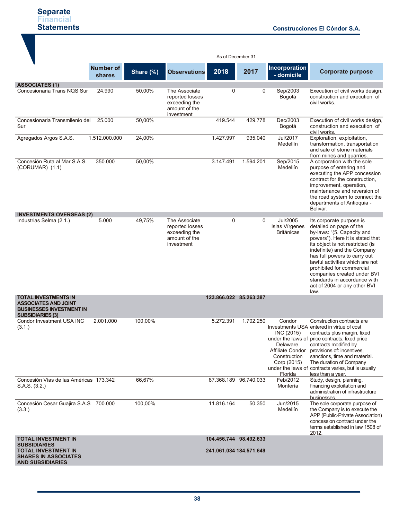|                                                                                           |                            |           |                                                                                  | As of December 31       |                       |                                                                                                 |                                                                                                                                                                                                                                                                                                                                                                                                 |
|-------------------------------------------------------------------------------------------|----------------------------|-----------|----------------------------------------------------------------------------------|-------------------------|-----------------------|-------------------------------------------------------------------------------------------------|-------------------------------------------------------------------------------------------------------------------------------------------------------------------------------------------------------------------------------------------------------------------------------------------------------------------------------------------------------------------------------------------------|
|                                                                                           | <b>Number of</b><br>shares | Share (%) | <b>Observations</b>                                                              | 2018                    | 2017                  | <b>Incorporation</b><br>- domicile                                                              | <b>Corporate purpose</b>                                                                                                                                                                                                                                                                                                                                                                        |
| <b>ASSOCIATES (1)</b>                                                                     |                            |           |                                                                                  |                         |                       |                                                                                                 |                                                                                                                                                                                                                                                                                                                                                                                                 |
| Concesionaria Trans NQS Sur                                                               | 24.990                     | 50,00%    | The Associate<br>reported losses<br>exceeding the<br>amount of the<br>investment | $\Omega$                | $\Omega$              | Sep/2003<br>Bogotá                                                                              | Execution of civil works design,<br>construction and execution of<br>civil works.                                                                                                                                                                                                                                                                                                               |
| Concesionaria Transmilenio del<br>Sur                                                     | 25.000                     | 50,00%    |                                                                                  | 419.544                 | 429.778               | Dec/2003<br>Bogotá                                                                              | Execution of civil works design,<br>construction and execution of<br>civil works.                                                                                                                                                                                                                                                                                                               |
| Agregados Argos S.A.S.                                                                    | 1.512.000.000              | 24,00%    |                                                                                  | 1.427.997               | 935.040               | Jul/2017<br>Medellín                                                                            | Exploration, exploitation,<br>transformation, transportation<br>and sale of stone materials<br>from mines and quarries.                                                                                                                                                                                                                                                                         |
| Concesión Ruta al Mar S.A.S.<br>$(CORUMAR)$ $(1.1)$                                       | 350.000                    | 50,00%    |                                                                                  | 3.147.491               | 1.594.201             | Sep/2015<br>Medellín                                                                            | A corporation with the sole<br>purpose of entering and<br>executing the APP concession<br>contract for the construction,<br>improvement, operation,<br>maintenance and reversion of<br>the road system to connect the<br>departments of Antioquia -<br>Bolivar.                                                                                                                                 |
| <b>INVESTMENTS OVERSEAS (2)</b>                                                           |                            |           |                                                                                  |                         |                       |                                                                                                 |                                                                                                                                                                                                                                                                                                                                                                                                 |
| Industrias Selma (2.1.)                                                                   | 5.000                      | 49,75%    | The Associate<br>reported losses<br>exceeding the<br>amount of the<br>investment | $\mathbf 0$             | $\Omega$              | Jul/2005<br>Islas Vírgenes<br><b>Británicas</b>                                                 | Its corporate purpose is<br>detailed on page of the<br>by-laws: "(5. Capacity and<br>powers"). Here it is stated that<br>its object is not restricted (is<br>indefinite) and the Company<br>has full powers to carry out<br>lawful activities which are not<br>prohibited for commercial<br>companies created under BVI<br>standards in accordance with<br>act of 2004 or any other BVI<br>law. |
| <b>TOTAL INVESTMENTS IN</b>                                                               |                            |           |                                                                                  | 123.866.022 85.263.387  |                       |                                                                                                 |                                                                                                                                                                                                                                                                                                                                                                                                 |
| <b>ASSOCIATES AND JOINT</b><br><b>BUSINESSES INVESTMENT IN</b><br><b>SUBSIDIARIES (3)</b> |                            |           |                                                                                  |                         |                       |                                                                                                 |                                                                                                                                                                                                                                                                                                                                                                                                 |
| Condor Investment USA INC<br>(3.1.)                                                       | 2.001.000                  | 100.00%   |                                                                                  | 5.272.391               | 1.702.250             | Condor<br>INC (2015)<br>Delaware.<br>Affiliate Condor<br>Construction<br>Corp (2015)<br>Florida | Construction contracts are<br>Investments USA entered in virtue of cost<br>contracts plus margin, fixed<br>under the laws of price contracts, fixed price<br>contracts modified by<br>provisions of: incentives,<br>sanctions, time and material.<br>The duration of Company<br>under the laws of contracts varies, but is usually<br>less than a year.                                         |
| Concesión Vías de las Américas 173.342<br>S.A.S. (3.2.)                                   |                            | 66,67%    |                                                                                  |                         | 87.368.189 96.740.033 | Feb/2012<br>Montería                                                                            | Study, design, planning,<br>financing exploitation and<br>administration of infrastructure<br>businesses.                                                                                                                                                                                                                                                                                       |
| Concesión Cesar Guajira S.A.S 700.000<br>(3.3.)                                           |                            | 100,00%   |                                                                                  | 11.816.164              | 50.350                | Jun/2015<br>Medellín                                                                            | The sole corporate purpose of<br>the Company is to execute the<br>APP (Public-Private Association)<br>concession contract under the<br>terms established in law 1508 of<br>2012.                                                                                                                                                                                                                |
| <b>TOTAL INVESTMENT IN</b><br><b>SUBSIDIARIES</b>                                         |                            |           |                                                                                  | 104.456.744 98.492.633  |                       |                                                                                                 |                                                                                                                                                                                                                                                                                                                                                                                                 |
| <b>TOTAL INVESTMENT IN</b><br><b>SHARES IN ASSOCIATES</b><br><b>AND SUBSIDIARIES</b>      |                            |           |                                                                                  | 241.061.034 184.571.649 |                       |                                                                                                 |                                                                                                                                                                                                                                                                                                                                                                                                 |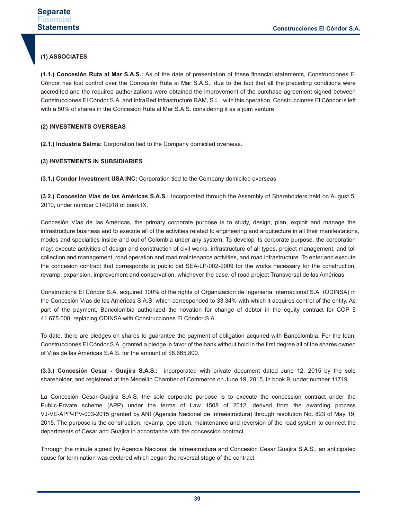#### **(1) ASSOCIATES**

**(1.1.) Concesión Ruta al Mar S.A.S.:** As of the date of presentation of these financial statements, Construcciones El Cóndor has lost control over the Concesión Ruta al Mar S.A.S., due to the fact that all the preceding conditions were accredited and the required authorizations were obtained the improvement of the purchase agreement signed between Construcciones El Cóndor S.A. and InfraRed Infrastructure RAM, S.L., with this operation, Construcciones El Cóndor is left with a 50% of shares in the Concesión Ruta al Mar S.A.S. considering it as a joint venture.

#### **(2) INVESTMENTS OVERSEAS**

**(2.1.) lndustria Selma:** Corporation tied to the Company domiciled overseas.

#### **(3) INVESTMENTS IN SUBSIDIARIES**

**(3.1.) Condor Investment USA INC:** Corporation tied to the Company domiciled overseas

**(3.2.) Concesión Vías de las Américas S.A.S.:** Incorporated through the Assembly of Shareholders held on August 5, 2010, under number 0140918 of book IX.

Concesión Vías de las Américas, the primary corporate purpose is to study, design, plan, exploit and manage the infrastructure business and to execute all of the activities related to engineering and arquitecture in all their manifestations, modes and specialties inside and out of Colombia under any system. To develop its corporate purpose, the corporation may: execute activities of design and construction of civil works, infrastructure of all types, project management, and toll collection and management, road operation and road maintenance activities, and road infrastructure. To enter and execute the concesion contract that corresponds to public bid SEA-LP-002-2009 for the works necessary for the construction, revamp, expansion, improvement and conservation, whichever the case, of road project Transversal de las Américas.

Constructions El Cóndor S.A. acquired 100% of the rights of Organización de Ingeniería Internacional S.A. (ODINSA) in the Concesión Vías de las Américas S.A.S. which corresponded to 33,34% with which it acquires control of the entity. As part of the payment, Bancolombia authorized the novation for change of debtor in the equity contract for COP \$ 41.675.000, replacing ODINSA with Construcciones El Cóndor S.A.

To date, there are pledges on shares to guarantee the payment of obligation acquired with Bancolombia. For the loan, Construcciones El Cóndor S.A. granted a pledge in favor of the bank without hold in the first degree all of the shares owned of Vías de las Américas S.A.S. for the amount of \$8.665.800.

**(3.3.) Concesión Cesar - Guajira S.A.S.:** incorporated with private document dated June 12, 2015 by the sole shareholder, and registered at the Medellín Chamber of Commerce on June 19, 2015, in book 9, under number 11719.

La Concesión Cesar-Guajira S.A.S. the sole corporate purpose is to execute the concession contract under the Public-Private scheme (APP) under the terms of Law 1508 of 2012, derived from the awarding process VJ-VE-APP-IPV-003-2015 granted by ANI (Agencia Nacional de Infraestructura) through resolution No. 823 of May 19, 2015. The purpose is the construction, revamp, operation, maintenance and reversion of the road system to connect the departments of Cesar and Guajira in accordance with the concession contract.

Through the minute signed by Agencia Nacional de Infraestructura and Concesión Cesar Guajira S.A.S., an anticipated cause for termination was declared which began the reversal stage of the contract.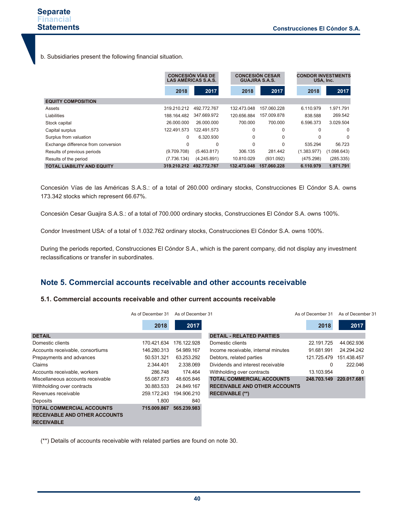b. Subsidiaries present the following financial situation.

|                                     |             | <b>CONCESIÓN VÍAS DE</b><br><b>LAS AMÉRICAS S.A.S.</b> |             | <b>CONCESIÓN CESAR</b><br><b>GUAJIRA S.A.S.</b> | <b>CONDOR INVESTMENTS</b><br>USA, Inc. |             |
|-------------------------------------|-------------|--------------------------------------------------------|-------------|-------------------------------------------------|----------------------------------------|-------------|
|                                     | 2018        | 2017                                                   | 2018        | 2017                                            | 2018                                   | 2017        |
| <b>EQUITY COMPOSITION</b>           |             |                                                        |             |                                                 |                                        |             |
| Assets                              | 319.210.212 | 492.772.767                                            | 132.473.048 | 157.060.228                                     | 6.110.979                              | 1.971.791   |
| Liabilities                         | 188.164.482 | 347.669.972                                            | 120.656.884 | 157.009.878                                     | 838.588                                | 269.542     |
| Stock capital                       | 26.000.000  | 26.000.000                                             | 700.000     | 700.000                                         | 6.596.373                              | 3.029.504   |
| Capital surplus                     | 122.491.573 | 122.491.573                                            | $\Omega$    | 0                                               | 0                                      | $\Omega$    |
| Surplus from valuation              | $\Omega$    | 6.320.930                                              | $\Omega$    | $\Omega$                                        | <sup>0</sup>                           | $\Omega$    |
| Exchange difference from conversion | 0           | 0                                                      | $\Omega$    | $\Omega$                                        | 535.294                                | 56.723      |
| Results of previous periods         | (9.709.708) | (5.463.817)                                            | 306.135     | 281.442                                         | (1.383.977)                            | (1.098.643) |
| Results of the period               | (7.736.134) | (4.245.891)                                            | 10.810.029  | (931.092)                                       | (475.298)                              | (285.335)   |
| <b>TOTAL LIABILITY AND EQUITY</b>   | 319.210.212 | 492.772.767                                            | 132.473.048 | 157.060.228                                     | 6.110.979                              | 1.971.791   |

Concesión Vías de las Américas S.A.S.: of a total of 260.000 ordinary stocks, Construcciones El Cóndor S.A. owns 173.342 stocks which represent 66.67%.

Concesión Cesar Guajira S.A.S.: of a total of 700.000 ordinary stocks, Construcciones El Cóndor S.A. owns 100%.

Condor Investment USA: of a total of 1.032.762 ordinary stocks, Construcciones El Cóndor S.A. owns 100%.

During the periods reported, Construcciones El Cóndor S.A., which is the parent company, did not display any investment reclassifications or transfer in subordinates.

#### **Note 5. Commercial accounts receivable and other accounts receivable**

#### **5.1. Commercial accounts receivable and other current accounts receivable**

|                                      | As of December 31 | As of December 31 |                                      | As of December 31 | As of December 31 |
|--------------------------------------|-------------------|-------------------|--------------------------------------|-------------------|-------------------|
|                                      | 2018              | 2017              |                                      | 2018              | 2017              |
| <b>DETAIL</b>                        |                   |                   | <b>DETAIL - RELATED PARTIES</b>      |                   |                   |
| Domestic clients                     | 170.421.634       | 176.122.928       | Domestic clients                     | 22.191.725        | 44.062.936        |
| Accounts receivable, consortiums     | 146.280.313       | 54.989.167        | Income receivable, internal minutes  | 91.681.991        | 24.294.242        |
| Prepayments and advances             | 50.531.321        | 63.253.292        | Debtors, related parties             | 121.725.479       | 151.438.457       |
| Claims                               | 2.344.401         | 2.338.069         | Dividends and interest receivable    | 0                 | 222.046           |
| Accounts receivable, workers         | 286.748           | 174.464           | Withholding over contracts           | 13.103.954        | 0                 |
| Miscellaneous accounts receivable    | 55.087.873        | 48.605.846        | <b>TOTAL COMMERCIAL ACCOUNTS</b>     | 248.703.149       | 220.017.681       |
| Withholding over contracts           | 30.883.533        | 24.849.167        | <b>RECEIVABLE AND OTHER ACCOUNTS</b> |                   |                   |
| Revenues receivable                  | 259.172.243       | 194,906,210       | <b>RECEIVABLE (**)</b>               |                   |                   |
| Deposits                             | 1.800             | 840               |                                      |                   |                   |
| <b>TOTAL COMMERCIAL ACCOUNTS</b>     | 715.009.867       | 565.239.983       |                                      |                   |                   |
| <b>RECEIVABLE AND OTHER ACCOUNTS</b> |                   |                   |                                      |                   |                   |
| <b>RECEIVABLE</b>                    |                   |                   |                                      |                   |                   |

(\*\*) Details of accounts receivable with related parties are found on note 30.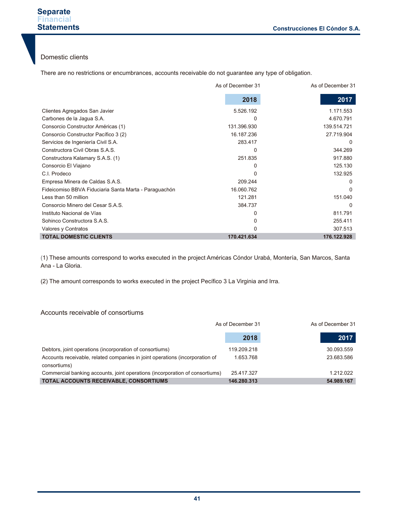#### Domestic clients

There are no restrictions or encumbrances, accounts receivable do not guarantee any type of obligation.

|                                                       | As of December 31 | As of December 31 |
|-------------------------------------------------------|-------------------|-------------------|
|                                                       | 2018              | 2017              |
| Clientes Agregados San Javier                         | 5.526.192         | 1.171.553         |
| Carbones de la Jagua S.A.                             | O                 | 4.670.791         |
| Consorcio Constructor Américas (1)                    | 131.396.930       | 139.514.721       |
| Consorcio Constructor Pacífico 3 (2)                  | 16.187.236        | 27.719.904        |
| Servicios de Ingeniería Civil S.A.                    | 283.417           | O                 |
| Constructora Civil Obras S.A.S.                       | 0                 | 344.269           |
| Constructora Kalamary S.A.S. (1)                      | 251.835           | 917.880           |
| Consorcio El Viajano                                  | 0                 | 125.130           |
| C.I. Prodeco                                          |                   | 132.925           |
| Empresa Minera de Caldas S.A.S.                       | 209.244           | 0                 |
| Fideicomiso BBVA Fiduciaria Santa Marta - Paraguachón | 16.060.762        | $\Omega$          |
| Less than 50 million                                  | 121.281           | 151.040           |
| Consorcio Minero del Cesar S.A.S.                     | 384.737           | O                 |
| Instituto Nacional de Vías                            | O                 | 811.791           |
| Sohinco Constructora S.A.S.                           | 0                 | 255.411           |
| Valores y Contratos                                   | O                 | 307.513           |
| <b>TOTAL DOMESTIC CLIENTS</b>                         | 170.421.634       | 176.122.928       |

(1) These amounts correspond to works executed in the project Américas Cóndor Urabá, Montería, San Marcos, Santa Ana - La Gloria.

(2) The amount corresponds to works executed in the project Pecífico 3 La Virginia and Irra.

#### Accounts receivable of consortiums

|                                                                              | As of December 31 |  |            |
|------------------------------------------------------------------------------|-------------------|--|------------|
|                                                                              | 2018              |  | 2017       |
| Debtors, joint operations (incorporation of consortiums)                     | 119.209.218       |  | 30.093.559 |
| Accounts receivable, related companies in joint operations (incorporation of | 1.653.768         |  | 23.683.586 |
| consortiums)                                                                 |                   |  |            |
| Commercial banking accounts, joint operations (incorporation of consortiums) | 25.417.327        |  | 1.212.022  |
| <b>TOTAL ACCOUNTS RECEIVABLE, CONSORTIUMS</b>                                | 146.280.313       |  | 54.989.167 |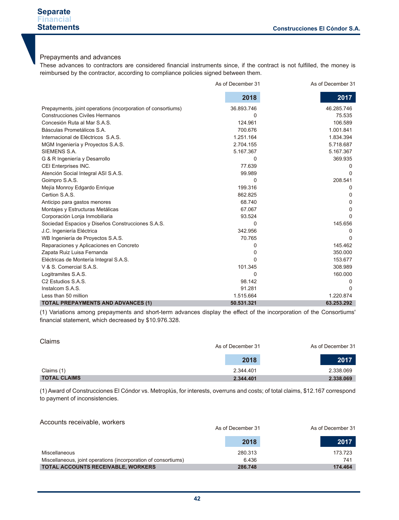#### Prepayments and advances

These advances to contractors are considered financial instruments since, if the contract is not fulfilled, the money is reimbursed by the contractor, according to compliance policies signed between them.

|                                                              | As of December 31 | As of December 31 |
|--------------------------------------------------------------|-------------------|-------------------|
|                                                              | 2018              | 2017              |
| Prepayments, joint operations (incorporation of consortiums) | 36.893.746        | 46.285.746        |
| <b>Construcciones Civiles Hermanos</b>                       | 0                 | 75.535            |
| Concesión Ruta al Mar S.A.S.                                 | 124.961           | 106.589           |
| Básculas Prometálicos S.A.                                   | 700.676           | 1.001.841         |
| Internacional de Eléctricos S.A.S.                           | 1.251.164         | 1.834.394         |
| MGM Ingeniería y Proyectos S.A.S.                            | 2.704.155         | 5.718.687         |
| SIEMENS S.A.                                                 | 5.167.367         | 5.167.367         |
| G & R Ingeniería y Desarrollo                                | 0                 | 369.935           |
| CEI Enterprises INC.                                         | 77.639            | $\Omega$          |
| Atención Social Integral ASI S.A.S.                          | 99.989            | 0                 |
| Goimpro S.A.S.                                               | $\Omega$          | 208.541           |
| Mejía Monroy Edgardo Enrique                                 | 199.316           | 0                 |
| Certion S.A.S.                                               | 862.825           | 0                 |
| Anticipo para gastos menores                                 | 68.740            | 0                 |
| Montajes y Estructuras Metálicas                             | 67.067            | 0                 |
| Corporación Lonja Inmobiliaria                               | 93.524            | U                 |
| Sociedad Espacios y Diseños Construcciones S.A.S.            | $\Omega$          | 145.656           |
| J.C. Ingeniería Eléctrica                                    | 342.956           | 0                 |
| WB Ingeniería de Proyectos S.A.S.                            | 70.765            | U                 |
| Reparaciones y Aplicaciones en Concreto                      | 0                 | 145.462           |
| Zapata Ruiz Luisa Fernanda                                   | 0                 | 350.000           |
| Eléctricas de Montería Integral S.A.S.                       | N                 | 153.677           |
| V & S. Comercial S.A.S.                                      | 101.345           | 308.989           |
| Logitramites S.A.S.                                          | 0                 | 160.000           |
| C <sub>2</sub> Estudios S.A.S.                               | 98.142            | 0                 |
| Instalcom S.A.S.                                             | 91.281            | <sup>0</sup>      |
| Less than 50 million                                         | 1.515.664         | 1.220.874         |
| <b>TOTAL PREPAYMENTS AND ADVANCES (1)</b>                    | 50.531.321        | 63.253.292        |

(1) Variations among prepayments and short-term advances display the effect of the incorporation of the Consortiums' financial statement, which decreased by \$10.976.328.

| Claims              | As of December 31 | As of December 31 |
|---------------------|-------------------|-------------------|
|                     | 2018              | 2017              |
| Claims (1)          | 2.344.401         | 2.338.069         |
| <b>TOTAL CLAIMS</b> | 2.344.401         | 2.338.069         |

(1) Award of Construcciones El Cóndor vs. Metroplús, for interests, overruns and costs; of total claims, \$12.167 correspond to payment of inconsistencies.

#### Accounts receivable, workers

|                                                                | As of December 31 | As of December 31 |  |
|----------------------------------------------------------------|-------------------|-------------------|--|
|                                                                | 2018              | 2017              |  |
| Miscellaneous                                                  | 280.313           | 173.723           |  |
| Miscellaneous, joint operations (incorporation of consortiums) | 6.436             | 741               |  |
| <b>TOTAL ACCOUNTS RECEIVABLE, WORKERS</b>                      | 286,748           | 174,464           |  |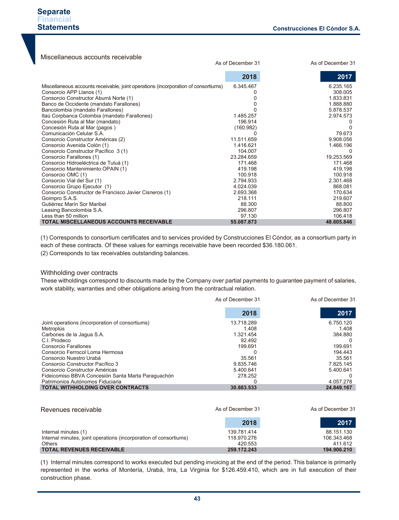| Miscellaneous accounts receivable                                                                                                                                                                                                                                                                                                                                                                                                                                                                                                                                                                                                                                                                                                                            |                                                                                                                                                                            |                                                                                                                                                                                                     |
|--------------------------------------------------------------------------------------------------------------------------------------------------------------------------------------------------------------------------------------------------------------------------------------------------------------------------------------------------------------------------------------------------------------------------------------------------------------------------------------------------------------------------------------------------------------------------------------------------------------------------------------------------------------------------------------------------------------------------------------------------------------|----------------------------------------------------------------------------------------------------------------------------------------------------------------------------|-----------------------------------------------------------------------------------------------------------------------------------------------------------------------------------------------------|
|                                                                                                                                                                                                                                                                                                                                                                                                                                                                                                                                                                                                                                                                                                                                                              | As of December 31                                                                                                                                                          | As of December 31                                                                                                                                                                                   |
|                                                                                                                                                                                                                                                                                                                                                                                                                                                                                                                                                                                                                                                                                                                                                              | 2018                                                                                                                                                                       | 2017                                                                                                                                                                                                |
| Miscellaneous accounts receivable, joint operations (incorporation of consortiums)<br>Consorcio APP Llanos (1)<br>Consorcio Constructor Aburrá Norte (1)<br>Banco de Occidente (mandato Farallones)<br>Bancolombia (mandato Farallones)<br>Itaú Corpbanca Colombia (mandato Farallones)<br>Concesión Ruta al Mar (mandato)<br>Concesión Ruta al Mar (pagos)<br>Comunicación Celular S.A.<br>Consorcio Constructor Américas (2)<br>Consorcio Avenida Colón (1)<br>Consorcio Constructor Pacífico 3 (1)<br>Consorcio Farallones (1)<br>Consorcio Hidroeléctrica de Tuluá (1)<br>Consorcio Mantenimiento OPAIN (1)<br>Consorcio OMC (1)<br>Consorcio Vial del Sur (1)<br>Consorcio Grupo Ejecutor (1)<br>Consorcio Constructor de Francisco Javier Cisneros (1) | 6.345.467<br>1.485.257<br>196.914<br>(160.982)<br>11.511.659<br>1.416.621<br>104.007<br>23.284.659<br>171.468<br>419.198<br>100.918<br>2.794.933<br>4.024.039<br>2.693.368 | 6.235.165<br>308.005<br>1.833.831<br>1.888.880<br>5.878.537<br>2.974.573<br>79.673<br>9.908.056<br>1.466.196<br>O<br>19.253.569<br>171.468<br>419.198<br>100.918<br>2.301.468<br>868.081<br>170.634 |
| Goimpro S.A.S.                                                                                                                                                                                                                                                                                                                                                                                                                                                                                                                                                                                                                                                                                                                                               | 218.111                                                                                                                                                                    | 219.607                                                                                                                                                                                             |
| Gutiérrez Marín Sor Maribel<br>Leasing Bancolombia S.A.                                                                                                                                                                                                                                                                                                                                                                                                                                                                                                                                                                                                                                                                                                      | 88,300<br>296.807                                                                                                                                                          | 88,800<br>296.807                                                                                                                                                                                   |
| Less than 50 million<br><b>TOTAL MISCELLANEOUS ACCOUNTS RECEIVABLE</b>                                                                                                                                                                                                                                                                                                                                                                                                                                                                                                                                                                                                                                                                                       | 97.130<br>55.087.873                                                                                                                                                       | 106.418<br>48.605.846                                                                                                                                                                               |

(1) Corresponds to consortium certificates and to services provided by Construcciones El Cóndor, as a consortium party in each of these contracts. Of these values for earnings receivable have been recorded \$36.180.061.

(2) Corresponds to tax receivables outstanding balances.

#### Withholding over contracts

These witholdings correspond to discounts made by the Company over partial payments to guarantee payment of salaries, work stability, warranties and other obligations arising from the contractual relation.

|                                                    | As of December 31 | As of December 31 |
|----------------------------------------------------|-------------------|-------------------|
|                                                    | 2018              | 2017              |
| Joint operations (incorporation of consortiums)    | 13.718.289        | 6.750.120         |
| Metroplús                                          | 1.408             | 1.408             |
| Carbones de la Jaqua S.A.                          | 1.321.454         | 384.880           |
| C.I. Prodeco                                       | 92.492            |                   |
| Consorcio Farallones                               | 199.691           | 199.691           |
| Consorcio Ferrocol Loma Hermosa                    |                   | 194.443           |
| Consorcio Nuestro Urabá                            | 35.561            | 35.561            |
| Consorcio Constructor Pacífico 3                   | 9.835.746         | 7.825.145         |
| Consorcio Constructor Américas                     | 5.400.641         | 5.400.641         |
| Fideicomiso BBVA Concesión Santa Marta Paraguachón | 278.252           |                   |
| Patrimonios Autónomos Fiduciaria                   |                   | 4.057.278         |
| <b>TOTAL WITHHOLDING OVER CONTRACTS</b>            | 30.883.533        | 24.849.167        |

| Revenues receivable                                               | As of December 31 | As of December 31 |  |
|-------------------------------------------------------------------|-------------------|-------------------|--|
|                                                                   | 2018              | 2017              |  |
| Internal minutes (1)                                              | 139.781.414       | 88.151.130        |  |
| Internal minutes, joint operations (incorporation of consortiums) | 118.970.276       | 106.343.468       |  |
| <b>Others</b>                                                     | 420.553           | 411.612           |  |
| <b>TOTAL REVENUES RECEIVABLE</b>                                  | 259.172.243       | 194.906.210       |  |

(1) Internal minutes correspond to works executed but pending invoicing at the end of the period. This balance is primarily represented in the works of Montería, Urabá, Irra, La Virginia for \$126.459.410, which are in full execution of their construction phase.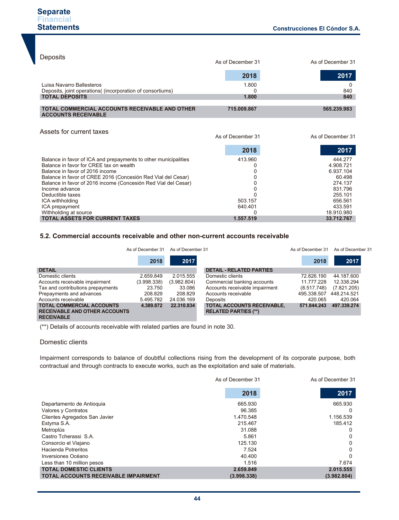| Deposits                                                                                                         | As of December 31 | As of December 31 |  |
|------------------------------------------------------------------------------------------------------------------|-------------------|-------------------|--|
|                                                                                                                  | 2018              | 2017              |  |
| Luisa Navarro Ballesteros<br>Deposits, joint operations( (incorporation of consortiums)<br><b>TOTAL DEPOSITS</b> | 1.800<br>1.800    | 840<br>840        |  |
| <b>TOTAL COMMERCIAL ACCOUNTS RECEIVABLE AND OTHER</b><br><b>ACCOUNTS RECEIVABLE</b>                              | 715.009.867       | 565.239.983       |  |
|                                                                                                                  |                   |                   |  |

#### Assets for current taxes

As of December 31 As of December 31

|                                                                 | 2018      | 2017       |
|-----------------------------------------------------------------|-----------|------------|
| Balance in favor of ICA and prepayments to other municipalities | 413.960   | 444.277    |
| Balance in favor for CREE tax on wealth                         |           | 4.908.721  |
| Balance in favor of 2016 income                                 |           | 6.937.104  |
| Balance in favor of CREE 2016 (Concesión Red Vial del Cesar)    |           | 60.498     |
| Balance in favor of 2016 income (Concesión Red Vial del Cesar)  |           | 274.137    |
| Income advance                                                  |           | 831.796    |
| Deductible taxes                                                |           | 255.101    |
| ICA withholding                                                 | 503.157   | 656.561    |
| ICA prepayment                                                  | 640.401   | 433.591    |
| Withholding at source                                           |           | 18.910.980 |
| <b>TOTAL ASSETS FOR CURRENT TAXES</b>                           | 1.557.519 | 33.712.767 |

#### **5.2. Commercial accounts receivable and other non-current accounts receivable**

|                                                                                               | As of December 31 | As of December 31 |                                                                  | As of December 31 | As of December 31 |
|-----------------------------------------------------------------------------------------------|-------------------|-------------------|------------------------------------------------------------------|-------------------|-------------------|
|                                                                                               | 2018              | 2017              |                                                                  | 2018              | 2017              |
| <b>DETAIL</b>                                                                                 |                   |                   | <b>DETAIL - RELATED PARTIES</b>                                  |                   |                   |
| Domestic clients                                                                              | 2.659.849         | 2.015.555         | Domestic clients                                                 | 72.826.190        | 44.187.600        |
| Accounts receivable impairment                                                                | (3.998.338)       | (3.982.804)       | Commercial banking accounts                                      | 11.777.228        | 12.338.294        |
| Tax and contributions prepayments                                                             | 23.750            | 33.086            | Accounts receivable impairment                                   | (8.517.748)       | (7.821.205)       |
| Prepayments and advances                                                                      | 208.829           | 208.829           | Accounts receivable                                              | 495.338.507       | 448.214.521       |
| Accounts receivable                                                                           | 5.495.782         | 24.036.169        | Deposits                                                         | 420.065           | 420.064           |
| <b>TOTAL COMMERCIAL ACCOUNTS</b><br><b>RECEIVABLE AND OTHER ACCOUNTS</b><br><b>RECEIVABLE</b> | 4.389.872         | 22.310.834        | <b>TOTAL ACCOUNTS RECEIVABLE,</b><br><b>RELATED PARTIES (**)</b> | 571.844.243       | 497.339.274       |

(\*\*) Details of accounts receivable with related parties are found in note 30.

#### Domestic clients

Impairment corresponds to balance of doubtful collections rising from the development of its corporate purpose, both contractual and through contracts to execute works, such as the exploitation and sale of materials.

|                                             | As of December 31 | As of December 31 |
|---------------------------------------------|-------------------|-------------------|
|                                             | 2018              | 2017              |
| Departamento de Antioquia                   | 665.930           | 665.930           |
| Valores y Contratos                         | 96.385            | O                 |
| Clientes Agregados San Javier               | 1.470.548         | 1.156.539         |
| Estyma S.A.                                 | 215.467           | 185.412           |
| Metroplús                                   | 31.088            | 0                 |
| Castro Tcherassi S.A.                       | 5.861             |                   |
| Consorcio el Viajano                        | 125.130           | 0                 |
| Hacienda Potreritos                         | 7.524             | 0                 |
| Inversiones Océano                          | 40.400            |                   |
| Less than 10 million pesos                  | 1.516             | 7.674             |
| <b>TOTAL DOMESTIC CLIENTS</b>               | 2.659.849         | 2.015.555         |
| <b>TOTAL ACCOUNTS RECEIVABLE IMPAIRMENT</b> | (3.998.338)       | (3.982.804)       |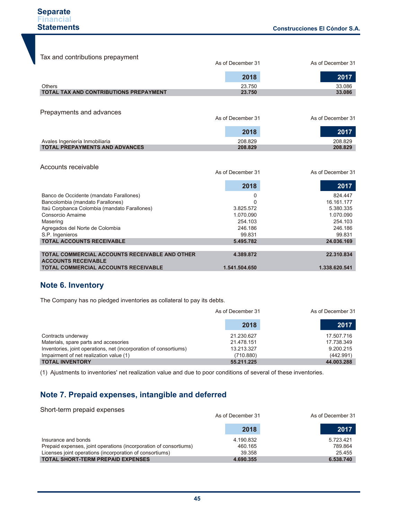| Tax and contributions prepayment             |                   |                   |
|----------------------------------------------|-------------------|-------------------|
|                                              | As of December 31 | As of December 31 |
|                                              | 2018              | 2017              |
| Others                                       | 23.750            | 33.086            |
| TOTAL TAX AND CONTRIBUTIONS PREPAYMENT       | 23.750            | 33.086            |
|                                              |                   |                   |
| Prepayments and advances                     |                   |                   |
|                                              | As of December 31 | As of December 31 |
|                                              | 2018              | 2017              |
| Avales Ingeniería Inmobiliaria               | 208.829           | 208.829           |
| <b>TOTAL PREPAYMENTS AND ADVANCES</b>        | 208.829           | 208.829           |
| Accounts receivable                          |                   |                   |
|                                              | As of December 31 | As of December 31 |
|                                              | 2018              | 2017              |
| Banco de Occidente (mandato Farallones)      | 0                 | 824.447           |
| Bancolombia (mandato Farallones)             | ი                 | 16.161.177        |
| Itaú Corpbanca Colombia (mandato Farallones) | 3.825.572         | 5.380.335         |
| Consorcio Amaime                             | 1.070.090         | 1.070.090         |
| Masering                                     | 254.103           | 254.103           |
| Agregados del Norte de Colombia              | 246.186           | 246.186           |
| S.P. Ingenieros                              | 99.831            | 99.831            |
| <b>TOTAL ACCOUNTS RECEIVABLE</b>             | 5.495.782         | 24.036.169        |

**TOTAL COMMERCIAL ACCOUNTS RECEIVABLE AND OTHER ACCOUNTS RECEIVABLE TOTAL COMMERCIAL ACCOUNTS RECEIVABLE 4.389.872 1.541.504.650 22.310.834 1.338.620.541**

## **Note 6. Inventory**

The Company has no pledged inventories as collateral to pay its debts.

|                                                                   | As of December 31 |            |
|-------------------------------------------------------------------|-------------------|------------|
|                                                                   | 2018              | .2017      |
| Contracts underway                                                | 21.230.627        | 17.507.716 |
| Materials, spare parts and accesories                             | 21.478.151        | 17.738.349 |
| Inventories, joint operations, net (incorporation of consortiums) | 13.213.327        | 9.200.215  |
| Impairment of net realization value (1)                           | (710.880)         | (442.991)  |
| <b>TOTAL INVENTORY</b>                                            | 55.211.225        | 44.003.288 |

(1) Ajustments to inventories' net realization value and due to poor conditions of several of these inventories.

## **Note 7. Prepaid expenses, intangible and deferred**

| Short-term prepaid expenses                                       | As of December 31 | As of December 31 |
|-------------------------------------------------------------------|-------------------|-------------------|
|                                                                   | 2018              | 2017              |
| Insurance and bonds                                               | 4.190.832         | 5.723.421         |
| Prepaid expenses, joint operations (incorporation of consortiums) | 460.165           | 789.864           |
| Licenses joint operations (incorporation of consortiums)          | 39.358            | 25.455            |
| <b>TOTAL SHORT-TERM PREPAID EXPENSES</b>                          | 4.690.355         | 6.538.740         |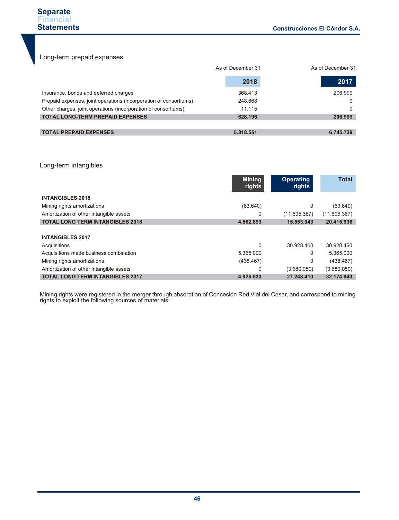Long-term prepaid expenses

|                                                                   | As of December 31 | As of December 31 |
|-------------------------------------------------------------------|-------------------|-------------------|
|                                                                   | 2018              | 2017              |
| Insurance, bonds and deferred charges                             | 368.413           | 206.999           |
| Prepaid expenses, joint operations (incorporation of consortiums) | 248.668           | 0                 |
| Other charges, joint operations (incorporation of consortiums)    | 11.115            |                   |
| <b>TOTAL LONG-TERM PREPAID EXPENSES</b>                           | 628.196           | 206.999           |
|                                                                   |                   |                   |
| <b>TOTAL PREPAID EXPENSES</b>                                     | 5.318.551         | 6.745.739         |

#### Long-term intangibles

|                                         | <b>Mining</b><br>rights | <b>Operating</b><br>rights | <b>Total</b> |
|-----------------------------------------|-------------------------|----------------------------|--------------|
| <b>INTANGIBLES 2018</b>                 |                         |                            |              |
| Mining rights amortizations             | (63.640)                | 0                          | (63.640)     |
| Amortization of other intangible assets | 0                       | (11.695.367)               | (11.695.367) |
| <b>TOTAL LONG TERM INTANGIBLES 2018</b> | 4.862.893               | 15.553.043                 | 20.415.936   |
| <b>INTANGIBLES 2017</b>                 |                         |                            |              |
| Acquisitions                            | 0                       | 30.928.460                 | 30.928.460   |
| Acquisitions made business combination  | 5.365.000               | 0                          | 5.365.000    |
| Mining rights amortizations             | (438.467)               | 0                          | (438.467)    |
| Amortization of other intangible assets | 0                       | (3.680.050)                | (3.680.050)  |
| <b>TOTAL LONG TERM INTANGIBLES 2017</b> | 4.926.533               | 27.248.410                 | 32.174.943   |

Mining rights were registered in the merger through absorption of Concesión Red Vial del Cesar, and correspond to mining rights to exploit the following sources of materials: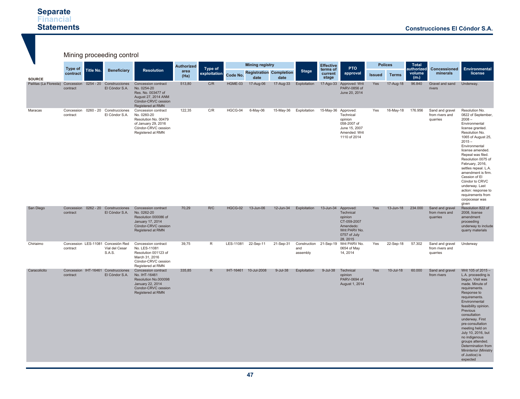#### **Separate Financial Statements**

|                                             | Mining proceeding control  |           |                                                                |                                                                                                                               |                   |                         |           |                        |                                        |                 |                              |                                                                                                            |               |                |                                           |                                                |                                                                                                                                                                                                                                                                                                                                                                                                                        |
|---------------------------------------------|----------------------------|-----------|----------------------------------------------------------------|-------------------------------------------------------------------------------------------------------------------------------|-------------------|-------------------------|-----------|------------------------|----------------------------------------|-----------------|------------------------------|------------------------------------------------------------------------------------------------------------|---------------|----------------|-------------------------------------------|------------------------------------------------|------------------------------------------------------------------------------------------------------------------------------------------------------------------------------------------------------------------------------------------------------------------------------------------------------------------------------------------------------------------------------------------------------------------------|
|                                             |                            |           |                                                                |                                                                                                                               | <b>Authorized</b> |                         |           | <b>Mining registry</b> |                                        |                 | <b>Effective</b>             | PTO                                                                                                        |               | <b>Polices</b> | <b>Total</b>                              |                                                |                                                                                                                                                                                                                                                                                                                                                                                                                        |
| <b>SOURCE</b>                               | <b>Type of</b><br>contract | Title No. | <b>Beneficiary</b>                                             | <b>Resolution</b>                                                                                                             | area<br>(Ha)      | Type of<br>exploitation | Code No.  | date                   | <b>Registration Completion</b><br>date | <b>Stage</b>    | terms of<br>current<br>stage | approval                                                                                                   | <b>Issued</b> | <b>Terms</b>   | authorized<br>volume<br>(m <sub>s</sub> ) | Concessioned<br>minerals                       | Environmental<br>license                                                                                                                                                                                                                                                                                                                                                                                               |
| Pailitas (La Floresta) Concession 0254 - 20 | contract                   |           | Construcciones<br>El Cóndor S.A.                               | Concession contract<br>No. 0254-20<br>Res. No. 003477 of<br>August 27, 2014 ANM<br>Cóndor-CRVC cession<br>Registered at RMN   | 513,80            | C/R                     | HGME-03   | 17-Aug-06              | 17-Aug-33                              | Exploitation    |                              | 17-Ago-33 Approved: Writ<br>PARV-0856 of<br>June 20, 2014                                                  | Yes           | 17-Aug-18      | 96.840                                    | Gravel and sand<br>rivers                      | Underway.                                                                                                                                                                                                                                                                                                                                                                                                              |
| Maracas                                     | contract                   |           | Concession 0260 - 20 Construcciones<br>El Cóndor S.A.          | Concession contract<br>No. 0260-20<br>Resolution No. 00479<br>of January 29, 2016<br>Cóndor-CRVC cession<br>Registered at RMN | 122.35            | C/R                     | HGCG-04   | 6-May-06               | 15-May-36                              | Exploitation    | 15-May-36 Approved:          | Technical<br>opinion<br>058-2007 of<br>June 15, 2007<br>Amended: Writ<br>1110 of 2014                      | Yes           | 16-May-18      | 176.956                                   | Sand and gravel<br>from rivers and<br>quarries | Resolution No.<br>0822 of September,<br>$2008 -$<br>Environmental<br>license granted.<br>Resolution No.<br>1065 of August 25,<br>$2015 -$<br>Environmental<br>license amended.<br>Repeal was filed.<br>Resolution 0075 of<br>February, 2016,<br>settles repeal. L.A.<br>amendment is firm.<br>Cession of El<br>Cóndor to CRVC<br>underway. Last<br>action: response to<br>requirements from<br>corpocesar was<br>aiven |
| San Diego                                   | contract                   |           | Concession 0262 - 20 Construcciones<br>El Cóndor S.A.          | Concession contract<br>No. 0262-20<br>Resolution 000086 of<br>January 17, 2014<br>Cóndor-CRVC cession<br>Registered at RMN    | 70,29             | R/C                     | HGCG-02   | 13-Jun-06              | 12-Jun-34                              | Exploitation    | 13-Jun-34                    | Approved:<br>Technical<br>opinion<br>CT-059-2007<br>Amendedo:<br>Writ PARV No.<br>0757 of July<br>28, 2015 | <b>Yes</b>    | $13$ -Jun-18   | 234.000                                   | Sand and gravel<br>from rivers and<br>quarries | Resolution 822 of<br>2008, license<br>amendment<br>proceeding<br>underway to include<br>quarry materials                                                                                                                                                                                                                                                                                                               |
| Chiriaimo                                   | contract                   |           | Concession LES-11081 Concesión Red<br>Vial del Cesar<br>S.A.S. | Concession contract<br>No. LES-11081<br>Resolution 001123 of<br>March 31, 2016<br>Cóndor-CRVC cession<br>Registered at RMN    | 39.75             | R                       | LES-11081 | 22-Sep-11              | 21-Sep-31                              | and<br>assembly |                              | Construction 21-Sep-19 Writ PARV No.<br>0654 of May<br>14, 2014                                            | Yes           | 22-Sep-18      | 57.302                                    | Sand and gravel<br>from rivers and<br>quarries | Underway                                                                                                                                                                                                                                                                                                                                                                                                               |
| Caracolicito                                | contract                   |           | Concession IHT-16461 Construcciones<br>El Cóndor S.A.          | Concession contract<br>No. IHT-16461<br>Resolution No.000098<br>January 22, 2014<br>Condor-CRVC cession<br>Registered at RMN  | 335,85            | R.                      |           | IHT-16461 10-Jul-2008  | 9-Jul-38                               | Exploitation    | 9-Jul-38                     | Technical<br>opinion<br>PARV-0694 of<br>August 1, 2014                                                     | Yes           | $10$ -Jul-18   | 60,000                                    | Sand and gravel<br>from rivers                 | Writ 105 of 2015 -<br>L.A. proceeding is<br>begun. Visit was<br>made. Minute of<br>requirements.<br>Response to<br>requirements.<br>Environmental<br>feasibility opinion.<br>Previous<br>consultation<br>underway. First<br>pre-consultation<br>meeting held on<br>July 10, 2016, but<br>no indigenous<br>groups attended.<br>Determination from<br><b>Mininterior (Ministry</b><br>of Justice) is<br>expected         |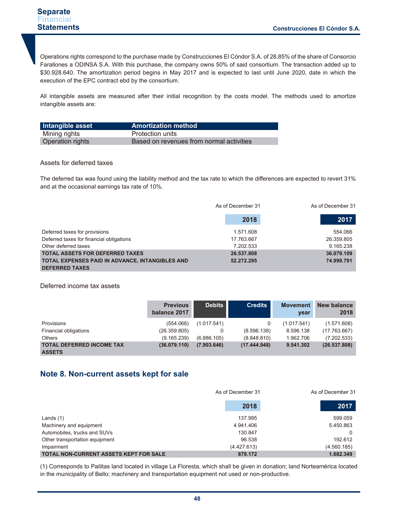Operations rights correspond to the purchase made by Construcciones El Cóndor S.A. of 28.85% of the share of Consorcio Farallones a ODINSA S.A. With this purchase, the company owns 50% of said consortium. The transaction added up to \$30.928.640. The amortization period begins in May 2017 and is expected to last until June 2020, date in which the execution of the EPC contract ebd by the consortium.

All intangible assets are measured after their initial recognition by the costs model. The methods used to amortize intangible assets are:

| Intangible asset        | <b>Amortization method</b>               |
|-------------------------|------------------------------------------|
| Mining rights           | Protection units                         |
| <b>Operation rights</b> | Based on revenues from normal activities |

#### Assets for deferred taxes

The deferred tax was found using the liability method and the tax rate to which the differences are expected to revert 31% and at the occasional earnings tax rate of 10%.

|                                                 | As of December 31 | As of December 31 |  |
|-------------------------------------------------|-------------------|-------------------|--|
|                                                 | 2018              | 2017              |  |
| Deferred taxes for provisions                   | 1.571.608         | 554.066           |  |
| Deferred taxes for financial obligations        | 17.763.667        | 26.359.805        |  |
| Other deferred taxes                            | 7.202.533         | 9.165.238         |  |
| <b>TOTAL ASSETS FOR DEFERRED TAXES</b>          | 26.537.808        | 36.079.109        |  |
| TOTAL EXPENSES PAID IN ADVANCE, INTANGIBLES AND | 52.272.295        | 74.999.791        |  |
| <b>DEFERRED TAXES</b>                           |                   |                   |  |

#### Deferred income tax assets

|                                                   | <b>Previous</b><br>balance 2017 | <b>Debits</b> | <b>Credits</b> | <b>Movement</b><br>year | New balance<br>2018 |
|---------------------------------------------------|---------------------------------|---------------|----------------|-------------------------|---------------------|
| Provisions                                        | (554.066)                       | (1.017.541)   | 0              | (1.017.541)             | (1.571.608)         |
| Financial obligations                             | (26.359.805)                    |               | (8.596.138)    | 8.596.138               | (17.763.667)        |
| <b>Others</b>                                     | (9.165.239)                     | (6.886.105)   | (8.848.810)    | 1.962.706               | (7.202.533)         |
| <b>TOTAL DEFERRED INCOME TAX</b><br><b>ASSETS</b> | (36.079.110)                    | (7.903.646)   | (17.444.948)   | 9.541.302               | (26.537.808)        |

### **Note 8. Non-current assets kept for sale**

|                                               | As of December 31 | As of December 31 |
|-----------------------------------------------|-------------------|-------------------|
|                                               | 2018              | 2017              |
| Lands $(1)$                                   | 137.995           | 599.059           |
| Machinery and equipment                       | 4.941.406         | 5.450.863         |
| Automobiles, trucks and SUVs                  | 130.847           |                   |
| Other transportation equipment                | 96.538            | 192.612           |
| Impairment                                    | (4.427.613)       | (4.560.185)       |
| <b>TOTAL NON-CURRENT ASSETS KEPT FOR SALE</b> | 879.172           | 1.682.349         |

(1) Corresponds to Pailitas land located in village La Floresta, which shall be given in donation; land Norteamérica located in the municipality of Bello; machinery and transportation equipment not used or non-productive.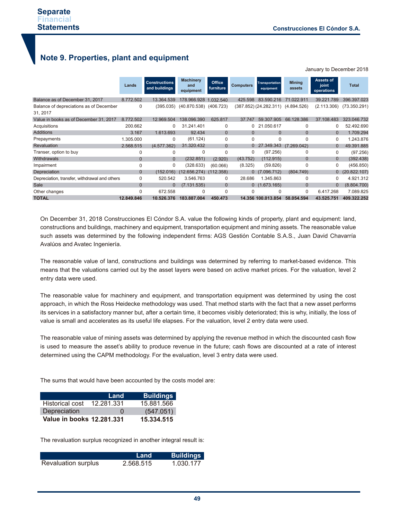January to December 2018

## **Note 9. Properties, plant and equipment**

|                                               | Lands          | <b>Constructions</b><br>and buildings | <b>Machinery</b><br>and<br>equipment | Office<br>furniture | <b>Computers</b> | <b>Transportation</b><br>equipment    | <b>Mining</b><br>assets | Assets of<br>joint<br>operations | <b>Total</b> |
|-----------------------------------------------|----------------|---------------------------------------|--------------------------------------|---------------------|------------------|---------------------------------------|-------------------------|----------------------------------|--------------|
| Balance as of December 31, 2017               | 8.772.502      | 13.364.539                            | 178.966.928                          | 1.032.540           | 425.598          | 83.590.216                            | 71.022.911              | 39.221.789                       | 396.397.023  |
| Balance of depreciations as of December       | $\Omega$       | (395.035)                             | $(40.870.538)$ $(406.723)$           |                     |                  | $(387.852)(24.282.311)$ $(4.894.526)$ |                         | (2.113.306)                      | (73.350.291) |
| 31, 2017                                      |                |                                       |                                      |                     |                  |                                       |                         |                                  |              |
| Value in books as of December 31, 2017        | 8.772.502      | 12.969.504                            | 138.096.390                          | 625.817             | 37.747           | 59.307.905                            | 66.128.386              | 37.108.483                       | 323.046.732  |
| Acquisitions                                  | 200.662        | $\Omega$                              | 31.241.401                           | 0                   |                  | 21.050.617                            | $\Omega$                | 0                                | 52.492.690   |
| <b>Additions</b>                              | 3.167          | 1.613.693                             | 92.434                               | $\Omega$            | $\Omega$         | $\mathbf{0}$                          | $\Omega$                | $\Omega$                         | 1.709.294    |
| Prepayments                                   | 1.305.000      | 0                                     | (61.124)                             | $\Omega$            | $\Omega$         | $\Omega$                              | $\Omega$                | $\Omega$                         | 1.243.876    |
| <b>Revaluation</b>                            | 2.568.515      | (4.577.362)                           | 31.320.432                           | $\mathbf{0}$        |                  | 27.349.343                            | (7.269.042)             | $\Omega$                         | 49.391.885   |
| Transer, option to buy                        | 0              | 0                                     | 0                                    | 0                   | 0                | (97.256)                              | $\Omega$                | 0                                | (97.256)     |
| Withdrawals                                   | $\overline{0}$ | $\Omega$                              | (232.851)                            | (2.920)             | (43.752)         | (112.915)                             | $\mathbf{0}$            | $\mathbf{0}$                     | (392.438)    |
| Impairment                                    | 0              | 0                                     | (328.633)                            | (60.066)            | (8.325)          | (59.826)                              | $\Omega$                | 0                                | (456.850)    |
| Depreciation                                  | $\overline{0}$ | (152.016)                             | (12.656.274)                         | (112.358)           |                  | (7.096.712)                           | (804.749)               | 0                                | (20.822.107) |
| Depreciation, transfer, withdrawal and others | 0              | 520.542                               | 3.546.763                            | $\Omega$            | 28.686           | 1.345.863                             | $\Omega$                | 0                                | 4.921.312    |
| Sale                                          | 0              | 0                                     | (7.131.535)                          | $\mathbf{0}$        | 0 <sup>1</sup>   | (1.673.165)                           | 0                       | 0                                | (8.804.700)  |
| Other changes                                 | 0              | 672.558                               |                                      | $\Omega$            |                  |                                       | $\Omega$                | 6.417.268                        | 7.089.825    |
| <b>TOTAL</b>                                  | 12.849.846     | 10.526.376                            | 183.887.004                          | 450,473             |                  | 14.356 100.013.854                    | 58.054.594              | 43.525.751                       | 409.322.252  |

On December 31, 2018 Construcciones El Cóndor S.A. value the following kinds of property, plant and equipment: land, constructions and buildings, machinery and equipment, transportation equipment and mining assets. The reasonable value such assets was determined by the following independent firms: AGS Gestión Contable S.A.S., Juan David Chavarría Avalúos and Avatec Ingeniería.

The reasonable value of land, constructions and buildings was determined by referring to market-based evidence. This means that the valuations carried out by the asset layers were based on active market prices. For the valuation, level 2 entry data were used.

The reasonable value for machinery and equipment, and transportation equipment was determined by using the cost approach, in which the Ross Heidecke methodology was used. That method starts with the fact that a new asset performs its services in a satisfactory manner but, after a certain time, it becomes visibly deteriorated; this is why, initially, the loss of value is small and accelerates as its useful life elapses. For the valuation, level 2 entry data were used.

The reasonable value of mining assets was determined by applying the revenue method in which the discounted cash flow is used to measure the asset's ability to produce revenue in the future; cash flows are discounted at a rate of interest determined using the CAPM methodology. For the evaluation, level 3 entry data were used.

The sums that would have been accounted by the costs model are:

|                           | Land         | <b>Buildings</b> |
|---------------------------|--------------|------------------|
| Historical cost           | 12.281.331   | 15.881.566       |
| Depreciation              | $\mathbf{O}$ | (547.051)        |
| Value in books 12,281,331 |              | 15.334.515       |

The revaluation surplus recognized in another integral result is:

|                            | Land      | <b>Buildings</b> |
|----------------------------|-----------|------------------|
| <b>Revaluation surplus</b> | 2.568.515 | 1.030.177        |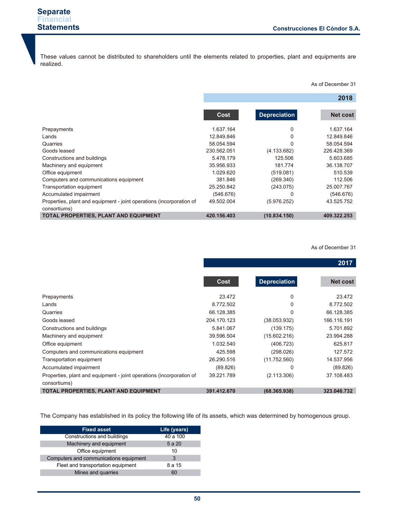These values cannot be distributed to shareholders until the elements related to properties, plant and equipments are realized.

As of December 31

**2018**

|                                                                                      | Cost        | <b>Depreciation</b> | <b>Net cost</b> |
|--------------------------------------------------------------------------------------|-------------|---------------------|-----------------|
| Prepayments                                                                          | 1.637.164   | 0                   | 1.637.164       |
| Lands                                                                                | 12.849.846  |                     | 12.849.846      |
| Quarries                                                                             | 58.054.594  | U                   | 58.054.594      |
| Goods leased                                                                         | 230.562.051 | (4.133.682)         | 226.428.369     |
| Constructions and buildings                                                          | 5.478.179   | 125.506             | 5.603.685       |
| Machinery and equipment                                                              | 35.956.933  | 181.774             | 36.138.707      |
| Office equipment                                                                     | 1.029.620   | (519.081)           | 510.539         |
| Computers and communications equipment                                               | 381.846     | (269.340)           | 112.506         |
| Transportation equipment                                                             | 25.250.842  | (243.075)           | 25.007.767      |
| Accumulated impairment                                                               | (546.676)   |                     | (546.676)       |
| Properties, plant and equipment - joint operations (incorporation of<br>consortiums) | 49.502.004  | (5.976.252)         | 43.525.752      |
| <b>TOTAL PROPERTIES, PLANT AND EQUIPMENT</b>                                         | 420.156.403 | (10.834.150)        | 409.322.253     |

#### As of December 31

#### **2017**

|                                                                      | Cost        | <b>Depreciation</b> | <b>Net cost</b> |
|----------------------------------------------------------------------|-------------|---------------------|-----------------|
|                                                                      |             |                     |                 |
| Prepayments                                                          | 23.472      | 0                   | 23.472          |
| Lands                                                                | 8.772.502   | 0                   | 8.772.502       |
| Quarries                                                             | 66.128.385  | 0                   | 66.128.385      |
| Goods leased                                                         | 204.170.123 | (38.053.932)        | 166.116.191     |
| Constructions and buildings                                          | 5.841.067   | (139.175)           | 5.701.892       |
| Machinery and equipment                                              | 39.596.504  | (15.602.216)        | 23.994.288      |
| Office equipment                                                     | 1.032.540   | (406.723)           | 625.817         |
| Computers and communications equipment                               | 425.598     | (298.026)           | 127.572         |
| Transportation equipment                                             | 26.290.516  | (11.752.560)        | 14.537.956      |
| Accumulated impairment                                               | (89.826)    | 0                   | (89.826)        |
| Properties, plant and equipment - joint operations (incorporation of | 39.221.789  | (2.113.306)         | 37.108.483      |
| consortiums)                                                         |             |                     |                 |
| TOTAL PROPERTIES, PLANT AND EQUIPMENT                                | 391.412.670 | (68.365.938)        | 323.046.732     |

The Company has established in its policy the following life of its assets, which was determined by homogenous group.

| <b>Fixed asset</b>                     | Life (years) |
|----------------------------------------|--------------|
| Constructions and buildings            | 40 a 100     |
| Machinery and equipment                | 5 a 20       |
| Office equipment                       | 10           |
| Computers and communications equipment | 3            |
| Fleet and transportation equipment     | 8 a 15       |
| Mines and quarries                     | 60           |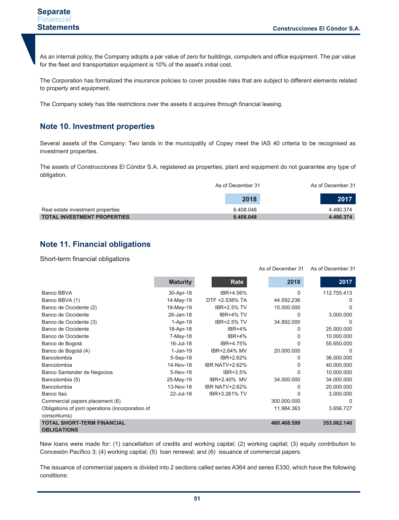As of December 31 As of December 31

As an internal policy, the Company adopts a par value of zero for buildings, computers and office equipment. The par value for the fleet and transportation equipment is 10% of the asset's initial cost.

The Corporation has formalized the insurance policies to cover possible risks that are subject to different elements related to property and equipment.

The Company solely has title restrictions over the assets it acquires through financial leasing.

## **Note 10. Investment properties**

Several assets of the Company: Two lands in the municipality of Copey meet the IAS 40 criteria to be recognised as investment properties.

The assets of Construcciones El Cóndor S.A. registered as properties, plant and equipment do not guarantee any type of obligation.

|                                    | As of December 31 | As of December 31 |
|------------------------------------|-------------------|-------------------|
|                                    | 2018              | 2017              |
| Real estate investment properties  | 6.408.048         | 4.490.374         |
| <b>TOTAL INVESTMENT PROPERTIES</b> | 6.408.048         | 4.490.374         |

## **Note 11. Financial obligations**

Short-term financial obligations

|                                                         | <b>Maturity</b> | Rate                  | 2018        | 2017        |
|---------------------------------------------------------|-----------------|-----------------------|-------------|-------------|
| Banco BBVA                                              | 30-Apr-18       | IBR+4.56%             | 0           | 112.755.413 |
| Banco BBVA (1)                                          | 14-May-19       | DTF +2.538% TA        | 44.592.236  | O           |
| Banco de Occidente (2)                                  | 19-May-19       | <b>IBR+2.5% TV</b>    | 15.000.000  | U           |
| Banco de Occidente                                      | 26-Jan-18       | IBR+4% TV             | 0           | 3.000.000   |
| Banco de Occidente (3)                                  | $1-Apr-19$      | <b>IBR+2.5% TV</b>    | 34.892.000  | $\Omega$    |
| Banco de Occidente                                      | 18-Apr-18       | <b>IBR+4%</b>         | 0           | 25.000.000  |
| Banco de Occidente                                      | 7-May-18        | $IBR+4%$              | 0           | 10.000.000  |
| Banco de Bogotá                                         | 16-Jul-18       | IBR+4.75%             | 0           | 55.650.000  |
| Banco de Bogotá (4)                                     | $1-Jan-19$      | IBR+2.64% MV          | 20.000.000  | $\Omega$    |
| <b>Bancolombia</b>                                      | 5-Sep-18        | IBR+2.62%             | 0           | 36.000.000  |
| Bancolombia                                             | 14-Nov-18       | <b>IBR NATV+2.62%</b> | 0           | 40.000.000  |
| Banco Santander de Negocios                             | 5-Nov-18        | IBR+3.5%              | ი           | 10.000.000  |
| Bancolombia (5)                                         | 25-May-19       | IBR+2.40% MV          | 34.000.000  | 34.000.000  |
| Bancolombia                                             | 13-Nov-18       | <b>IBR NATV+2.62%</b> | 0           | 20.000.000  |
| Banco Itaú                                              | 22-Jul-18       | IBR+3.261% TV         | N           | 3.000.000   |
| Commercial papers placement (6)                         |                 |                       | 300.000.000 | 0           |
| Obligations of joint operations (incorporation of       |                 |                       | 11.984.363  | 3.656.727   |
| consortiums)                                            |                 |                       |             |             |
| <b>TOTAL SHORT-TERM FINANCIAL</b><br><b>OBLIGATIONS</b> |                 |                       | 460.468.599 | 353.062.140 |

New loans were made for: (1) cancellation of credits and working capital; (2) working capital; (3) equity contribution to Concesión Pacífico 3; (4) working capital; (5) loan renewal; and (6) issuance of commercial papers.

The issuance of commercial papers is divided into 2 sections called series A364 and series E330, which have the following conditions: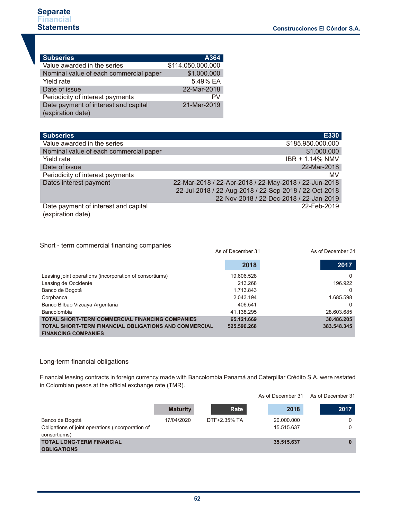| <b>Subseries</b>                       | A364              |
|----------------------------------------|-------------------|
| Value awarded in the series            | \$114.050.000.000 |
| Nominal value of each commercial paper | \$1.000.000       |
| Yield rate                             | 5,49% EA          |
| Date of issue                          | 22-Mar-2018       |
| Periodicity of interest payments       | PV                |
| Date payment of interest and capital   | 21-Mar-2019       |
| (expiration date)                      |                   |

| <b>Subseries</b>                                          | E330                                                  |
|-----------------------------------------------------------|-------------------------------------------------------|
| Value awarded in the series                               | \$185.950.000.000                                     |
| Nominal value of each commercial paper                    | \$1.000.000                                           |
| Yield rate                                                | IBR + 1.14% NMV                                       |
| Date of issue                                             | 22-Mar-2018                                           |
| Periodicity of interest payments                          | MV                                                    |
| Dates interest payment                                    | 22-Mar-2018 / 22-Apr-2018 / 22-May-2018 / 22-Jun-2018 |
|                                                           | 22-Jul-2018 / 22-Aug-2018 / 22-Sep-2018 / 22-Oct-2018 |
|                                                           | 22-Nov-2018 / 22-Dec-2018 / 22-Jan-2019               |
| Date payment of interest and capital<br>(expiration date) | 22-Feb-2019                                           |

#### Short - term commercial financing companies

| onone tonin commissional imagionity companies                | As of December 31 | As of December 31 |
|--------------------------------------------------------------|-------------------|-------------------|
|                                                              | 2018              | 2017              |
| Leasing joint operations (incorporation of consortiums)      | 19.606.528        | 0                 |
| Leasing de Occidente                                         | 213.268           | 196.922           |
| Banco de Bogotá                                              | 1.713.843         | 0                 |
| Corpbanca                                                    | 2.043.194         | 1.685.598         |
| Banco Bilbao Vizcaya Argentaria                              | 406.541           | 0                 |
| Bancolombia                                                  | 41.138.295        | 28.603.685        |
| <b>TOTAL SHORT-TERM COMMERCIAL FINANCING COMPANIES</b>       | 65.121.669        | 30.486.205        |
| <b>TOTAL SHORT-TERM FINANCIAL OBLIGATIONS AND COMMERCIAL</b> | 525.590.268       | 383.548.345       |
| <b>FINANCING COMPANIES</b>                                   |                   |                   |

#### Long-term financial obligations

Financial leasing contracts in foreign currency made with Bancolombia Panamá and Caterpillar Crédito S.A. were restated in Colombian pesos at the official exchange rate (TMR).

|                                                                                      |                 |              | As of December 31        | As of December 31 |
|--------------------------------------------------------------------------------------|-----------------|--------------|--------------------------|-------------------|
|                                                                                      | <b>Maturity</b> | Rate         | 2018                     | 2017              |
| Banco de Bogotá<br>Obligations of joint operations (incorporation of<br>consortiums) | 17/04/2020      | DTF+2.35% TA | 20.000.000<br>15.515.637 | 0<br>0            |
| <b>TOTAL LONG-TERM FINANCIAL</b><br><b>OBLIGATIONS</b>                               |                 |              | 35.515.637               |                   |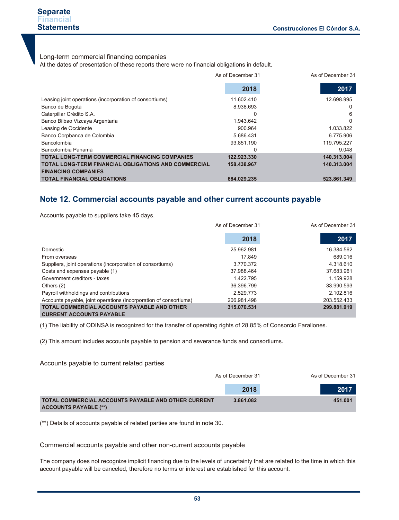#### **Separate Financial Statements**

#### Long-term commercial financing companies

At the dates of presentation of these reports there were no financial obligations in default.

|                                                             | As of December 31 | As of December 31 |
|-------------------------------------------------------------|-------------------|-------------------|
|                                                             | 2018              | 2017              |
| Leasing joint operations (incorporation of consortiums)     | 11.602.410        | 12.698.995        |
| Banco de Bogotá                                             | 8.938.693         | 0                 |
| Caterpillar Crédito S.A.                                    | 0                 | 6                 |
| Banco Bilbao Vizcaya Argentaria                             | 1.943.642         | 0                 |
| Leasing de Occidente                                        | 900.964           | 1.033.822         |
| Banco Corpbanca de Colombia                                 | 5.686.431         | 6.775.906         |
| Bancolombia                                                 | 93.851.190        | 119.795.227       |
| Bancolombia Panamá                                          |                   | 9.048             |
| <b>TOTAL LONG-TERM COMMERCIAL FINANCING COMPANIES</b>       | 122.923.330       | 140.313.004       |
| <b>TOTAL LONG-TERM FINANCIAL OBLIGATIONS AND COMMERCIAL</b> | 158.438.967       | 140.313.004       |
| <b>FINANCING COMPANIES</b>                                  |                   |                   |
| <b>TOTAL FINANCIAL OBLIGATIONS</b>                          | 684.029.235       | 523.861.349       |

### **Note 12. Commercial accounts payable and other current accounts payable**

Accounts payable to suppliers take 45 days.

|                                                                   | As of December 31 |             |
|-------------------------------------------------------------------|-------------------|-------------|
|                                                                   | 2018              | 2017        |
| Domestic                                                          | 25.962.981        | 16.384.562  |
| From overseas                                                     | 17.849            | 689.016     |
| Suppliers, joint operations (incorporation of consortiums)        | 3.770.372         | 4.318.610   |
| Costs and expenses payable (1)                                    | 37.988.464        | 37.683.961  |
| Government creditors - taxes                                      | 1.422.795         | 1.159.928   |
| Others (2)                                                        | 36.396.799        | 33.990.593  |
| Payroll withholdings and contributions                            | 2.529.773         | 2.102.816   |
| Accounts payable, joint operations (incorporation of consortiums) | 206.981.498       | 203.552.433 |
| <b>TOTAL COMMERCIAL ACCOUNTS PAYABLE AND OTHER</b>                | 315.070.531       | 299.881.919 |
| <b>CURRENT ACCOUNTS PAYABLE</b>                                   |                   |             |

(1) The liability of ODINSA is recognized for the transfer of operating rights of 28.85% of Consorcio Farallones.

(2) This amount includes accounts payable to pension and severance funds and consortiums.

Accounts payable to current related parties

|                                                                                     | As of December 31 |         |
|-------------------------------------------------------------------------------------|-------------------|---------|
|                                                                                     | 2018              | 2017    |
| TOTAL COMMERCIAL ACCOUNTS PAYABLE AND OTHER CURRENT<br><b>ACCOUNTS PAYABLE (**)</b> | 3.861.082         | 451.001 |

(\*\*) Details of accounts payable of related parties are found in note 30.

Commercial accounts payable and other non-current accounts payable

The company does not recognize implicit financing due to the levels of uncertainty that are related to the time in which this account payable will be canceled, therefore no terms or interest are established for this account.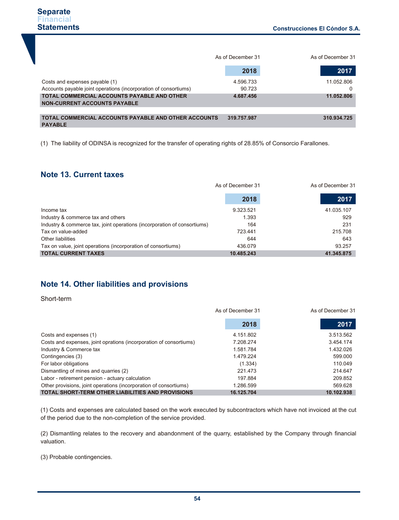|                                                                                    | As of December 31 | As of December 31 |
|------------------------------------------------------------------------------------|-------------------|-------------------|
|                                                                                    | 2018              | 2017              |
| Costs and expenses payable (1)                                                     | 4.596.733         | 11.052.806        |
| Accounts payable joint operations (incorporation of consortiums)                   | 90.723            | 0                 |
| TOTAL COMMERCIAL ACCOUNTS PAYABLE AND OTHER<br><b>NON-CURRENT ACCOUNTS PAYABLE</b> | 4.687.456         | 11.052.806        |
|                                                                                    |                   |                   |
| <b>TOTAL COMMERCIAL ACCOUNTS PAYABLE AND OTHER ACCOUNTS</b><br><b>PAYABLE</b>      | 319.757.987       | 310.934.725       |

(1) The liability of ODINSA is recognized for the transfer of operating rights of 28.85% of Consorcio Farallones.

## **Note 13. Current taxes**

|                                                                          | As of December 31 |            |
|--------------------------------------------------------------------------|-------------------|------------|
|                                                                          | 2018              | 2017       |
| Income tax                                                               | 9.323.521         | 41.035.107 |
| Industry & commerce tax and others                                       | 1.393             | 929        |
| Industry & commerce tax, joint operations (incorporation of consortiums) | 164               | 231        |
| Tax on value-added                                                       | 723.441           | 215.708    |
| Other liabilities                                                        | 644               | 643        |
| Tax on value, joint operations (incorporation of consortiums)            | 436.079           | 93.257     |
| <b>TOTAL CURRENT TAXES</b>                                               | 10.485.243        | 41.345.875 |

## **Note 14. Other liabilities and provisions**

Short-term

|                                                                    | As of December 31 | As of December 31 |
|--------------------------------------------------------------------|-------------------|-------------------|
|                                                                    | 2018              | 2017              |
| Costs and expenses (1)                                             | 4.151.802         | 3.513.562         |
| Costs and expenses, joint oprations (incorporation of consortiums) | 7.208.274         | 3.454.174         |
| Industry & Commerce tax                                            | 1.581.784         | 1.432.026         |
| Contingencies (3)                                                  | 1.479.224         | 599,000           |
| For labor obligations                                              | (1.334)           | 110.049           |
| Dismantling of mines and quarries (2)                              | 221.473           | 214.647           |
| Labor - retirement pension - actuary calculation                   | 197.884           | 209.852           |
| Other provisions, joint operations (incorporation of consortiums)  | 1.286.599         | 569.628           |
| <b>TOTAL SHORT-TERM OTHER LIABILITIES AND PROVISIONS</b>           | 16.125.704        | 10.102.938        |

(1) Costs and expenses are calculated based on the work executed by subcontractors which have not invoiced at the cut of the period due to the non-completion of the service provided.

(2) Dismantling relates to the recovery and abandonment of the quarry, established by the Company through financial valuation.

(3) Probable contingencies.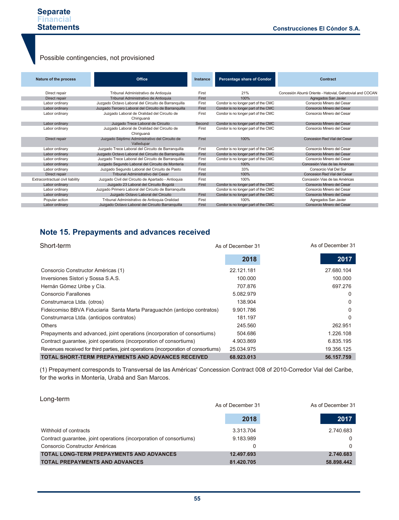## Possible contingencies, not provisioned

| Nature of the process            | Office                                                       | Instance | <b>Percentage share of Condor</b>   | Contract                                                  |
|----------------------------------|--------------------------------------------------------------|----------|-------------------------------------|-----------------------------------------------------------|
| Direct repair                    | Tribunal Administrativo de Antioquia                         | First    | 21%                                 | Concesión Aburrá Oriente - Hatovial, Gehatovial and COCAN |
| Direct repair                    | Tribunal Administrativo de Antioquia                         | First    | 100%                                | Agregados San Javier                                      |
| Labor ordinary                   | Juzgado Octavo Laboral del Circuito de Barranguilla          | First    | Condor is no longer part of the CMC | Consorcio Minero del Cesar                                |
| Labor ordinary                   | Juzgado Tercero Laboral del Circuito de Barranquilla         | First    | Condor is no longer part of the CMC | Consorcio Minero del Cesar                                |
| Labor ordinary                   | Juzgado Laboral de Oralidad del Circuito de<br>Chiriguaná    | First    | Condor is no longer part of the CMC | Consorcio Minero del Cesar                                |
| Labor ordinary                   | Juzgado Trece Laboral de Circuito                            | Second   | Condor is no longer part of the CMC | Consorcio Minero del Cesar                                |
| Labor ordinary                   | Juzgado Laboral de Oralidad del Circuito de<br>Chiriguaná    | First    | Condor is no longer part of the CMC | Consorcio Minero del Cesar                                |
| Direct repair                    | Juzgado Séptimo Administrativo del Circuito de<br>Valledupar | First    | 100%                                | Concesion Red Vial del Cesar                              |
| Labor ordinary                   | Juzgado Trece Laboral del Circuito de Barranquilla           | First    | Condor is no longer part of the CMC | Consorcio Minero del Cesar                                |
| Labor ordinary                   | Juzgado Octavo Laboral del Circuito de Barranguilla          | First    | Condor is no longer part of the CMC | Consorcio Minero del Cesar                                |
| Labor ordinary                   | Juzgado Trece Laboral del Circuito de Barranquilla           | First    | Condor is no longer part of the CMC | Consorcio Minero del Cesar                                |
| Labor ordinary                   | Juzgado Segundo Laboral del Circuito de Montería             | First    | 100%                                | Concesión Vias de las Américas                            |
| Labor ordinary                   | Juzgado Segundo Laboral del Circuito de Pasto                | First    | 33%                                 | Consorcio Vial Del Sur                                    |
| Direct repair                    | Tribunal Administrativo del Cesar                            | First    | 100%                                | Concesion Red Vial del Cesar                              |
| Extracontractual civil liability | Juzgado Civil del Circuito de Apartado - Antioquia           | First    | 100%                                | Concesión Vias de las Américas                            |
| Labor ordinary                   | Juzgado 23 Laboral del Circuito Bogotá                       | First    | Condor is no longer part of the CMC | Consorcio Minero del Cesar                                |
| Labor ordinary                   | Juzgado Primero Laboral del Circuito de Barranquilla         |          | Condor is no longer part of the CMC | Consorcio Minero del Cesar                                |
| Labor ordinary                   | Juzgado Octavo Laboral del Circuito                          | First    | Condor is no longer part of the CMC | Consorcio Minero del Cesar                                |
| Popular action                   | Tribunal Administrativo de Antioquia Oralidad                | First    | 100%                                | Agregados San Javier                                      |
| Labor ordinary                   | Juzgado Octavo Laboral del Circuito Barranquilla             | First    | Condor is no longer part of the CMC | Consorcio Minero del Cesar                                |

## **Note 15. Prepayments and advances received**

| Short-term                                                                           | As of December 31 | As of December 31 |  |
|--------------------------------------------------------------------------------------|-------------------|-------------------|--|
|                                                                                      | 2018              | 2017              |  |
| Consorcio Constructor Américas (1)                                                   | 22.121.181        | 27.680.104        |  |
| Inversiones Sistori y Sossa S.A.S.                                                   | 100.000           | 100.000           |  |
| Hernán Gómez Uribe y Cía.                                                            | 707.876           | 697.276           |  |
| Consorcio Farallones                                                                 | 5.082.979         | 0                 |  |
| Construmarca Ltda. (otros)                                                           | 138.904           | 0                 |  |
| Fideicomiso BBVA Fiduciaria Santa Marta Paraguachón (anticipo contratos)             | 9.901.786         | U                 |  |
| Construmarca Ltda. (anticipos contratos)                                             | 181.197           | O                 |  |
| Others                                                                               | 245.560           | 262.951           |  |
| Prepayments and advanced, joint operations (incorporation of consortiums)            | 504.686           | 1.226.108         |  |
| Contract guarantee, joint operations (incorporation of consortiums)                  | 4.903.869         | 6.835.195         |  |
| Revenues received for third parties, joint operations (incorporation of consortiums) | 25.034.975        | 19.356.125        |  |
| <b>TOTAL SHORT-TERM PREPAYMENTS AND ADVANCES RECEIVED</b>                            | 68.923.013        | 56.157.759        |  |

(1) Prepayment corresponds to Transversal de las Américas' Concession Contract 008 of 2010-Corredor Vial del Caribe, for the works in Montería, Urabá and San Marcos.

| Long-term                                                           | As of December 31 | As of December 31 |
|---------------------------------------------------------------------|-------------------|-------------------|
|                                                                     | 2018              | 2017              |
| Withhold of contracts                                               | 3.313.704         | 2.740.683         |
| Contract quarantee, joint operations (incorporation of consortiums) | 9.183.989         | 0                 |
| Consorcio Constructor Américas                                      |                   | 0                 |
| <b>TOTAL LONG-TERM PREPAYMENTS AND ADVANCES</b>                     | 12.497.693        | 2.740.683         |
| <b>TOTAL PREPAYMENTS AND ADVANCES</b>                               | 81.420.705        | 58.898.442        |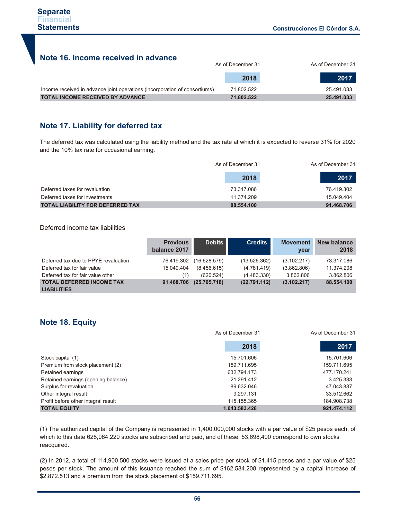## **Note 16. Income received in advance**

|                                                                            | As of December 31 |            |
|----------------------------------------------------------------------------|-------------------|------------|
|                                                                            | 2018              | 2017       |
| Income received in advance joint operations (incorporation of consortiums) | 71.802.522        | 25.491.033 |
| <b>TOTAL INCOME RECEIVED BY ADVANCE</b>                                    | 71.802.522        | 25.491.033 |

## **Note 17. Liability for deferred tax**

The deferred tax was calculated using the liability method and the tax rate at which it is expected to reverse 31% for 2020 and the 10% tax rate for occasional earning.

|                                         | As of December 31 | As of December 31 |  |
|-----------------------------------------|-------------------|-------------------|--|
|                                         | 2018              | 2017              |  |
| Deferred taxes for revaluation          | 73.317.086        | 76.419.302        |  |
| Deferred taxes for investments          | 11.374.209        | 15.049.404        |  |
| <b>TOTAL LIABILITY FOR DEFERRED TAX</b> | 88.554.100        | 91.468.706        |  |

Deferred income tax liabilities

|                                                                     | <b>Previous</b><br>balance 2017 | <b>Debits</b>               | <b>Credits</b>              | <b>Movement</b><br>year    | New balance<br>2018      |
|---------------------------------------------------------------------|---------------------------------|-----------------------------|-----------------------------|----------------------------|--------------------------|
| Deferred tax due to PPYE revaluation<br>Deferred tax for fair value | 76.419.302<br>15.049.404        | (16.628.579)<br>(8.456.615) | (13.526.362)<br>(4.781.419) | (3.102.217)<br>(3.862.806) | 73.317.086<br>11.374.208 |
| Deferred tax for fair value other                                   | (1)                             | (620.524)                   | (4.483.330)                 | 3.862.806                  | 3.862.806                |
| <b>TOTAL DEFERRED INCOME TAX</b><br><b>LIABILITIES</b>              | 91.468.706                      | (25.705.718)                | (22.791.112)                | (3.102.217)                | 88.554.100               |

## **Note 18. Equity**

|                                     | As of December 31 | As of December 31 |
|-------------------------------------|-------------------|-------------------|
|                                     | 2018              | 2017              |
| Stock capital (1)                   | 15.701.606        | 15.701.606        |
| Premium from stock placement (2)    | 159.711.695       | 159.711.695       |
| Retained earnings                   | 632.794.173       | 477.170.241       |
| Retained earnings (opening balance) | 21.291.412        | 3.425.333         |
| Surplus for revaluation             | 89.632.046        | 47.043.837        |
| Other integral result               | 9.297.131         | 33.512.662        |
| Profit before other integral result | 115.155.365       | 184.908.738       |
| <b>TOTAL EQUITY</b>                 | 1.043.583.428     | 921.474.112       |

(1) The authorized capital of the Company is represented in 1,400,000,000 stocks with a par value of \$25 pesos each, of which to this date 628,064,220 stocks are subscribed and paid, and of these, 53,698,400 correspond to own stocks reacquired.

(2) In 2012, a total of 114,900,500 stocks were issued at a sales price per stock of \$1.415 pesos and a par value of \$25 pesos per stock. The amount of this issuance reached the sum of \$162.584.208 represented by a capital increase of \$2.872.513 and a premium from the stock placement of \$159.711.695.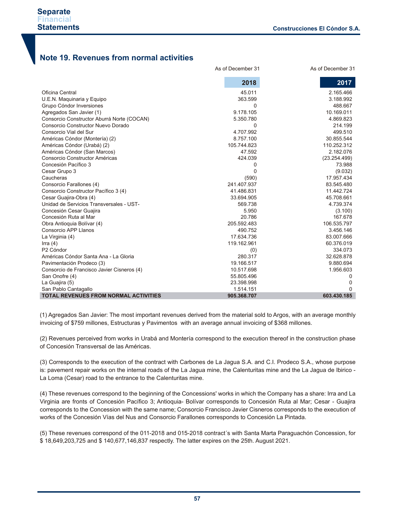## **Note 19. Revenues from normal activities**

|                                            | As of December 31 | As of December 31 |
|--------------------------------------------|-------------------|-------------------|
|                                            | 2018              | 2017              |
| Oficina Central                            | 45.011            | 2.165.466         |
| U.E.N. Maquinaria y Equipo                 | 363.599           | 3.188.992         |
| Grupo Cóndor Inversiones                   | $\Omega$          | 488.667           |
| Agregados San Javier (1)                   | 9.178.105         | 10.169.011        |
| Consorcio Constructor Aburrá Norte (COCAN) | 5.350.780         | 4.869.823         |
| Consorcio Constructor Nuevo Dorado         | $\Omega$          | 214.199           |
| Consorcio Vial del Sur                     | 4.707.992         | 499.510           |
| Américas Cóndor (Montería) (2)             | 8.757.100         | 30.855.544        |
| Américas Cóndor (Urabá) (2)                | 105.744.823       | 110.252.312       |
| Américas Cóndor (San Marcos)               | 47.592            | 2.182.076         |
| Consorcio Constructor Américas             | 424.039           | (23.254.499)      |
| Concesión Pacífico 3                       | 0                 | 73.988            |
| Cesar Grupo 3                              | $\Omega$          | (9.032)           |
| Caucheras                                  | (590)             | 17.957.434        |
| Consorcio Farallones (4)                   | 241.407.937       | 83.545.480        |
| Consorcio Constructor Pacífico 3 (4)       | 41.486.831        | 11.442.724        |
| Cesar Guajira-Obra (4)                     | 33.694.905        | 45.708.661        |
| Unidad de Servicios Transversales - UST-   | 569.738           | 4.739.374         |
| Concesión Cesar Guajira                    | 5.950             | (3.100)           |
| Concesión Ruta al Mar                      | 20.786            | 167.678           |
| Obra Antioquia Bolívar (4)                 | 205.592.483       | 106.535.797       |
| Consorcio APP Llanos                       | 490.752           | 3.456.146         |
| La Virginia (4)                            | 17.634.736        | 83.007.666        |
| Irra $(4)$                                 | 119.162.961       | 60.376.019        |
| P <sub>2</sub> Cóndor                      | (0)               | 334.073           |
| Américas Cóndor Santa Ana - La Gloria      | 280.317           | 32.628.878        |
| Pavimentación Prodeco (3)                  | 19.166.517        | 9.880.694         |
| Consorcio de Francisco Javier Cisneros (4) | 10.517.698        | 1.956.603         |
| San Onofre (4)                             | 55.805.496        | 0                 |
| La Guajira (5)                             | 23.398.998        | O                 |
| San Pablo Cantagallo                       | 1.514.151         | n                 |
| TOTAL REVENUES FROM NORMAL ACTIVITIES      | 905.368.707       | 603.430.185       |

(1) Agregados San Javier: The most important revenues derived from the material sold to Argos, with an average monthly invoicing of \$759 millones, Estructuras y Pavimentos with an average annual invoicing of \$368 millones.

(2) Revenues perceived from works in Urabá and Montería correspond to the execution thereof in the construction phase of Concesión Transversal de las Américas.

(3) Corresponds to the execution of the contract with Carbones de La Jagua S.A. and C.I. Prodeco S.A., whose purpose is: pavement repair works on the internal roads of the La Jagua mine, the Calenturitas mine and the La Jagua de Ibirico - La Loma (Cesar) road to the entrance to the Calenturitas mine.

(4) These revenues correspond to the beginning of the Concessions' works in which the Company has a share: Irra and La Virginia are fronts of Concesión Pacífico 3; Antioquia- Bolívar corresponds to Concesión Ruta al Mar; Cesar - Guajira corresponds to the Concession with the same name; Consorcio Francisco Javier Cisneros corresponds to the execution of works of the Concesión Vías del Nus and Consorcio Farallones corresponds to Concesión La Pintada.

(5) These revenues correspond of the 011-2018 and 015-2018 contract´s with Santa Marta Paraguachón Concession, for \$ 18,649,203,725 and \$ 140,677,146,837 respectly. The latter expires on the 25th. August 2021.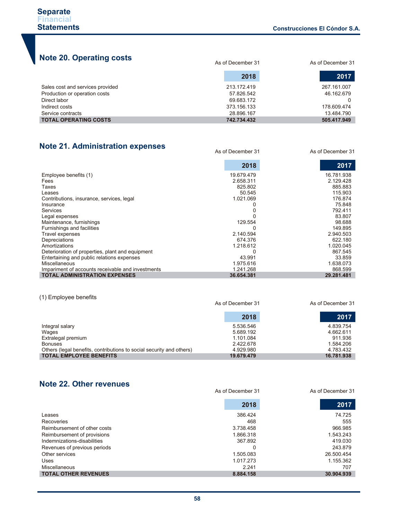# **Note 20. Operating costs**

| TOIC LO. Operating coold         | As of December 31 | As of December 31 |  |
|----------------------------------|-------------------|-------------------|--|
|                                  | 2018              | 2017              |  |
| Sales cost and services provided | 213.172.419       | 267.161.007       |  |
| Production or operation costs    | 57.826.542        | 46.162.679        |  |
| Direct labor                     | 69.683.172        |                   |  |
| Indirect costs                   | 373.156.133       | 178.609.474       |  |
| Service contracts                | 28.896.167        | 13.484.790        |  |
| <b>TOTAL OPERATING COSTS</b>     | 742.734.432       | 505.417.949       |  |

## **Note 21. Administration expenses**

As of December 31 As of December 31

|                                                   | 2018       | 2017       |
|---------------------------------------------------|------------|------------|
| Employee benefits (1)                             | 19.679.479 | 16.781.938 |
| Fees                                              | 2.658.311  | 2.129.428  |
| Taxes                                             | 825.802    | 885.883    |
| Leases                                            | 50.545     | 115.903    |
| Contributions, insurance, services, legal         | 1.021.069  | 176.874    |
| Insurance                                         |            | 75.848     |
| <b>Services</b>                                   |            | 792.411    |
| Legal expenses                                    |            | 83.807     |
| Maintenance, furnishings                          | 129.554    | 98.688     |
| Furnishings and facilities                        |            | 149.895    |
| Travel expenses                                   | 2.140.594  | 2.940.503  |
| Depreciations                                     | 674.376    | 622.180    |
| Amortizations                                     | 1.218.612  | 1.020.045  |
| Deterioration of properties, plant and equipment  |            | 867.545    |
| Entertaining and public relations expenses        | 43.991     | 33.859     |
| <b>Miscellaneous</b>                              | 1.975.616  | 1.638.073  |
| Impariment of accounts receivable and investments | 1.241.268  | 868.599    |
| <b>TOTAL ADMINISTRATION EXPENSES</b>              | 36.654.381 | 29.281.481 |

#### (1) Employee benefits

|                                                                      | As of December 31 | As of December 31 |
|----------------------------------------------------------------------|-------------------|-------------------|
|                                                                      | 2018              | 2017              |
| Integral salary                                                      | 5.536.546         | 4.839.754         |
| Wages                                                                | 5.689.192         | 4.662.611         |
| Extralegal premium                                                   | 1.101.084         | 911.936           |
| <b>Bonuses</b>                                                       | 2.422.678         | 1.584.206         |
| Others (legal benefits, contributions to social security and others) | 4.929.980         | 4.783.432         |
| <b>TOTAL EMPLOYEE BENEFITS</b>                                       | 19.679.479        | 16.781.938        |

## **Note 22. Other revenues**

As of December 31 As of December 31

|                              | 2018      | 2017       |
|------------------------------|-----------|------------|
| Leases                       | 386.424   | 74.725     |
| Recoveries                   | 468       | 555        |
| Reimbursement of other costs | 3.738.458 | 966.985    |
| Reimbursement of provisions  | 1.866.318 | 1.543.243  |
| Indemnizations-disabilities  | 367.892   | 419.030    |
| Revenues of previous periods |           | 243.879    |
| Other services               | 1.505.083 | 26.500.454 |
| Uses                         | 1.017.273 | 1.155.362  |
| Miscellaneous                | 2.241     | 707        |
| <b>TOTAL OTHER REVENUES</b>  | 8.884.158 | 30.904.939 |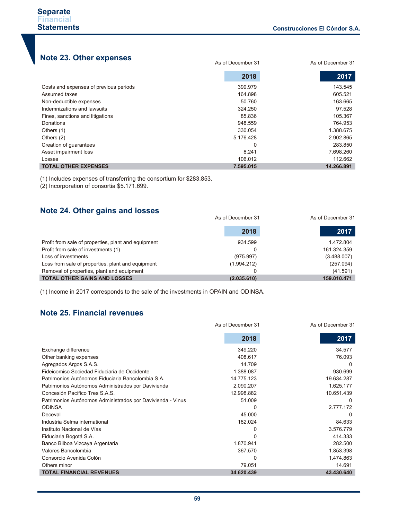As of December 31 As of December 31

# **Note 23. Other expenses**

|                                        | 2018      | 2017       |
|----------------------------------------|-----------|------------|
| Costs and expenses of previous periods | 399.979   | 143.545    |
| Assumed taxes                          | 164.898   | 605.521    |
| Non-deductible expenses                | 50.760    | 163.665    |
| Indemnizations and lawsuits            | 324.250   | 97.528     |
| Fines, sanctions and litigations       | 85.836    | 105.367    |
| Donations                              | 948.559   | 764.953    |
| Others (1)                             | 330.054   | 1.388.675  |
| Others (2)                             | 5.176.428 | 2.902.865  |
| Creation of guarantees                 | 0         | 283.850    |
| Asset impairment loss                  | 8.241     | 7.698.260  |
| Losses                                 | 106.012   | 112.662    |
| <b>TOTAL OTHER EXPENSES</b>            | 7.595.015 | 14.266.891 |

(1) Includes expenses of transferring the consortium for \$283.853.

(2) Incorporation of consortia \$5.171.699.

## **Note 24. Other gains and losses**

|                                                     | As of December 31 | As of December 31 |  |
|-----------------------------------------------------|-------------------|-------------------|--|
|                                                     | 2018              | 2017              |  |
| Profit from sale of properties, plant and equipment | 934.599           | 1.472.804         |  |
| Profit from sale of investments (1)                 |                   | 161.324.359       |  |
| Loss of investments                                 | (975.997)         | (3.488.007)       |  |
| Loss from sale of properties, plant and equipment   | (1.994.212)       | (257.094)         |  |
| Removal of properties, plant and equipment          |                   | (41.591)          |  |
| <b>TOTAL OTHER GAINS AND LOSSES</b>                 | (2.035.610)       | 159.010.471       |  |

(1) Income in 2017 corresponds to the sale of the investments in OPAIN and ODINSA.

## **Note 25. Financial revenues**

|                                                            | As of December 31 | As of December 31 |  |
|------------------------------------------------------------|-------------------|-------------------|--|
|                                                            | 2018              | 2017              |  |
| Exchange difference                                        | 349.220           | 34.577            |  |
| Other banking expenses                                     | 408.617           | 76.093            |  |
| Agregados Argos S.A.S.                                     | 14.709            | $\Omega$          |  |
| Fideicomiso Sociedad Fiduciaria de Occidente               | 1.388.087         | 930.699           |  |
| Patrimonios Autónomos Fiduciaria Bancolombia S.A.          | 14.775.123        | 19.634.287        |  |
| Patrimonios Autónomos Administrados por Davivienda         | 2.090.207         | 1.625.177         |  |
| Concesión Pacífico Tres S.A.S.                             | 12.998.882        | 10.651.439        |  |
| Patrimonios Autónomos Administrados por Davivienda - Vinus | 51.009            | $\Omega$          |  |
| <b>ODINSA</b>                                              | 0                 | 2.777.172         |  |
| Deceval                                                    | 45.000            |                   |  |
| Industria Selma international                              | 182.024           | 84.633            |  |
| Instituto Nacional de Vías                                 | 0                 | 3.576.779         |  |
| Fiduciaria Bogotá S.A.                                     |                   | 414.333           |  |
| Banco Bilboa Vizcaya Argentaria                            | 1.870.941         | 282.500           |  |
| Valores Bancolombia                                        | 367.570           | 1.853.398         |  |
| Consorcio Avenida Colón                                    | 0                 | 1.474.863         |  |
| Others minor                                               | 79.051            | 14.691            |  |
| <b>TOTAL FINANCIAL REVENUES</b>                            | 34.620.439        | 43.430.640        |  |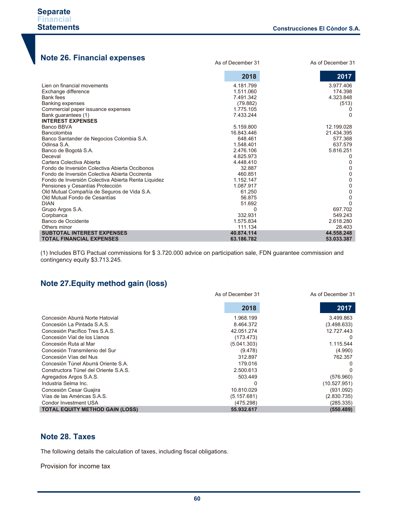As of December 31 As of December 31

# **Note 26. Financial expenses**

|                                                     | 2018         | 2017       |
|-----------------------------------------------------|--------------|------------|
| Lien on financial movements                         | 4.181.799    | 3.977.406  |
| Exchange difference                                 | 1.511.060    | 174.398    |
| Bank fees                                           | 7.491.342    | 4.323.848  |
| <b>Banking expenses</b>                             | (79.882)     | (513)      |
| Commercial paper issuance expenses                  | 1.775.105    |            |
| Bank guarantees (1)                                 | 7.433.244    | ∩          |
| <b>INTEREST EXPENSES</b>                            |              |            |
| Banco BBVA                                          | 5.159.800    | 12.199.028 |
| Bancolombia                                         | 16.843.446   | 21.434.395 |
| Banco Santander de Negocios Colombia S.A.           | 648.461      | 577.368    |
| Odinsa S.A.                                         | 1.548.401    | 637.579    |
| Banco de Bogotá S.A.                                | 2.476.106    | 5.816.251  |
| Deceval                                             | 4.825.973    | 0          |
| Cartera Colectiva Abierta                           | 4.448.410    | 0          |
| Fondo de Inversión Colectiva Abierta Occibonos      | 32.887       | 0          |
| Fondo de Inversión Colectiva Abierta Occirenta      | 460.851      | 0          |
| Fondo de Inversión Colectiva Abierta Renta Liquidez | 1.152.147    | 0          |
| Pensiones y Cesantías Protección                    | 1.087.917    | 0          |
| Old Mutual Compañía de Seguros de Vida S.A.         | 61.250       | 0          |
| Old Mutual Fondo de Cesantías                       | 56.875       | 0          |
| <b>DIAN</b>                                         | 51.692       | U          |
| Grupo Argos S.A.                                    | <sup>0</sup> | 697.702    |
| Corpbanca                                           | 332.931      | 549.243    |
| Banco de Occidente                                  | 1.575.834    | 2.618.280  |
| Others minor                                        | 111.134      | 28.403     |
| <b>SUBTOTAL INTEREST EXPENSES</b>                   | 40.874.114   | 44.558.248 |
| <b>TOTAL FINANCIAL EXPENSES</b>                     | 63.186.782   | 53.033.387 |

(1) Includes BTG Pactual commissions for \$ 3.720.000 advice on participation sale, FDN guarantee commission and contingency equity \$3.713.245.

## **Note 27.Equity method gain (loss)**

|                                        | As of December 31 | As of December 31 |
|----------------------------------------|-------------------|-------------------|
|                                        | 2018              | 2017              |
| Concesión Aburrá Norte Hatovial        | 1.968.199         | 3.499.863         |
| Concesión La Pintada S.A.S.            | 8.464.372         | (3.498.633)       |
| Concesión Pacífico Tres S.A.S.         | 42.051.274        | 12.727.443        |
| Concesión Vial de los Llanos           | (173.473)         |                   |
| Concesión Ruta al Mar                  | (5.041.303)       | 1.115.544         |
| Concesión Transmilenio del Sur         | (9.478)           | (4.990)           |
| Concesión Vías del Nus                 | 312.897           | 762.357           |
| Concesión Túnel Aburrá Oriente S.A.    | 179.016           |                   |
| Constructora Túnel del Oriente S.A.S.  | 2.500.613         |                   |
| Agregados Argos S.A.S.                 | 503.449           | (576.960)         |
| Industria Selma Inc.                   |                   | (10.527.951)      |
| Concesión Cesar Guajira                | 10.810.029        | (931.092)         |
| Vías de las Américas S.A.S.            | (5.157.681)       | (2.830.735)       |
| Condor Investment USA                  | (475.298)         | (285.335)         |
| <b>TOTAL EQUITY METHOD GAIN (LOSS)</b> | 55.932.617        | (550.489)         |

## **Note 28. Taxes**

The following details the calculation of taxes, including fiscal obligations.

Provision for income tax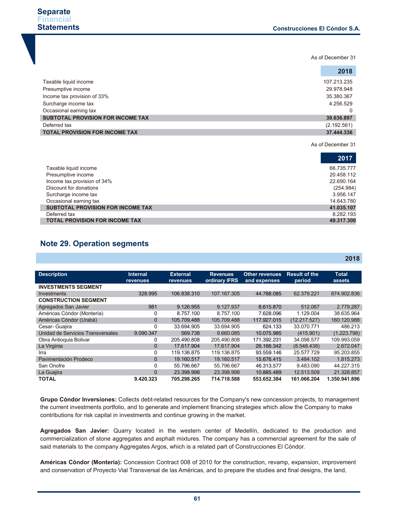As of December 31

|                                          | 2018        |
|------------------------------------------|-------------|
| Taxable liquid income                    | 107.213.235 |
| Presumptive income                       | 29.978.948  |
| Income tax provision of 33%              | 35.380.367  |
| Surcharge income tax                     | 4.256.529   |
| Occasional earning tax                   | 0           |
| <b>SUBTOTAL PROVISION FOR INCOME TAX</b> | 39.636.897  |
| Deferred tax                             | (2.192.561) |
| <b>TOTAL PROVISION FOR INCOME TAX</b>    | 37.444.336  |

As of December 31

**2018**

|                                       | 2017       |
|---------------------------------------|------------|
| Taxable liquid income                 | 66.735.777 |
| Presumptive income                    | 20.458.112 |
| Income tax provision of 34%           | 22.690.164 |
| Discount for donations                | (254.984)  |
| Surcharge income tax                  | 3.956.147  |
| Occasional earning tax                | 14.643.780 |
| SUBTOTAL PROVISION FOR INCOME TAX     | 41.035.107 |
| Deferred tax                          | 8.282.193  |
| <b>TOTAL PROVISION FOR INCOME TAX</b> | 49.317.300 |

## **Note 29. Operation segments**

| <b>Description</b>                | <b>Internal</b> | <b>External</b> | <b>Revenues</b> | <b>Other revenues</b> | <b>Result of the</b> | <b>Total</b>  |
|-----------------------------------|-----------------|-----------------|-----------------|-----------------------|----------------------|---------------|
|                                   | revenues        | <b>revenues</b> | ordinary IFRS   | and expenses          | period               | assets        |
| <b>INVESTMENTS SEGMENT</b>        |                 |                 |                 |                       |                      |               |
| <b>Investments</b>                | 328.995         | 106.838.310     | 107.167.305     | 44.788.085            | 62.379.221           | 874.902.836   |
| <b>CONSTRUCTION SEGMENT</b>       |                 |                 |                 |                       |                      |               |
| Agregados San Javier              | 981             | 9.126.955       | 9.127.937       | 8.615.870             | 512.067              | 2.779.287     |
| Américas Cóndor (Montería)        | 0               | 8.757.100       | 8.757.100       | 7.628.096             | 1.129.004            | 38.635.964    |
| Américas Cóndor (Urabá)           | $\mathbf 0$     | 105.709.488     | 105.709.488     | 117.927.015           | (12.217.527)         | 160.120.988   |
| Cesar- Guajira                    | 0               | 33.694.905      | 33.694.905      | 624.133               | 33.070.771           | 486.213       |
| Unidad de Servicios Transversales | 9.090.347       | 569.738         | 9.660.085       | 10.075.985            | (415.901)            | (1.223.798)   |
| Obra Antioquia Bolivar            | 0               | 205.490.808     | 205.490.808     | 171.392.231           | 34.098.577           | 109.993.059   |
| La Virginia                       | $\mathbf{0}$    | 17.617.904      | 17.617.904      | 26.166.342            | (8.548.438)          | 2.672.047     |
| Irra                              | $\Omega$        | 119.136.875     | 119.136.875     | 93.559.146            | 25.577.729           | 95.203.855    |
| Pavimentación Prodeco             | $\Omega$        | 19.160.517      | 19.160.517      | 15.676.415            | 3.484.102            | 1.815.273     |
| San Onofre                        | $\Omega$        | 55.796.667      | 55.796.667      | 46.313.577            | 9.483.090            | 44.227.315    |
| La Guajira                        | $\Omega$        | 23.398.998      | 23.398.998      | 10.885.489            | 12.513.509           | 21.328.857    |
| <b>TOTAL</b>                      | 9.420.323       | 705.298.265     | 714.718.588     | 553.652.384           | 161.066.204          | 1.350.941.896 |

**Grupo Cóndor Inversiones:** Collects debt-related resources for the Company's new concession projects, to management the current investments portfolio, and to generate and implement financing strategies which allow the Company to make contributions for risk capital in investments and continue growing in the market.

**Agregados San Javier:** Quarry located in the western center of Medellín, dedicated to the production and commercialization of stone aggregates and asphalt mixtures. The company has a commercial agreement for the sale of said materials to the company Aggregates Argos, which is a related part of Construcciones El Cóndor.

**Américas Cóndor (Montería):** Concession Contract 008 of 2010 for the construction, revamp, expansion, improvement and conservation of Proyecto Vial Transversal de las Américas, and to prepare the studies and final designs, the land,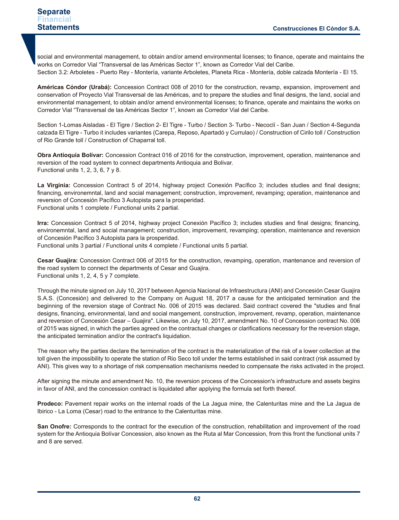#### **Separate Financial Statements**

social and environmental management, to obtain and/or amend environmental licenses; to finance, operate and maintains the works on Corredor Vial "Transversal de las Américas Sector 1", known as Corredor Vial del Caribe. Section 3.2: Arboletes - Puerto Rey - Montería, variante Arboletes, Planeta Rica - Montería, doble calzada Montería - El 15.

**Américas Cóndor (Urabá):** Concession Contract 008 of 2010 for the construction, revamp, expansion, improvement and conservation of Proyecto Vial Transversal de las Américas, and to prepare the studies and final designs, the land, social and environmental management, to obtain and/or amend environmental licenses; to finance, operate and maintains the works on Corredor Vial "Transversal de las Américas Sector 1", known as Corredor Vial del Caribe.

Section 1-Lomas Aisladas - El Tigre / Section 2- El Tigre - Turbo / Section 3- Turbo - Necoclí - San Juan / Section 4-Segunda calzada El Tigre - Turbo it includes variantes (Carepa, Reposo, Apartadó y Currulao) / Construction of Cirilo toll / Construction of Rio Grande toll / Construction of Chaparral toll.

**Obra Antioquia Bolívar:** Concession Contract 016 of 2016 for the construction, improvement, operation, maintenance and reversion of the road system to connect departments Antioquia and Bolivar. Functional units 1, 2, 3, 6, 7 y 8.

**La Virginia:** Concession Contract 5 of 2014, highway project Conexión Pacífico 3; includes studies and final designs; financing, environemntal, land and social management; construction, improvement, revamping; operation, maintenance and reversion of Concesión Pacífico 3 Autopista para la prosperidad. Functional units 1 complete / Functional units 2 partial.

**Irra:** Concession Contract 5 of 2014, highway project Conexión Pacífico 3; includes studies and final designs; financing, environemntal, land and social management; construction, improvement, revamping; operation, maintenance and reversion of Concesión Pacífico 3 Autopista para la prosperidad.

Functional units 3 partial / Functional units 4 complete / Functional units 5 partial.

**Cesar Guajira:** Concession Contract 006 of 2015 for the construction, revamping, operation, mantenance and reversion of the road system to connect the departments of Cesar and Guajira. Functional units 1, 2, 4, 5 y 7 complete.

Through the minute signed on July 10, 2017 between Agencia Nacional de Infraestructura (ANI) and Concesión Cesar Guajira S.A.S. (Concesión) and delivered to the Company on August 18, 2017 a cause for the anticipated termination and the beginning of the reversion stage of Contract No. 006 of 2015 was declared. Said contract covered the "studies and final designs, financing, environmental, land and social mangement, construction, improvement, revamp, operation, maintenance and reversion of Concesión Cesar – Guajira". Likewise, on July 10, 2017, amendment No. 10 of Concession contract No. 006 of 2015 was signed, in which the parties agreed on the contractual changes or clarifications necessary for the reversion stage, the anticipated termination and/or the contract's liquidation.

The reason why the parties declare the termination of the contract is the materialization of the risk of a lower collection at the toll given the impossibility to operate the station of Rio Seco toll under the terms established in said contract (risk assumed by ANI). This gives way to a shortage of risk compensation mechanisms needed to compensate the risks activated in the project.

After signing the minute and amendment No. 10, the reversion process of the Concession's infrastructure and assets begins in favor of ANI, and the concession contract is liquidated after applying the formula set forth thereof.

**Prodeco:** Pavement repair works on the internal roads of the La Jagua mine, the Calenturitas mine and the La Jagua de Ibirico - La Loma (Cesar) road to the entrance to the Calenturitas mine.

**San Onofre:** Corresponds to the contract for the execution of the construction, rehabilitation and improvement of the road system for the Antioquia Bolívar Concession, also known as the Ruta al Mar Concession, from this front the functional units 7 and 8 are served.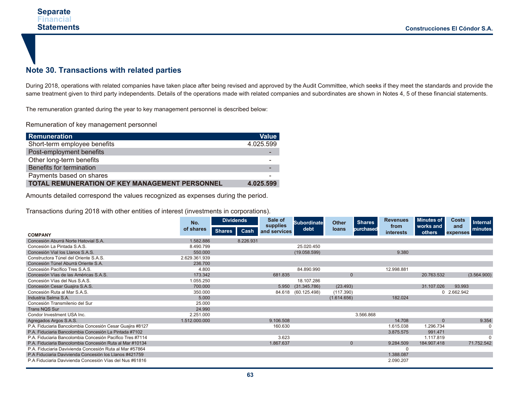## **Note 30. Transactions with related parties**

During 2018, operations with related companies have taken place after being revised and approved by the Audit Committee, which seeks if they meet the standards and provide the same treatment given to third party independents. Details of the operations made with related companies and subordinates are shown in Notes 4, 5 of these financial statements.

The remuneration granted during the year to key management personnel is described below:

Remuneration of key management personnel

| Remuneration                                          | <b>Value</b> |
|-------------------------------------------------------|--------------|
| Short-term employee benefits                          | 4.025.599    |
| Post-employment benefits                              |              |
| Other long-term benefits                              |              |
| Benefits for termination                              | -            |
| Payments based on shares                              |              |
| <b>TOTAL REMUNERATION OF KEY MANAGEMENT PERSONNEL</b> | 4.025.599    |

Amounts detailed correspond the values recognized as expenses during the period.

Transactions during 2018 with other entities of interest (investments in corporations).

|                                                           | No.           | <b>Dividends</b>      | Sale of                  | <b>Subordinate</b>  | <b>Other</b> | <b>Shares</b> | <b>Revenues</b>          | <b>Minutes of</b>   | <b>Costs</b><br><b>Internal</b> |
|-----------------------------------------------------------|---------------|-----------------------|--------------------------|---------------------|--------------|---------------|--------------------------|---------------------|---------------------------------|
|                                                           | of shares     | <b>Shares</b><br>Cash | supplies<br>and services | debt                | loans        | purchased     | from<br><b>interests</b> | works and<br>others | and<br>minutes<br>expenses      |
| <b>COMPANY</b>                                            |               |                       |                          |                     |              |               |                          |                     |                                 |
| Concesión Aburrá Norte Hatovial S.A.                      | 1.582.886     | 8.226.931             |                          |                     |              |               |                          |                     |                                 |
| Concesión La Pintada S.A.S.                               | 8.490.799     |                       |                          | 25.020.450          |              |               |                          |                     |                                 |
| Concesión Vial los Llanos S.A.S.                          | 550.000       |                       |                          | (19.058.599)        |              |               | 9.380                    |                     |                                 |
| Constructora Túnel del Oriente S.A.S.                     | 2.629.361.939 |                       |                          |                     |              |               |                          |                     |                                 |
| Concesión Túnel Aburrá Oriente S.A.                       | 236.700       |                       |                          |                     |              |               |                          |                     |                                 |
| Concesión Pacífico Tres S.A.S.                            | 4.800         |                       |                          | 84.890.990          |              |               | 12.998.881               |                     |                                 |
| Concesión Vías de las Américas S.A.S.                     | 173.342       |                       | 681.835                  |                     | $\mathbf{0}$ |               |                          | 20.763.532          | (3.564.900)                     |
| Concesión Vías del Nus S.A.S.                             | 1.055.250     |                       |                          | 18.107.286          |              |               |                          |                     |                                 |
| Concesión Cesar Guajira S.A.S.                            | 700,000       |                       |                          | 5.950 (31.345.786)  | (23.493)     |               |                          | 31.107.026          | 93.993                          |
| Concesión Ruta al Mar S.A.S.                              | 350.000       |                       |                          | 84.618 (60.125.498) | (117.390)    |               |                          |                     | 0 2.662.942                     |
| Industria Selma S.A.                                      | 5.000         |                       |                          |                     | (1.614.656)  |               | 182.024                  |                     |                                 |
| Concesión Transmilenio del Sur                            | 25.000        |                       |                          |                     |              |               |                          |                     |                                 |
| <b>Trans NQS Sur</b>                                      | 24.990        |                       |                          |                     |              |               |                          |                     |                                 |
| Condor Investment USA Inc.                                | 2.251.000     |                       |                          |                     |              | 3.566.868     |                          |                     |                                 |
| Agregados Argos S.A.S.                                    | 1.512.000.000 |                       | 9.106.508                |                     |              |               | 14.708                   | $\Omega$            | 9.354                           |
| P.A. Fiduciaria Bancolombia Concesión Cesar Guajira #8127 |               |                       | 160.630                  |                     |              |               | 1.615.038                | 1.296.734           | 0                               |
| P.A. Fiduciaria Bancolombia Concesión La Pintada #7102    |               |                       |                          |                     |              |               | 3.875.575                | 991.471             |                                 |
| P.A. Fiduciaria Bancolombia Concesión Pacífico Tres #7114 |               |                       | 3.623                    |                     |              |               |                          | 1.117.819           | 0                               |
| P.A. Fiduciaria Bancolombia Concesión Ruta al Mar #10134  |               |                       | 1.867.637                |                     | $\mathbf{0}$ |               | 9.284.509                | 184.907.418         | 71.752.542                      |
| P.A. Fiduciaria Davivienda Concesión Ruta al Mar #57864   |               |                       |                          |                     |              |               | C                        |                     |                                 |
| P.A Fiduciaria Davivienda Concesión los Llanos #421759    |               |                       |                          |                     |              |               | 1.388.087                |                     |                                 |
| P.A Fiduciaria Davivienda Concesión Vías del Nus #61816   |               |                       |                          |                     |              |               | 2.090.207                |                     |                                 |
|                                                           |               |                       |                          |                     |              |               |                          |                     |                                 |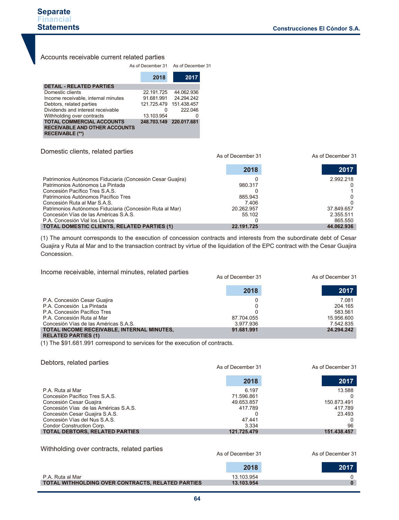### Accounts receivable current related parties

|                                                                                             | As of December 31 |                         |  |
|---------------------------------------------------------------------------------------------|-------------------|-------------------------|--|
|                                                                                             | 2018              | 2017                    |  |
| <b>DETAIL - RELATED PARTIES</b>                                                             |                   |                         |  |
| Domestic clients                                                                            | 22.191.725        | 44.062.936              |  |
| Income receivable, internal minutes                                                         | 91.681.991        | 24.294.242              |  |
| Debtors, related parties                                                                    | 121.725.479       | 151.438.457             |  |
| Dividends and interest receivable                                                           | 0                 | 222.046                 |  |
| Withholding over contracts                                                                  | 13.103.954        |                         |  |
| <b>TOTAL COMMERCIAL ACCOUNTS</b><br><b>RECEIVABLE AND OTHER ACCOUNTS</b><br>RECEIVABLE (**) |                   | 248.703.149 220.017.681 |  |

#### Domestic clients, related parties

|                                                            | As of December 31 | As of December 31 |
|------------------------------------------------------------|-------------------|-------------------|
|                                                            | 2018              | 2017              |
| Patrimonios Autónomos Fiduciaria (Concesión Cesar Guajira) |                   | 2.992.218         |
| Patrimonios Autónomos La Pintada                           | 980.317           |                   |
| Concesión Pacífico Tres S.A.S.                             |                   |                   |
| Patrimonios Autónomos Pacífico Tres                        | 885.943           |                   |
| Concesión Ruta al Mar S.A.S.                               | 7.406             |                   |
| Patrimonios Autónomos Fiduciaria (Concesión Ruta al Mar)   | 20.262.957        | 37.849.657        |
| Concesión Vías de las Américas S.A.S.                      | 55.102            | 2.355.511         |
| P.A. Concesión Vial los Llanos                             |                   | 865.550           |
| <b>TOTAL DOMESTIC CLIENTS, RELATED PARTIES (1)</b>         | 22.191.725        | 44.062.936        |

(1) The amount corresponds to the execution of concession contracts and interests from the subordinate debt of Cesar Guajira y Ruta al Mar and to the transaction contract by virtue of the liquidation of the EPC contract with the Cesar Guajira Concession.

| Income receivable, internal minutes, related parties               | As of December 31 | As of December 31 |
|--------------------------------------------------------------------|-------------------|-------------------|
|                                                                    | 2018              | 2017              |
| P.A. Concesión Cesar Guajira                                       |                   | 7.081             |
| P.A. Concesión La Pintada                                          |                   | 204.165           |
| P.A. Concesión Pacífico Tres                                       |                   | 583.561           |
| P.A. Concesión Ruta al Mar                                         | 87.704.055        | 15.956.600        |
| Concesión Vías de las Américas S.A.S.                              | 3.977.936         | 7.542.835         |
| TOTAL INCOME RECEIVABLE. INTERNAL MINUTES.<br>DEL ATER DADTIES (4) | 91.681.991        | 24.294.242        |

**RELATED PARTIES (1)**

(1) The \$91.681.991 correspond to services for the execution of contracts.

#### Debtors, related parties

|                                       | As of December 31 | As of December 31 |
|---------------------------------------|-------------------|-------------------|
|                                       | 2018              | 2017              |
| P.A. Ruta al Mar                      | 6.197             | 13.588            |
| Concesión Pacífico Tres S.A.S.        | 71.596.861        |                   |
| Concesión Cesar Guajira               | 49.653.857        | 150.873.491       |
| Concesión Vías de las Américas S.A.S. | 417.789           | 417.789           |
| Concesión Cesar Guajira S.A.S.        |                   | 23.493            |
| Concesión Vías del Nus S.A.S.         | 47.441            |                   |
| Condor Construction Corp.             | 3.334             | 96                |
| <b>TOTAL DEBTORS, RELATED PARTIES</b> | 121.725.479       | 151.438.457       |
|                                       |                   |                   |

Withholding over contracts, related parties

| As of December 31 | As of December 31 |
|-------------------|-------------------|
|                   |                   |

|                                                          | 2018       | 2017 |
|----------------------------------------------------------|------------|------|
| P.A. Ruta al Mar                                         | 13.103.954 |      |
| <b>TOTAL WITHHOLDING OVER CONTRACTS, RELATED PARTIES</b> | 13.103.954 |      |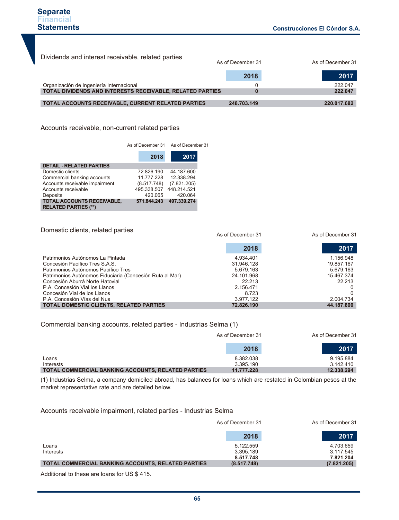| Dividends and interest receivable, related parties               | As of December 31 | As of December 31 |
|------------------------------------------------------------------|-------------------|-------------------|
|                                                                  | 2018              | 2017              |
| Organización de Ingeniería Internacional                         |                   | 222.047           |
| <b>TOTAL DIVIDENDS AND INTERESTS RECEIVABLE. RELATED PARTIES</b> |                   | 222.047           |
| TOTAL ACCOUNTS RECEIVABLE, CURRENT RELATED PARTIES               | 248.703.149       | 220.017.682       |
|                                                                  |                   |                   |

Accounts receivable, non-current related parties

|                                                           | As of December 31 As of December 31 |             |  |
|-----------------------------------------------------------|-------------------------------------|-------------|--|
|                                                           | 2018                                | 2017        |  |
| <b>DETAIL - RELATED PARTIES</b>                           |                                     |             |  |
| Domestic clients                                          | 72.826.190                          | 44.187.600  |  |
| Commercial banking accounts                               | 11.777.228                          | 12.338.294  |  |
| Accounts receivable impairment                            | (8.517.748)                         | (7.821.205) |  |
| Accounts receivable                                       | 495.338.507                         | 448.214.521 |  |
| Deposits                                                  | 420.065                             | 420.064     |  |
| TOTAL ACCOUNTS RECEIVABLE,<br><b>RELATED PARTIES (**)</b> | 571.844.243                         | 497.339.274 |  |

Domestic clients, related parties Patrimonios Autónomos La Pintada Concesión Pacífico Tres S.A.S. Patrimonios Autónomos Pacífico Tres Patrimonios Autónomos Fiduciaria (Concesión Ruta al Mar) Concesión Aburrá Norte Hatovial P.A. Concesión Vial los Llanos Concesión Vial de los Llanos P.A. Concesión Vías del Nus **TOTAL DOMESTIC CLIENTS, RELATED PARTIES** 4.934.401 31.946.128 5.679.163 24.101.968 22.213 2.156.471 8.723 3.977.122  **72.826.190**  1.156.948 19.857.167 5.679.163 15.467.374 22.213 0 0 2.004.734  **44.187.600**  As of December 31 As of December 31 **2018 2017**

#### Commercial banking accounts, related parties - Industrias Selma (1)

|                                                           | As of December 31 | As of December 31 |
|-----------------------------------------------------------|-------------------|-------------------|
|                                                           | 2018              | 2017              |
| Loans                                                     | 8.382.038         | 9.195.884         |
| Interests                                                 | 3.395.190         | 3.142.410         |
| <b>TOTAL COMMERCIAL BANKING ACCOUNTS, RELATED PARTIES</b> | 11.777.228        | 12.338.294        |

(1) Industrias Selma, a company domiciled abroad, has balances for loans which are restated in Colombian pesos at the market representative rate and are detailed below.

Accounts receivable impairment, related parties - Industrias Selma

|                                                    | As of December 31                   | As of December 31                   |
|----------------------------------------------------|-------------------------------------|-------------------------------------|
|                                                    | 2018                                | 2017                                |
| Loans<br>Interests                                 | 5.122.559<br>3.395.189<br>8.517.748 | 4.703.659<br>3.117.545<br>7.821.204 |
| TOTAL COMMERCIAL BANKING ACCOUNTS, RELATED PARTIES | (8.517.748)                         | (7.821.205)                         |

Additional to these are loans for US \$ 415.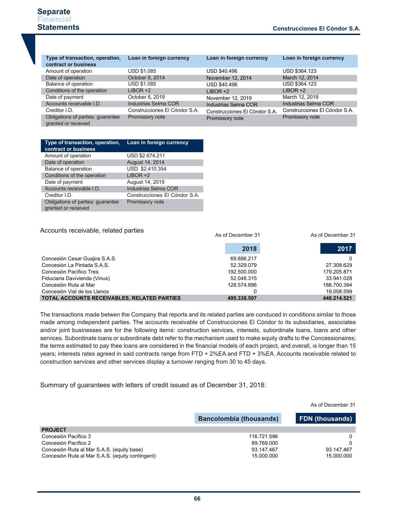| Type of transaction, operation,<br>contract or business  | Loan in foreign currency      | Loan in foreign currency      | Loan in foreign currency      |
|----------------------------------------------------------|-------------------------------|-------------------------------|-------------------------------|
| Amount of operation                                      | USD \$1.085                   | USD \$40.496                  | USD \$364.123                 |
| Date of operation                                        | October 8, 2014               | November 12, 2014             | March 12, 2014                |
| Balance of operation                                     | <b>USD \$1.085</b>            | <b>USD \$40.496</b>           | USD \$364.123                 |
| Conditions of the operation                              | $LIBOR +2$                    | $LIBOR +2$                    | $LIBOR +2$                    |
| Date of payment                                          | October 8, 2019               | November 12, 2019             | March 12, 2019                |
| Accounts receivable I.D.                                 | Industrias Selma COR          | Industrias Selma COR          | Industrias Selma COR          |
| Creditor I.D.                                            | Construcciones El Cóndor S.A. | Construcciones El Cóndor S.A. | Construcciones El Cóndor S.A. |
| Obligations of parties: guarantee<br>granted or received | Promissory note               | Promissory note               | Promissory note               |

| Type of transaction, operation,<br>contract or business  | Loan in foreign currency      |
|----------------------------------------------------------|-------------------------------|
| Amount of operation                                      | USD \$2.674.211               |
| Date of operation                                        | August 14, 2014               |
| Balance of operation                                     | USD \$2.410.354               |
| Conditions of the operation                              | $LIBOR +2$                    |
| Date of payment                                          | August 14, 2019               |
| Accounts receivable I.D.                                 | <b>Industrias Selma COR</b>   |
| Creditor I.D.                                            | Construcciones El Cóndor S.A. |
| Obligations of parties: guarantee<br>granted or received | Promissory note               |

| Accounts receivable, related parties        | As of December 31 | As of December 31 |
|---------------------------------------------|-------------------|-------------------|
|                                             | 2018              | 2017              |
| Concesión Cesar Guajira S.A.S.              | 69.886.217        |                   |
| Concesión La Pintada S.A.S.                 | 52.329.079        | 27.308.629        |
| Concesión Pacífico Tres                     | 192.500.000       | 179.205.871       |
| Fiduciaria Davivienda (Vinus)               | 52.048.315        | 33.941.028        |
| Concesión Ruta al Mar                       | 128.574.896       | 188.700.394       |
| Concesión Vial de los Llanos                |                   | 19.058.599        |
| TOTAL ACCOUNTS RECEIVABLES, RELATED PARTIES | 495.338.507       | 448.214.521       |

The transactions made betwen the Company that reports and its related parties are conduced in conditions similar to those made among independent parties. The accounts receivable of Construcciones El Cóndor to its subsidiaries, associates and/or joint businesses are for the following items: construction services, interests, subordinate loans, loans and other services. Subordinate loans or subordinate debt refer to the mechanism used to make equity drafts to the Concessionaires; the terms estimated to pay thee loans are considered in the financial models of each project, and overall, is longer than 15 years; interests rates agreed in said contracts range from FTD + 2%EA and FTD + 3%EA. Accounts receivable related to construction services and other services display a turnover ranging from 30 to 45 days.

Summary of guarantees with letters of credit issued as of December 31, 2018:

|                                                  |                                | As of December 31      |
|--------------------------------------------------|--------------------------------|------------------------|
|                                                  | <b>Bancolombia (thousands)</b> | <b>FDN</b> (thousands) |
| <b>PROJECT</b>                                   |                                |                        |
| Concesión Pacífico 3                             | 116.721.596                    | 0                      |
| Concesión Pacífico 2                             | 89.769.000                     | 0                      |
| Concesión Ruta al Mar S.A.S. (equity base)       | 93.147.467                     | 93.147.467             |
| Concesión Ruta al Mar S.A.S. (equity contingent) | 15.000.000                     | 15.000.000             |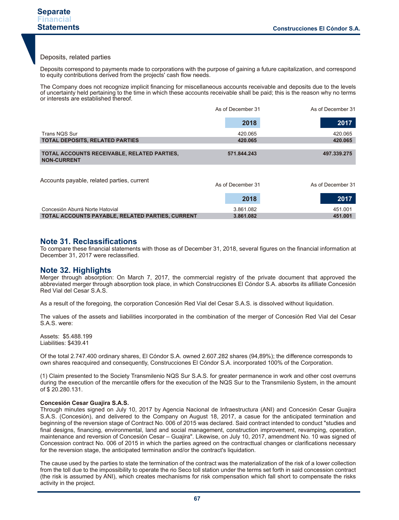#### Deposits, related parties

Deposits correspond to payments made to corporations with the purpose of gaining a future capitalization, and correspond to equity contributions derived from the projects' cash flow needs.

The Company does not recognize implicit financing for miscellaneous accounts receivable and deposits due to the levels of uncertainty held pertaining to the time in which these accounts receivable shall be paid; this is the reason why no terms or interests are established thereof.

|                                                                   | As of December 31 | As of December 31 |
|-------------------------------------------------------------------|-------------------|-------------------|
|                                                                   | 2018              | 2017              |
| Trans NQS Sur                                                     | 420.065           | 420.065           |
| <b>TOTAL DEPOSITS, RELATED PARTIES</b>                            | 420.065           | 420.065           |
| TOTAL ACCOUNTS RECEIVABLE, RELATED PARTIES,<br><b>NON-CURRENT</b> | 571.844.243       | 497.339.275       |
| Accounts payable, related parties, current                        | As of December 31 | As of December 31 |

|                                                  | 2018      | 2017    |
|--------------------------------------------------|-----------|---------|
| Concesión Aburrá Norte Hatovial                  | 3.861.082 | 451.001 |
| TOTAL ACCOUNTS PAYABLE, RELATED PARTIES, CURRENT | 3.861.082 | 451.001 |

#### **Note 31. Reclassifications**

To compare these financial statements with those as of December 31, 2018, several figures on the financial information at December 31, 2017 were reclassified.

#### **Note 32. Highlights**

Merger through absorption: On March 7, 2017, the commercial registry of the private document that approved the abbreviated merger through absorption took place, in which Construcciones El Cóndor S.A. absorbs its afilliate Concesión Red Vial del Cesar S.A.S.

As a result of the foregoing, the corporation Concesión Red Vial del Cesar S.A.S. is dissolved without liquidation.

The values of the assets and liabilities incorporated in the combination of the merger of Concesión Red Vial del Cesar S.A.S. were:

Assets: \$5.488.199 Liabilities: \$439.41

Of the total 2.747.400 ordinary shares, El Cóndor S.A. owned 2.607.282 shares (94,89%); the difference corresponds to own shares reacquired and consequently, Construcciones El Cóndor S.A. incorporated 100% of the Corporation.

(1) Claim presented to the Society Transmilenio NQS Sur S.A.S. for greater permanence in work and other cost overruns during the execution of the mercantile offers for the execution of the NQS Sur to the Transmilenio System, in the amount of \$ 20.280.131.

#### **Concesión Cesar Guajira S.A.S.**

Through minutes signed on July 10, 2017 by Agencia Nacional de Infraestructura (ANI) and Concesión Cesar Guajira S.A.S. (Concesión), and delivered to the Company on August 18, 2017, a casue for the anticipated termination and beginning of the reversion stage of Contract No. 006 of 2015 was declared. Said contract intended to conduct "studies and final designs, financing, environmental, land and social management, construction improvement, revamping, operation, maintenance and reversion of Concesión Cesar – Guajira". Likewise, on July 10, 2017, amendment No. 10 was signed of Concession contract No. 006 of 2015 in which the parties agreed on the contracttual changes or clarifications necessary for the reversion stage, the anticipated termination and/or the contract's liquidation.

The cause used by the parties to state the termination of the contract was the materialization of the risk of a lower collection from the toll due to the impossibility to operate the rio Seco toll station under the terms set forth in said concession contract (the risk is assumed by ANI), which creates mechanisms for risk compensation which fall short to compensate the risks activity in the project.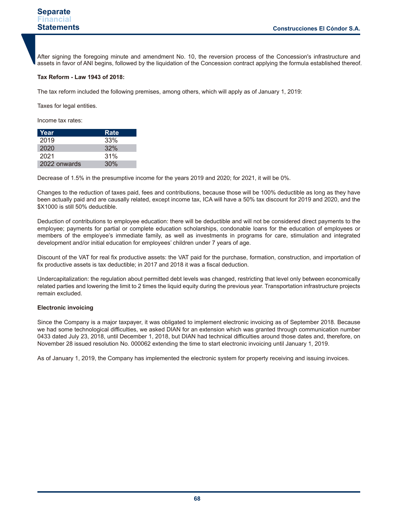After signing the foregoing minute and amendment No. 10, the reversion process of the Concession's infrastructure and assets in favor of ANI begins, followed by the liquidation of the Concession contract applying the formula established thereof.

#### **Tax Reform - Law 1943 of 2018:**

The tax reform included the following premises, among others, which will apply as of January 1, 2019:

Taxes for legal entities.

Income tax rates:

| Year         | Rate |
|--------------|------|
| 2019         | 33%  |
| 2020         | 32%  |
| 2021         | 31%  |
| 2022 onwards | 30%  |

Decrease of 1.5% in the presumptive income for the years 2019 and 2020; for 2021, it will be 0%.

Changes to the reduction of taxes paid, fees and contributions, because those will be 100% deductible as long as they have been actually paid and are causally related, except income tax, ICA will have a 50% tax discount for 2019 and 2020, and the \$X1000 is still 50% deductible.

Deduction of contributions to employee education: there will be deductible and will not be considered direct payments to the employee; payments for partial or complete education scholarships, condonable loans for the education of employees or members of the employee's immediate family, as well as investments in programs for care, stimulation and integrated development and/or initial education for employees' children under 7 years of age.

Discount of the VAT for real fix productive assets: the VAT paid for the purchase, formation, construction, and importation of fix productive assets is tax deductible; in 2017 and 2018 it was a fiscal deduction.

Undercapitalization: the regulation about permitted debt levels was changed, restricting that level only between economically related parties and lowering the limit to 2 times the liquid equity during the previous year. Transportation infrastructure projects remain excluded.

#### **Electronic invoicing**

Since the Company is a major taxpayer, it was obligated to implement electronic invoicing as of September 2018. Because we had some technological difficulties, we asked DIAN for an extension which was granted through communication number 0433 dated July 23, 2018, until December 1, 2018, but DIAN had technical difficulties around those dates and, therefore, on November 28 issued resolution No. 000062 extending the time to start electronic invoicing until January 1, 2019.

As of January 1, 2019, the Company has implemented the electronic system for property receiving and issuing invoices.